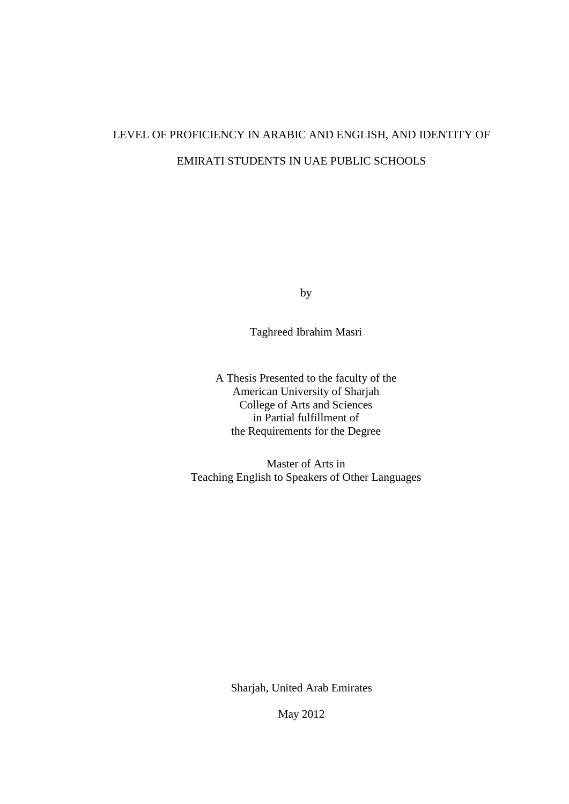# LEVEL OF PROFICIENCY IN ARABIC AND ENGLISH, AND IDENTITY OF EMIRATI STUDENTS IN UAE PUBLIC SCHOOLS

by

Taghreed Ibrahim Masri

A Thesis Presented to the faculty of the American University of Sharjah College of Arts and Sciences in Partial fulfillment of the Requirements for the Degree

Master of Arts in Teaching English to Speakers of Other Languages

Sharjah, United Arab Emirates

May 2012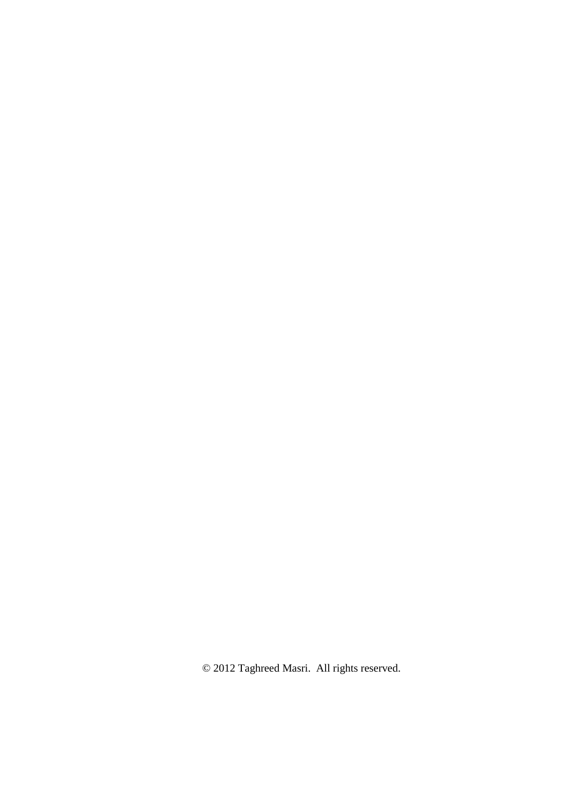© 2012 Taghreed Masri. All rights reserved.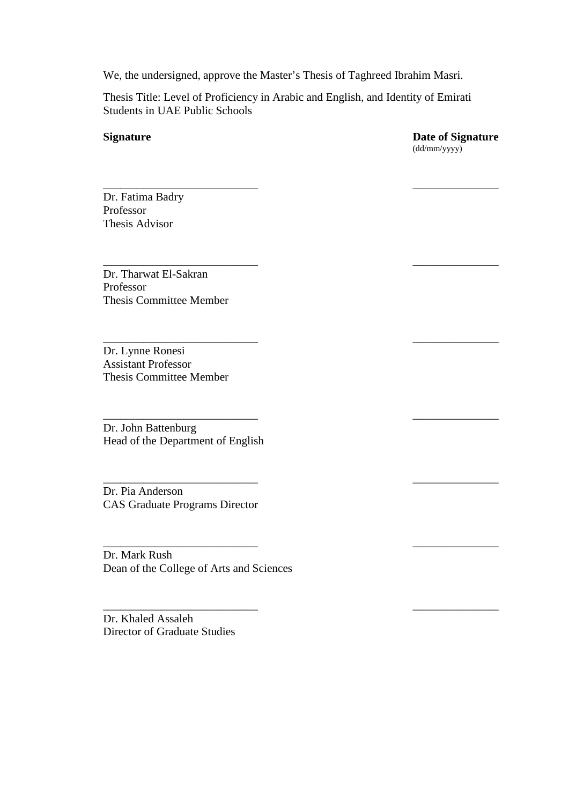We, the undersigned, approve the Master's Thesis of Taghreed Ibrahim Masri.

Thesis Title: Level of Proficiency in Arabic and English, and Identity of Emirati Students in UAE Public Schools

\_\_\_\_\_\_\_\_\_\_\_\_\_\_\_\_\_\_\_\_\_\_\_\_\_\_\_ \_\_\_\_\_\_\_\_\_\_\_\_\_\_\_

\_\_\_\_\_\_\_\_\_\_\_\_\_\_\_\_\_\_\_\_\_\_\_\_\_\_\_ \_\_\_\_\_\_\_\_\_\_\_\_\_\_\_

 $\_$ 

 $\_$ 

 $\_$ 

\_\_\_\_\_\_\_\_\_\_\_\_\_\_\_\_\_\_\_\_\_\_\_\_\_\_\_ \_\_\_\_\_\_\_\_\_\_\_\_\_\_\_

 $\_$ 

**Signature Date of Signature** (dd/mm/yyyy)

Dr. Fatima Badry Professor Thesis Advisor

Dr. Tharwat El-Sakran Professor Thesis Committee Member

Dr. Lynne Ronesi Assistant Professor Thesis Committee Member

Dr. John Battenburg Head of the Department of English

Dr. Pia Anderson CAS Graduate Programs Director

Dr. Mark Rush Dean of the College of Arts and Sciences

Dr. Khaled Assaleh Director of Graduate Studies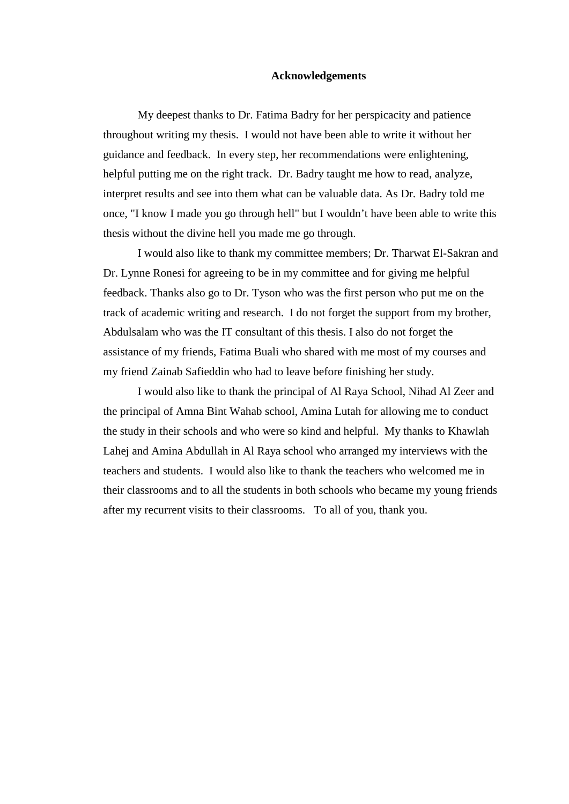#### **Acknowledgements**

My deepest thanks to Dr. Fatima Badry for her perspicacity and patience throughout writing my thesis. I would not have been able to write it without her guidance and feedback. In every step, her recommendations were enlightening, helpful putting me on the right track. Dr. Badry taught me how to read, analyze, interpret results and see into them what can be valuable data. As Dr. Badry told me once, "I know I made you go through hell" but I wouldn't have been able to write this thesis without the divine hell you made me go through.

I would also like to thank my committee members; Dr. Tharwat El-Sakran and Dr. Lynne Ronesi for agreeing to be in my committee and for giving me helpful feedback. Thanks also go to Dr. Tyson who was the first person who put me on the track of academic writing and research. I do not forget the support from my brother, Abdulsalam who was the IT consultant of this thesis. I also do not forget the assistance of my friends, Fatima Buali who shared with me most of my courses and my friend Zainab Safieddin who had to leave before finishing her study.

I would also like to thank the principal of Al Raya School, Nihad Al Zeer and the principal of Amna Bint Wahab school, Amina Lutah for allowing me to conduct the study in their schools and who were so kind and helpful. My thanks to Khawlah Lahej and Amina Abdullah in Al Raya school who arranged my interviews with the teachers and students. I would also like to thank the teachers who welcomed me in their classrooms and to all the students in both schools who became my young friends after my recurrent visits to their classrooms. To all of you, thank you.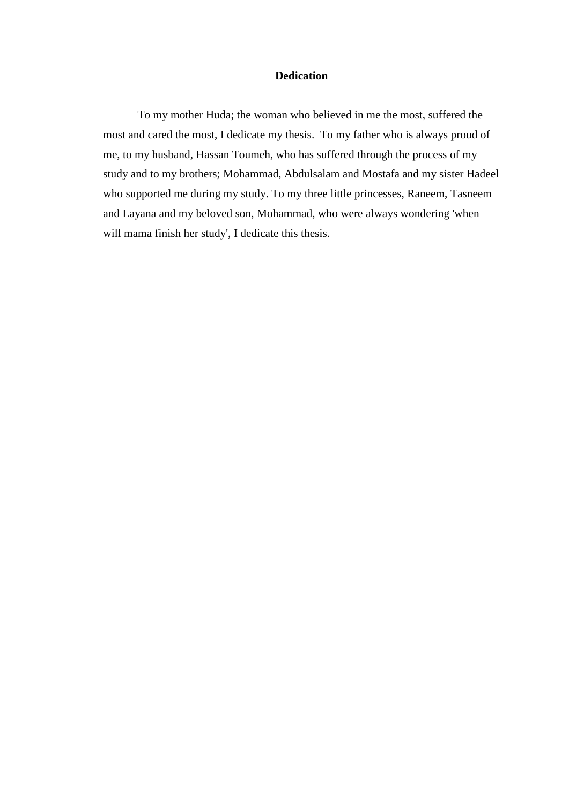### **Dedication**

To my mother Huda; the woman who believed in me the most, suffered the most and cared the most, I dedicate my thesis. To my father who is always proud of me, to my husband, Hassan Toumeh, who has suffered through the process of my study and to my brothers; Mohammad, Abdulsalam and Mostafa and my sister Hadeel who supported me during my study. To my three little princesses, Raneem, Tasneem and Layana and my beloved son, Mohammad, who were always wondering 'when will mama finish her study', I dedicate this thesis.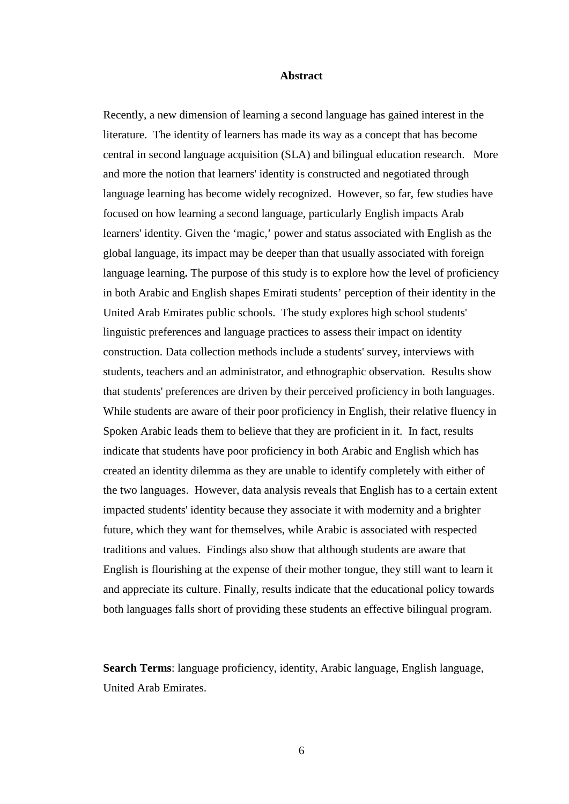#### **Abstract**

Recently, a new dimension of learning a second language has gained interest in the literature. The identity of learners has made its way as a concept that has become central in second language acquisition (SLA) and bilingual education research. More and more the notion that learners' identity is constructed and negotiated through language learning has become widely recognized. However, so far, few studies have focused on how learning a second language, particularly English impacts Arab learners' identity. Given the 'magic,' power and status associated with English as the global language, its impact may be deeper than that usually associated with foreign language learning**.** The purpose of this study is to explore how the level of proficiency in both Arabic and English shapes Emirati students' perception of their identity in the United Arab Emirates public schools. The study explores high school students' linguistic preferences and language practices to assess their impact on identity construction. Data collection methods include a students' survey, interviews with students, teachers and an administrator, and ethnographic observation. Results show that students' preferences are driven by their perceived proficiency in both languages. While students are aware of their poor proficiency in English, their relative fluency in Spoken Arabic leads them to believe that they are proficient in it. In fact, results indicate that students have poor proficiency in both Arabic and English which has created an identity dilemma as they are unable to identify completely with either of the two languages. However, data analysis reveals that English has to a certain extent impacted students' identity because they associate it with modernity and a brighter future, which they want for themselves, while Arabic is associated with respected traditions and values. Findings also show that although students are aware that English is flourishing at the expense of their mother tongue, they still want to learn it and appreciate its culture. Finally, results indicate that the educational policy towards both languages falls short of providing these students an effective bilingual program.

**Search Terms**: language proficiency, identity, Arabic language, English language, United Arab Emirates.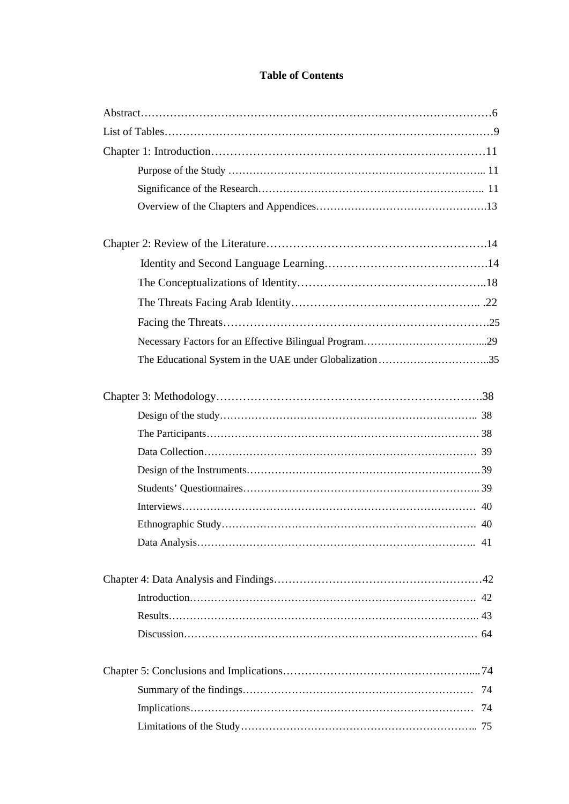# **Table of Contents**

| The Educational System in the UAE under Globalization 35 |    |
|----------------------------------------------------------|----|
|                                                          |    |
|                                                          |    |
|                                                          |    |
|                                                          |    |
|                                                          |    |
|                                                          |    |
|                                                          |    |
|                                                          |    |
|                                                          | 41 |
|                                                          |    |
|                                                          |    |
|                                                          |    |
|                                                          |    |
|                                                          |    |
|                                                          | 74 |
|                                                          | 74 |
|                                                          |    |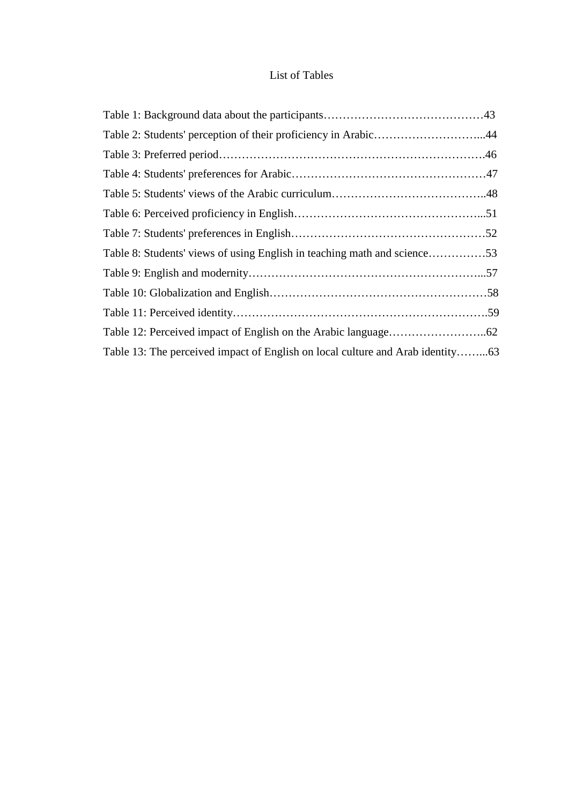# List of Tables

| Table 2: Students' perception of their proficiency in Arabic44                 |  |
|--------------------------------------------------------------------------------|--|
|                                                                                |  |
|                                                                                |  |
|                                                                                |  |
|                                                                                |  |
|                                                                                |  |
| Table 8: Students' views of using English in teaching math and science53       |  |
|                                                                                |  |
|                                                                                |  |
|                                                                                |  |
|                                                                                |  |
| Table 13: The perceived impact of English on local culture and Arab identity63 |  |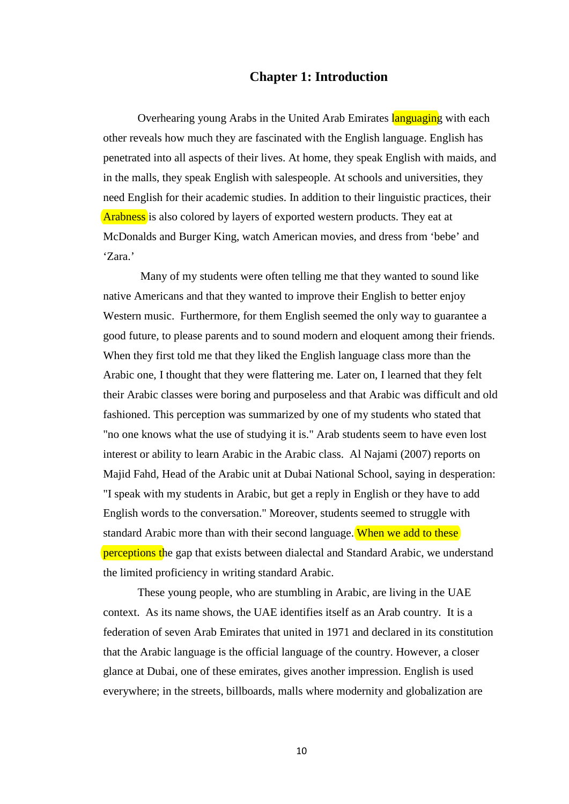#### **Chapter 1: Introduction**

Overhearing young Arabs in the United Arab Emirates languaging with each other reveals how much they are fascinated with the English language. English has penetrated into all aspects of their lives. At home, they speak English with maids, and in the malls, they speak English with salespeople. At schools and universities, they need English for their academic studies. In addition to their linguistic practices, their Arabness is also colored by layers of exported western products. They eat at McDonalds and Burger King, watch American movies, and dress from 'bebe' and 'Zara.'

Many of my students were often telling me that they wanted to sound like native Americans and that they wanted to improve their English to better enjoy Western music. Furthermore, for them English seemed the only way to guarantee a good future, to please parents and to sound modern and eloquent among their friends. When they first told me that they liked the English language class more than the Arabic one, I thought that they were flattering me. Later on, I learned that they felt their Arabic classes were boring and purposeless and that Arabic was difficult and old fashioned. This perception was summarized by one of my students who stated that "no one knows what the use of studying it is." Arab students seem to have even lost interest or ability to learn Arabic in the Arabic class. Al Najami (2007) reports on Majid Fahd, Head of the Arabic unit at Dubai National School, saying in desperation: "I speak with my students in Arabic, but get a reply in English or they have to add English words to the conversation." Moreover, students seemed to struggle with standard Arabic more than with their second language. When we add to these perceptions the gap that exists between dialectal and Standard Arabic, we understand the limited proficiency in writing standard Arabic.

These young people, who are stumbling in Arabic, are living in the UAE context. As its name shows, the UAE identifies itself as an Arab country. It is a federation of seven Arab Emirates that united in 1971 and declared in its constitution that the Arabic language is the official language of the country. However, a closer glance at Dubai, one of these emirates, gives another impression. English is used everywhere; in the streets, billboards, malls where modernity and globalization are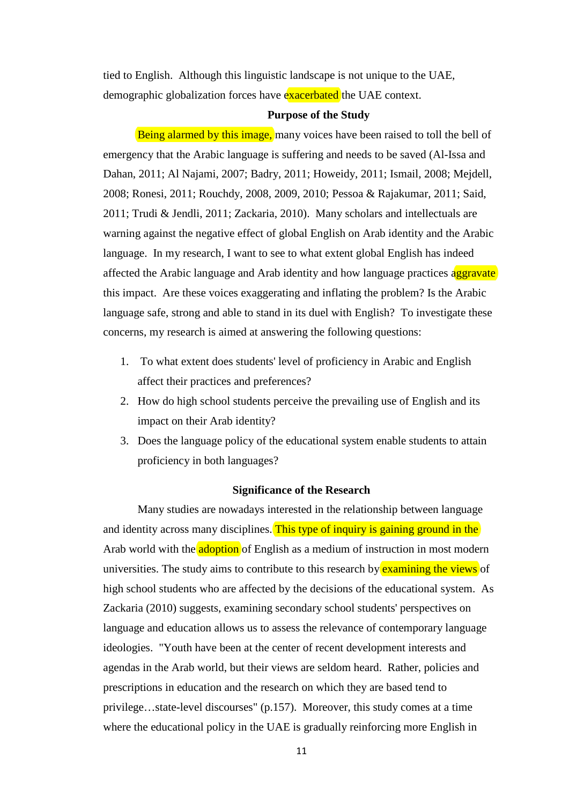tied to English. Although this linguistic landscape is not unique to the UAE, demographic globalization forces have exacerbated the UAE context.

#### **Purpose of the Study**

Being alarmed by this image, many voices have been raised to toll the bell of emergency that the Arabic language is suffering and needs to be saved (Al-Issa and Dahan, 2011; Al Najami, 2007; Badry, 2011; Howeidy, 2011; Ismail, 2008; Mejdell, 2008; Ronesi, 2011; Rouchdy, 2008, 2009, 2010; Pessoa & Rajakumar, 2011; Said, 2011; Trudi & Jendli, 2011; Zackaria, 2010). Many scholars and intellectuals are warning against the negative effect of global English on Arab identity and the Arabic language. In my research, I want to see to what extent global English has indeed affected the Arabic language and Arab identity and how language practices aggravate this impact. Are these voices exaggerating and inflating the problem? Is the Arabic language safe, strong and able to stand in its duel with English? To investigate these concerns, my research is aimed at answering the following questions:

- 1. To what extent does students' level of proficiency in Arabic and English affect their practices and preferences?
- 2. How do high school students perceive the prevailing use of English and its impact on their Arab identity?
- 3. Does the language policy of the educational system enable students to attain proficiency in both languages?

#### **Significance of the Research**

Many studies are nowadays interested in the relationship between language and identity across many disciplines. This type of inquiry is gaining ground in the Arab world with the adoption of English as a medium of instruction in most modern universities. The study aims to contribute to this research by examining the views of high school students who are affected by the decisions of the educational system. As Zackaria (2010) suggests, examining secondary school students' perspectives on language and education allows us to assess the relevance of contemporary language ideologies. "Youth have been at the center of recent development interests and agendas in the Arab world, but their views are seldom heard. Rather, policies and prescriptions in education and the research on which they are based tend to privilege…state-level discourses" (p.157). Moreover, this study comes at a time where the educational policy in the UAE is gradually reinforcing more English in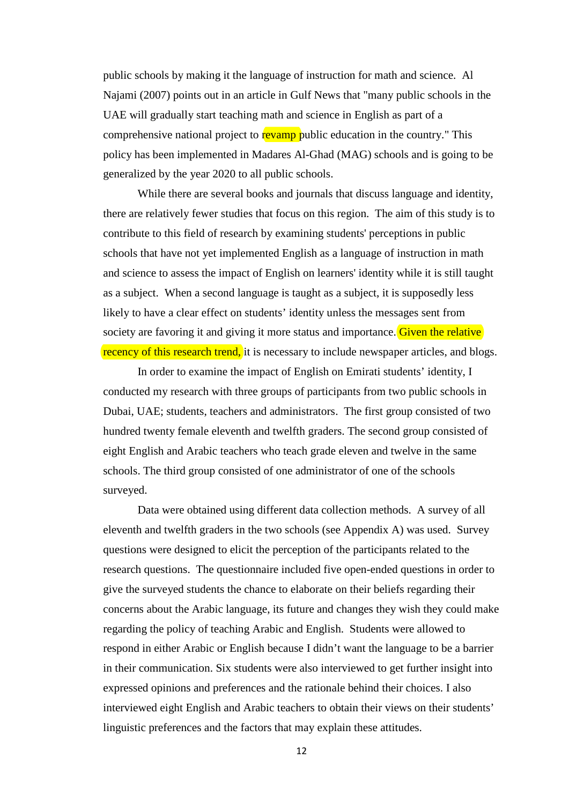public schools by making it the language of instruction for math and science. Al Najami (2007) points out in an article in Gulf News that "many public schools in the UAE will gradually start teaching math and science in English as part of a comprehensive national project to revamp public education in the country." This policy has been implemented in Madares Al-Ghad (MAG) schools and is going to be generalized by the year 2020 to all public schools.

While there are several books and journals that discuss language and identity, there are relatively fewer studies that focus on this region. The aim of this study is to contribute to this field of research by examining students' perceptions in public schools that have not yet implemented English as a language of instruction in math and science to assess the impact of English on learners' identity while it is still taught as a subject. When a second language is taught as a subject, it is supposedly less likely to have a clear effect on students' identity unless the messages sent from society are favoring it and giving it more status and importance. Given the relative recency of this research trend, it is necessary to include newspaper articles, and blogs.

In order to examine the impact of English on Emirati students' identity, I conducted my research with three groups of participants from two public schools in Dubai, UAE; students, teachers and administrators. The first group consisted of two hundred twenty female eleventh and twelfth graders. The second group consisted of eight English and Arabic teachers who teach grade eleven and twelve in the same schools. The third group consisted of one administrator of one of the schools surveyed.

Data were obtained using different data collection methods. A survey of all eleventh and twelfth graders in the two schools (see Appendix A) was used. Survey questions were designed to elicit the perception of the participants related to the research questions. The questionnaire included five open-ended questions in order to give the surveyed students the chance to elaborate on their beliefs regarding their concerns about the Arabic language, its future and changes they wish they could make regarding the policy of teaching Arabic and English. Students were allowed to respond in either Arabic or English because I didn't want the language to be a barrier in their communication. Six students were also interviewed to get further insight into expressed opinions and preferences and the rationale behind their choices. I also interviewed eight English and Arabic teachers to obtain their views on their students' linguistic preferences and the factors that may explain these attitudes.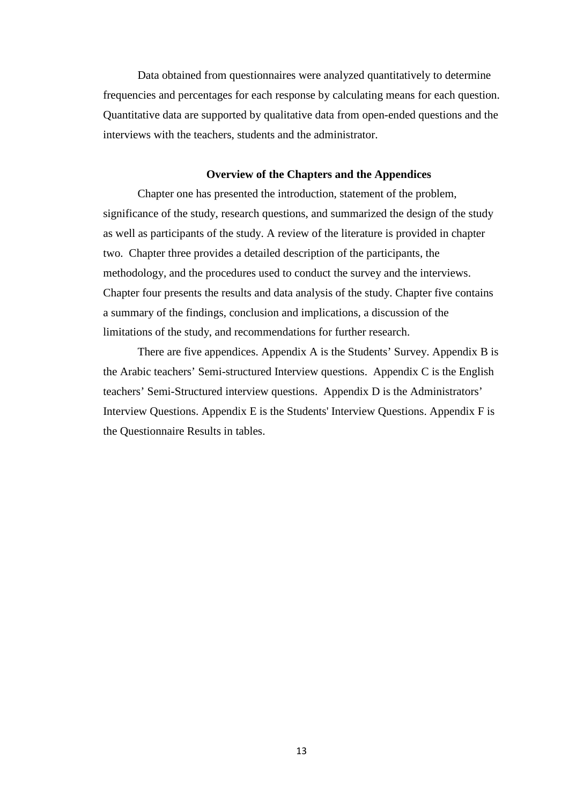Data obtained from questionnaires were analyzed quantitatively to determine frequencies and percentages for each response by calculating means for each question. Quantitative data are supported by qualitative data from open-ended questions and the interviews with the teachers, students and the administrator.

#### **Overview of the Chapters and the Appendices**

Chapter one has presented the introduction, statement of the problem, significance of the study, research questions, and summarized the design of the study as well as participants of the study. A review of the literature is provided in chapter two. Chapter three provides a detailed description of the participants, the methodology, and the procedures used to conduct the survey and the interviews. Chapter four presents the results and data analysis of the study. Chapter five contains a summary of the findings, conclusion and implications, a discussion of the limitations of the study, and recommendations for further research.

There are five appendices. Appendix A is the Students' Survey. Appendix B is the Arabic teachers' Semi-structured Interview questions. Appendix C is the English teachers' Semi-Structured interview questions. Appendix D is the Administrators' Interview Questions. Appendix E is the Students' Interview Questions. Appendix F is the Questionnaire Results in tables.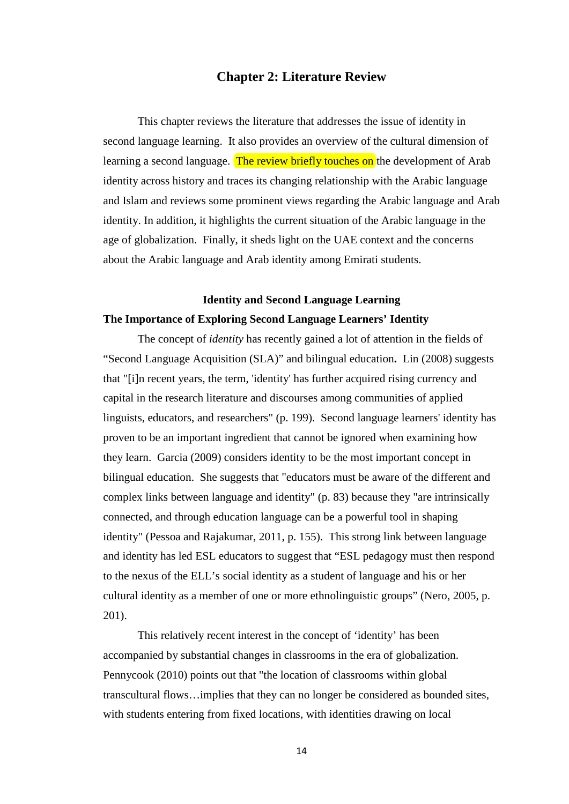### **Chapter 2: Literature Review**

This chapter reviews the literature that addresses the issue of identity in second language learning. It also provides an overview of the cultural dimension of learning a second language. The review briefly touches on the development of Arab identity across history and traces its changing relationship with the Arabic language and Islam and reviews some prominent views regarding the Arabic language and Arab identity. In addition, it highlights the current situation of the Arabic language in the age of globalization. Finally, it sheds light on the UAE context and the concerns about the Arabic language and Arab identity among Emirati students.

# **Identity and Second Language Learning The Importance of Exploring Second Language Learners' Identity**

The concept of *identity* has recently gained a lot of attention in the fields of "Second Language Acquisition (SLA)" and bilingual education**.** Lin (2008) suggests that "[i]n recent years, the term, 'identity' has further acquired rising currency and capital in the research literature and discourses among communities of applied linguists, educators, and researchers" (p. 199). Second language learners' identity has proven to be an important ingredient that cannot be ignored when examining how they learn. Garcia (2009) considers identity to be the most important concept in bilingual education. She suggests that "educators must be aware of the different and complex links between language and identity" (p. 83) because they "are intrinsically connected, and through education language can be a powerful tool in shaping identity" (Pessoa and Rajakumar, 2011, p. 155). This strong link between language and identity has led ESL educators to suggest that "ESL pedagogy must then respond to the nexus of the ELL's social identity as a student of language and his or her cultural identity as a member of one or more ethnolinguistic groups" (Nero, 2005, p. 201).

This relatively recent interest in the concept of 'identity' has been accompanied by substantial changes in classrooms in the era of globalization. Pennycook (2010) points out that "the location of classrooms within global transcultural flows…implies that they can no longer be considered as bounded sites, with students entering from fixed locations, with identities drawing on local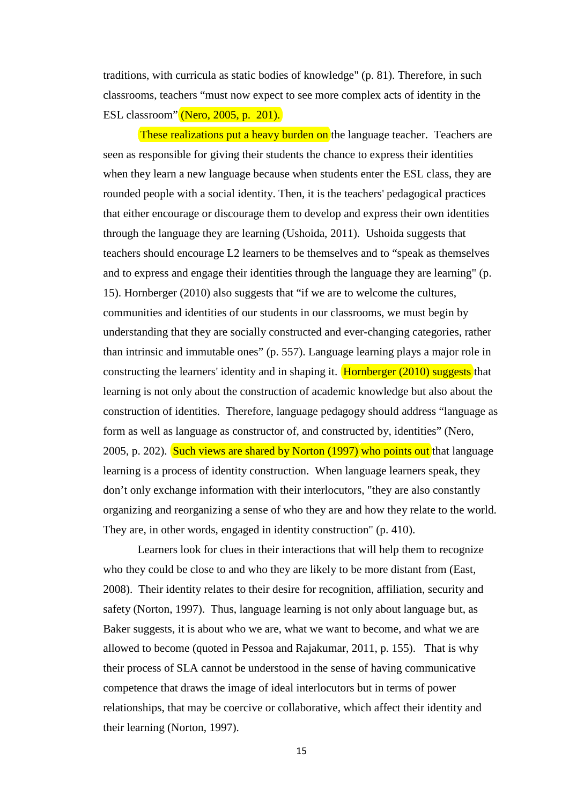traditions, with curricula as static bodies of knowledge" (p. 81). Therefore, in such classrooms, teachers "must now expect to see more complex acts of identity in the ESL classroom" (Nero, 2005, p. 201).

These realizations put a heavy burden on the language teacher. Teachers are seen as responsible for giving their students the chance to express their identities when they learn a new language because when students enter the ESL class, they are rounded people with a social identity. Then, it is the teachers' pedagogical practices that either encourage or discourage them to develop and express their own identities through the language they are learning (Ushoida, 2011). Ushoida suggests that teachers should encourage L2 learners to be themselves and to "speak as themselves and to express and engage their identities through the language they are learning" (p. 15). Hornberger (2010) also suggests that "if we are to welcome the cultures, communities and identities of our students in our classrooms, we must begin by understanding that they are socially constructed and ever-changing categories, rather than intrinsic and immutable ones" (p. 557). Language learning plays a major role in constructing the learners' identity and in shaping it. Hornberger (2010) suggests that learning is not only about the construction of academic knowledge but also about the construction of identities. Therefore, language pedagogy should address "language as form as well as language as constructor of, and constructed by, identities" (Nero, 2005, p. 202). Such views are shared by Norton (1997) who points out that language learning is a process of identity construction. When language learners speak, they don't only exchange information with their interlocutors, "they are also constantly organizing and reorganizing a sense of who they are and how they relate to the world. They are, in other words, engaged in identity construction" (p. 410).

Learners look for clues in their interactions that will help them to recognize who they could be close to and who they are likely to be more distant from (East, 2008). Their identity relates to their desire for recognition, affiliation, security and safety (Norton, 1997). Thus, language learning is not only about language but, as Baker suggests, it is about who we are, what we want to become, and what we are allowed to become (quoted in Pessoa and Rajakumar, 2011, p. 155). That is why their process of SLA cannot be understood in the sense of having communicative competence that draws the image of ideal interlocutors but in terms of power relationships, that may be coercive or collaborative, which affect their identity and their learning (Norton, 1997).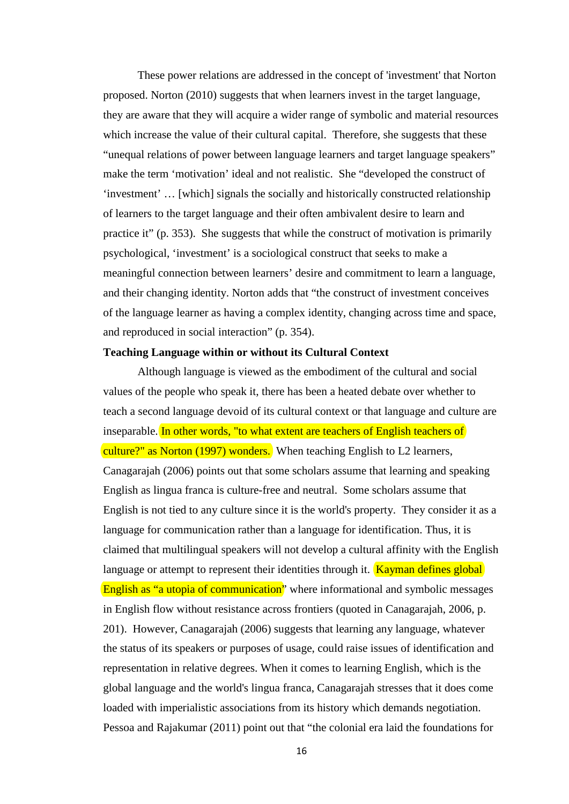These power relations are addressed in the concept of 'investment' that Norton proposed. Norton (2010) suggests that when learners invest in the target language, they are aware that they will acquire a wider range of symbolic and material resources which increase the value of their cultural capital. Therefore, she suggests that these "unequal relations of power between language learners and target language speakers" make the term 'motivation' ideal and not realistic. She "developed the construct of 'investment' … [which] signals the socially and historically constructed relationship of learners to the target language and their often ambivalent desire to learn and practice it" (p. 353). She suggests that while the construct of motivation is primarily psychological, 'investment' is a sociological construct that seeks to make a meaningful connection between learners' desire and commitment to learn a language, and their changing identity. Norton adds that "the construct of investment conceives of the language learner as having a complex identity, changing across time and space, and reproduced in social interaction" (p. 354).

#### **Teaching Language within or without its Cultural Context**

Although language is viewed as the embodiment of the cultural and social values of the people who speak it, there has been a heated debate over whether to teach a second language devoid of its cultural context or that language and culture are inseparable. In other words, "to what extent are teachers of English teachers of culture?" as Norton (1997) wonders. When teaching English to L2 learners, Canagarajah (2006) points out that some scholars assume that learning and speaking English as lingua franca is culture-free and neutral. Some scholars assume that English is not tied to any culture since it is the world's property. They consider it as a language for communication rather than a language for identification. Thus, it is claimed that multilingual speakers will not develop a cultural affinity with the English language or attempt to represent their identities through it.  $Kayman$  defines global English as "a utopia of communication" where informational and symbolic messages in English flow without resistance across frontiers (quoted in Canagarajah, 2006, p. 201). However, Canagarajah (2006) suggests that learning any language, whatever the status of its speakers or purposes of usage, could raise issues of identification and representation in relative degrees. When it comes to learning English, which is the global language and the world's lingua franca, Canagarajah stresses that it does come loaded with imperialistic associations from its history which demands negotiation. Pessoa and Rajakumar (2011) point out that "the colonial era laid the foundations for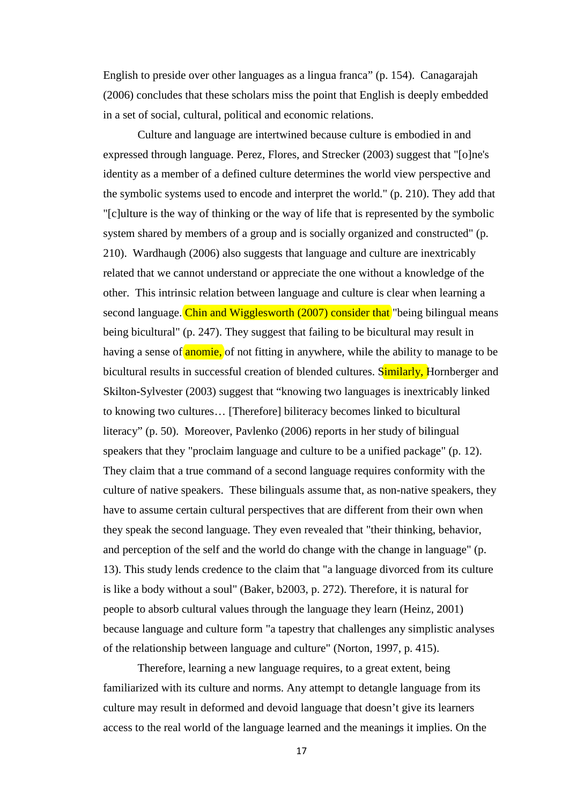English to preside over other languages as a lingua franca" (p. 154).Canagarajah (2006) concludes that these scholars miss the point that English is deeply embedded in a set of social, cultural, political and economic relations.

Culture and language are intertwined because culture is embodied in and expressed through language. Perez, Flores, and Strecker (2003) suggest that "[o]ne's identity as a member of a defined culture determines the world view perspective and the symbolic systems used to encode and interpret the world." (p. 210). They add that "[c]ulture is the way of thinking or the way of life that is represented by the symbolic system shared by members of a group and is socially organized and constructed" (p. 210).Wardhaugh (2006) also suggests that language and culture are inextricably related that we cannot understand or appreciate the one without a knowledge of the other. This intrinsic relation between language and culture is clear when learning a second language. Chin and Wigglesworth (2007) consider that "being bilingual means being bicultural" (p. 247). They suggest that failing to be bicultural may result in having a sense of **anomie**, of not fitting in anywhere, while the ability to manage to be bicultural results in successful creation of blended cultures. Similarly, Hornberger and Skilton-Sylvester (2003) suggest that "knowing two languages is inextricably linked to knowing two cultures… [Therefore] biliteracy becomes linked to bicultural literacy" (p. 50). Moreover, Pavlenko (2006) reports in her study of bilingual speakers that they "proclaim language and culture to be a unified package" (p. 12). They claim that a true command of a second language requires conformity with the culture of native speakers. These bilinguals assume that, as non-native speakers, they have to assume certain cultural perspectives that are different from their own when they speak the second language. They even revealed that "their thinking, behavior, and perception of the self and the world do change with the change in language" (p. 13). This study lends credence to the claim that "a language divorced from its culture is like a body without a soul" (Baker, b2003, p. 272). Therefore, it is natural for people to absorb cultural values through the language they learn (Heinz, 2001) because language and culture form "a tapestry that challenges any simplistic analyses of the relationship between language and culture" (Norton, 1997, p. 415).

Therefore, learning a new language requires, to a great extent, being familiarized with its culture and norms. Any attempt to detangle language from its culture may result in deformed and devoid language that doesn't give its learners access to the real world of the language learned and the meanings it implies. On the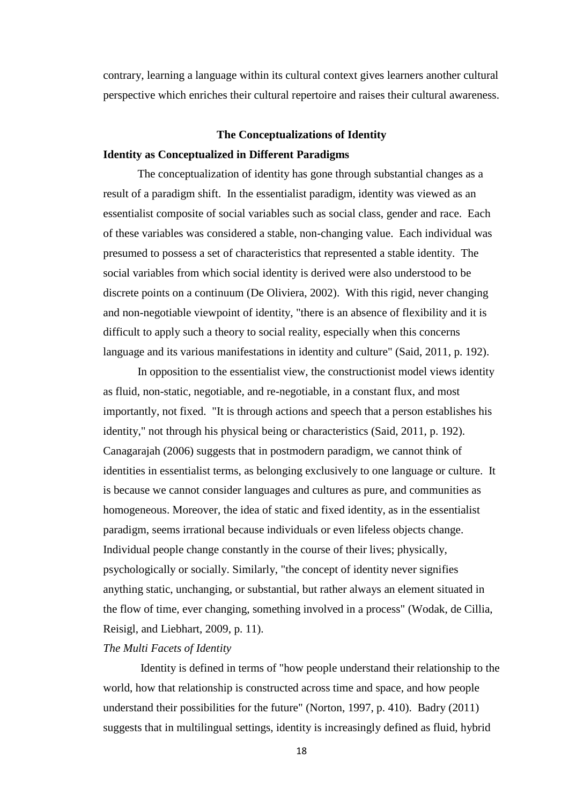contrary, learning a language within its cultural context gives learners another cultural perspective which enriches their cultural repertoire and raises their cultural awareness.

# **The Conceptualizations of Identity Identity as Conceptualized in Different Paradigms**

The conceptualization of identity has gone through substantial changes as a result of a paradigm shift. In the essentialist paradigm, identity was viewed as an essentialist composite of social variables such as social class, gender and race. Each of these variables was considered a stable, non-changing value. Each individual was presumed to possess a set of characteristics that represented a stable identity. The social variables from which social identity is derived were also understood to be discrete points on a continuum (De Oliviera, 2002). With this rigid, never changing and non-negotiable viewpoint of identity, "there is an absence of flexibility and it is difficult to apply such a theory to social reality, especially when this concerns language and its various manifestations in identity and culture" (Said, 2011, p. 192).

In opposition to the essentialist view, the constructionist model views identity as fluid, non-static, negotiable, and re-negotiable, in a constant flux, and most importantly, not fixed. "It is through actions and speech that a person establishes his identity," not through his physical being or characteristics (Said, 2011, p. 192). Canagarajah (2006) suggests that in postmodern paradigm, we cannot think of identities in essentialist terms, as belonging exclusively to one language or culture. It is because we cannot consider languages and cultures as pure, and communities as homogeneous. Moreover, the idea of static and fixed identity, as in the essentialist paradigm, seems irrational because individuals or even lifeless objects change. Individual people change constantly in the course of their lives; physically, psychologically or socially. Similarly, "the concept of identity never signifies anything static, unchanging, or substantial, but rather always an element situated in the flow of time, ever changing, something involved in a process" (Wodak, de Cillia, Reisigl, and Liebhart, 2009, p. 11).

## *The Multi Facets of Identity*

Identity is defined in terms of "how people understand their relationship to the world, how that relationship is constructed across time and space, and how people understand their possibilities for the future" (Norton, 1997, p. 410). Badry (2011) suggests that in multilingual settings, identity is increasingly defined as fluid, hybrid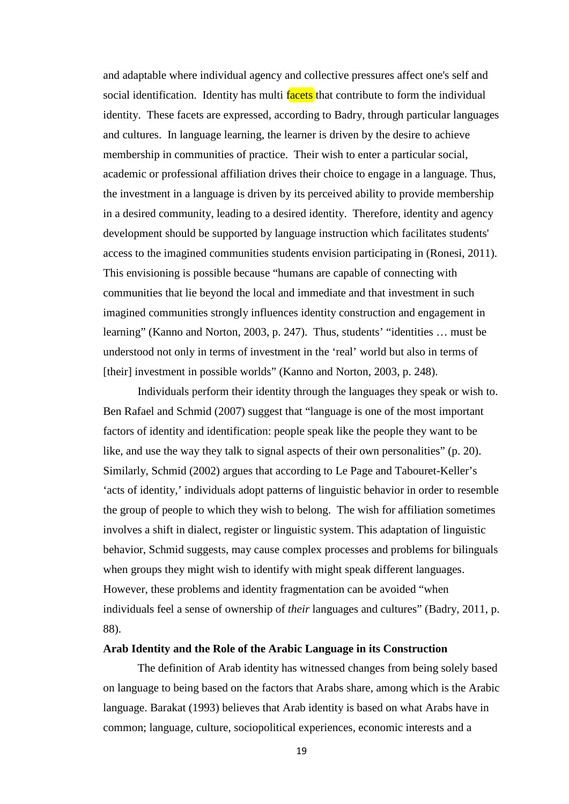and adaptable where individual agency and collective pressures affect one's self and social identification. Identity has multi facets that contribute to form the individual identity. These facets are expressed, according to Badry, through particular languages and cultures. In language learning, the learner is driven by the desire to achieve membership in communities of practice. Their wish to enter a particular social, academic or professional affiliation drives their choice to engage in a language. Thus, the investment in a language is driven by its perceived ability to provide membership in a desired community, leading to a desired identity. Therefore, identity and agency development should be supported by language instruction which facilitates students' access to the imagined communities students envision participating in (Ronesi, 2011). This envisioning is possible because "humans are capable of connecting with communities that lie beyond the local and immediate and that investment in such imagined communities strongly influences identity construction and engagement in learning" (Kanno and Norton, 2003, p. 247). Thus, students' "identities … must be understood not only in terms of investment in the 'real' world but also in terms of [their] investment in possible worlds" (Kanno and Norton, 2003, p. 248).

Individuals perform their identity through the languages they speak or wish to. Ben Rafael and Schmid (2007) suggest that "language is one of the most important factors of identity and identification: people speak like the people they want to be like, and use the way they talk to signal aspects of their own personalities" (p. 20). Similarly, Schmid (2002) argues that according to Le Page and Tabouret-Keller's 'acts of identity,' individuals adopt patterns of linguistic behavior in order to resemble the group of people to which they wish to belong. The wish for affiliation sometimes involves a shift in dialect, register or linguistic system. This adaptation of linguistic behavior, Schmid suggests, may cause complex processes and problems for bilinguals when groups they might wish to identify with might speak different languages. However, these problems and identity fragmentation can be avoided "when individuals feel a sense of ownership of *their* languages and cultures" (Badry, 2011, p. 88).

#### **Arab Identity and the Role of the Arabic Language in its Construction**

The definition of Arab identity has witnessed changes from being solely based on language to being based on the factors that Arabs share, among which is the Arabic language. Barakat (1993) believes that Arab identity is based on what Arabs have in common; language, culture, sociopolitical experiences, economic interests and a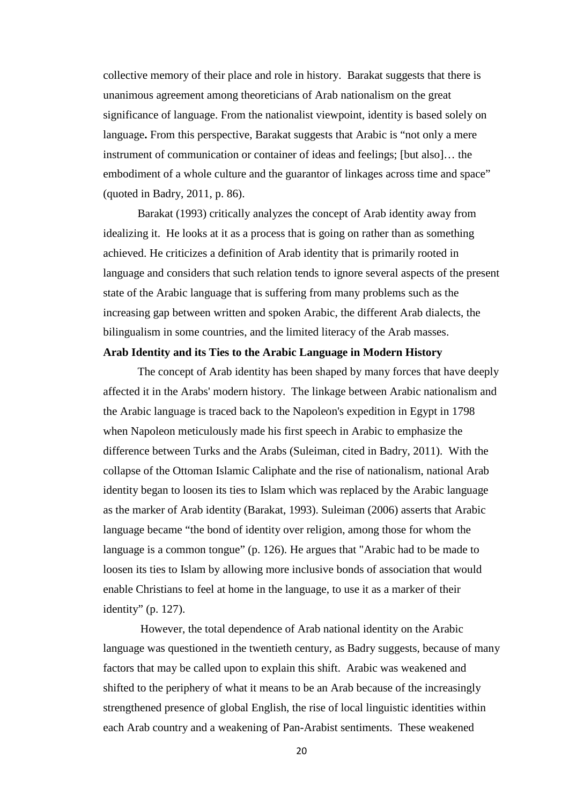collective memory of their place and role in history. Barakat suggests that there is unanimous agreement among theoreticians of Arab nationalism on the great significance of language. From the nationalist viewpoint, identity is based solely on language**.** From this perspective, Barakat suggests that Arabic is "not only a mere instrument of communication or container of ideas and feelings; [but also]… the embodiment of a whole culture and the guarantor of linkages across time and space" (quoted in Badry, 2011, p. 86).

Barakat (1993) critically analyzes the concept of Arab identity away from idealizing it. He looks at it as a process that is going on rather than as something achieved. He criticizes a definition of Arab identity that is primarily rooted in language and considers that such relation tends to ignore several aspects of the present state of the Arabic language that is suffering from many problems such as the increasing gap between written and spoken Arabic, the different Arab dialects, the bilingualism in some countries, and the limited literacy of the Arab masses.

### **Arab Identity and its Ties to the Arabic Language in Modern History**

The concept of Arab identity has been shaped by many forces that have deeply affected it in the Arabs' modern history. The linkage between Arabic nationalism and the Arabic language is traced back to the Napoleon's expedition in Egypt in 1798 when Napoleon meticulously made his first speech in Arabic to emphasize the difference between Turks and the Arabs (Suleiman, cited in Badry, 2011). With the collapse of the Ottoman Islamic Caliphate and the rise of nationalism, national Arab identity began to loosen its ties to Islam which was replaced by the Arabic language as the marker of Arab identity (Barakat, 1993). Suleiman (2006) asserts that Arabic language became "the bond of identity over religion, among those for whom the language is a common tongue" (p. 126). He argues that "Arabic had to be made to loosen its ties to Islam by allowing more inclusive bonds of association that would enable Christians to feel at home in the language, to use it as a marker of their identity" (p. 127).

However, the total dependence of Arab national identity on the Arabic language was questioned in the twentieth century, as Badry suggests, because of many factors that may be called upon to explain this shift. Arabic was weakened and shifted to the periphery of what it means to be an Arab because of the increasingly strengthened presence of global English, the rise of local linguistic identities within each Arab country and a weakening of Pan-Arabist sentiments. These weakened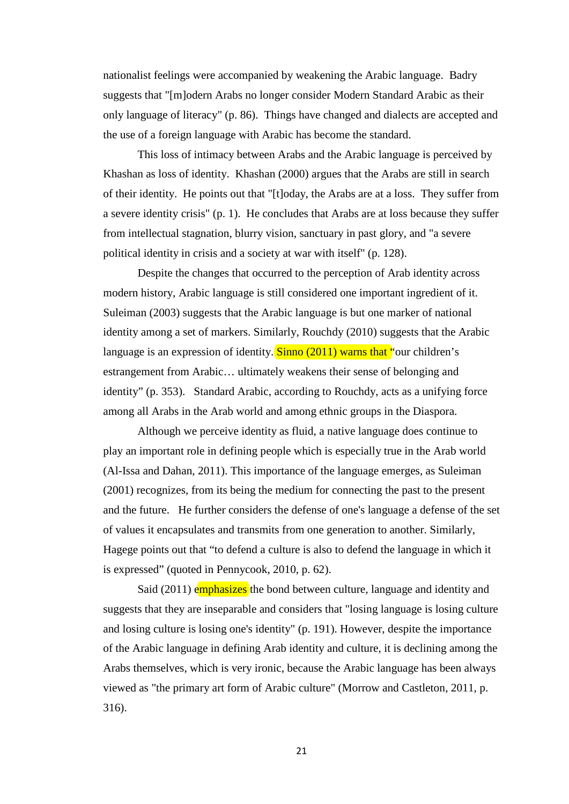nationalist feelings were accompanied by weakening the Arabic language. Badry suggests that "[m]odern Arabs no longer consider Modern Standard Arabic as their only language of literacy" (p. 86). Things have changed and dialects are accepted and the use of a foreign language with Arabic has become the standard.

This loss of intimacy between Arabs and the Arabic language is perceived by Khashan as loss of identity. Khashan (2000) argues that the Arabs are still in search of their identity. He points out that "[t]oday, the Arabs are at a loss. They suffer from a severe identity crisis" (p. 1). He concludes that Arabs are at loss because they suffer from intellectual stagnation, blurry vision, sanctuary in past glory, and "a severe political identity in crisis and a society at war with itself" (p. 128).

Despite the changes that occurred to the perception of Arab identity across modern history, Arabic language is still considered one important ingredient of it. Suleiman (2003) suggests that the Arabic language is but one marker of national identity among a set of markers. Similarly, Rouchdy (2010) suggests that the Arabic language is an expression of identity. Sinno  $(2011)$  warns that "our children's estrangement from Arabic… ultimately weakens their sense of belonging and identity" (p. 353). Standard Arabic, according to Rouchdy, acts as a unifying force among all Arabs in the Arab world and among ethnic groups in the Diaspora.

Although we perceive identity as fluid, a native language does continue to play an important role in defining people which is especially true in the Arab world (Al-Issa and Dahan, 2011). This importance of the language emerges, as Suleiman (2001) recognizes, from its being the medium for connecting the past to the present and the future. He further considers the defense of one's language a defense of the set of values it encapsulates and transmits from one generation to another. Similarly, Hagege points out that "to defend a culture is also to defend the language in which it is expressed" (quoted in Pennycook, 2010, p. 62).

Said (2011) emphasizes the bond between culture, language and identity and suggests that they are inseparable and considers that "losing language is losing culture and losing culture is losing one's identity" (p. 191). However, despite the importance of the Arabic language in defining Arab identity and culture, it is declining among the Arabs themselves, which is very ironic, because the Arabic language has been always viewed as "the primary art form of Arabic culture" (Morrow and Castleton, 2011, p. 316).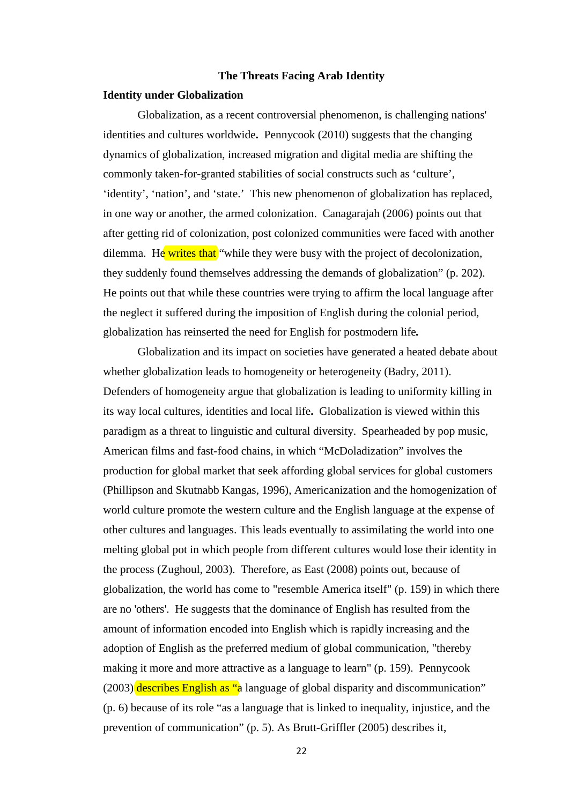#### **The Threats Facing Arab Identity**

#### **Identity under Globalization**

Globalization, as a recent controversial phenomenon, is challenging nations' identities and cultures worldwide**.** Pennycook (2010) suggests that the changing dynamics of globalization, increased migration and digital media are shifting the commonly taken-for-granted stabilities of social constructs such as 'culture', 'identity', 'nation', and 'state.' This new phenomenon of globalization has replaced, in one way or another, the armed colonization. Canagarajah (2006) points out that after getting rid of colonization, post colonized communities were faced with another dilemma. He writes that "while they were busy with the project of decolonization, they suddenly found themselves addressing the demands of globalization" (p. 202). He points out that while these countries were trying to affirm the local language after the neglect it suffered during the imposition of English during the colonial period, globalization has reinserted the need for English for postmodern life*.* 

Globalization and its impact on societies have generated a heated debate about whether globalization leads to homogeneity or heterogeneity (Badry, 2011). Defenders of homogeneity argue that globalization is leading to uniformity killing in its way local cultures, identities and local life**.** Globalization is viewed within this paradigm as a threat to linguistic and cultural diversity. Spearheaded by pop music, American films and fast-food chains, in which "McDoladization" involves the production for global market that seek affording global services for global customers (Phillipson and Skutnabb Kangas, 1996), Americanization and the homogenization of world culture promote the western culture and the English language at the expense of other cultures and languages. This leads eventually to assimilating the world into one melting global pot in which people from different cultures would lose their identity in the process (Zughoul, 2003). Therefore, as East (2008) points out, because of globalization, the world has come to "resemble America itself" (p. 159) in which there are no 'others'. He suggests that the dominance of English has resulted from the amount of information encoded into English which is rapidly increasing and the adoption of English as the preferred medium of global communication, "thereby making it more and more attractive as a language to learn" (p. 159). Pennycook (2003) describes English as "a language of global disparity and discommunication" (p. 6) because of its role "as a language that is linked to inequality, injustice, and the prevention of communication" (p. 5). As Brutt-Griffler (2005) describes it,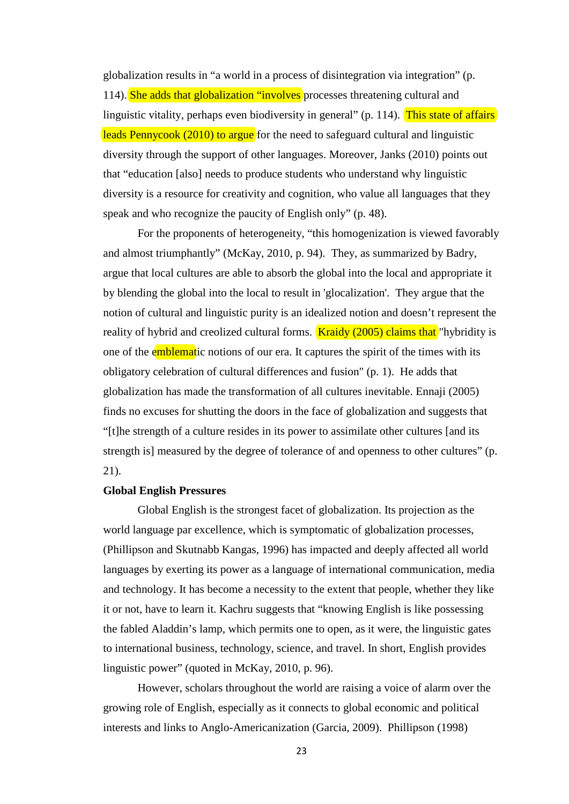globalization results in "a world in a process of disintegration via integration" (p. 114). She adds that globalization "involves processes threatening cultural and linguistic vitality, perhaps even biodiversity in general" (p. 114). This state of affairs leads Pennycook (2010) to argue for the need to safeguard cultural and linguistic diversity through the support of other languages. Moreover, Janks (2010) points out that "education [also] needs to produce students who understand why linguistic diversity is a resource for creativity and cognition, who value all languages that they speak and who recognize the paucity of English only" (p. 48).

For the proponents of heterogeneity, "this homogenization is viewed favorably and almost triumphantly" (McKay, 2010, p. 94). They, as summarized by Badry, argue that local cultures are able to absorb the global into the local and appropriate it by blending the global into the local to result in 'glocalization'. They argue that the notion of cultural and linguistic purity is an idealized notion and doesn't represent the reality of hybrid and creolized cultural forms. **Kraidy (2005) claims that** "hybridity is one of the emblematic notions of our era. It captures the spirit of the times with its obligatory celebration of cultural differences and fusion" (p. 1). He adds that globalization has made the transformation of all cultures inevitable. Ennaji (2005) finds no excuses for shutting the doors in the face of globalization and suggests that "[t]he strength of a culture resides in its power to assimilate other cultures [and its strength is] measured by the degree of tolerance of and openness to other cultures" (p. 21).

#### **Global English Pressures**

Global English is the strongest facet of globalization. Its projection as the world language par excellence, which is symptomatic of globalization processes, (Phillipson and Skutnabb Kangas, 1996) has impacted and deeply affected all world languages by exerting its power as a language of international communication, media and technology. It has become a necessity to the extent that people, whether they like it or not, have to learn it. Kachru suggests that "knowing English is like possessing the fabled Aladdin's lamp, which permits one to open, as it were, the linguistic gates to international business, technology, science, and travel. In short, English provides linguistic power" (quoted in McKay, 2010, p. 96).

However, scholars throughout the world are raising a voice of alarm over the growing role of English, especially as it connects to global economic and political interests and links to Anglo-Americanization (Garcia, 2009). Phillipson (1998)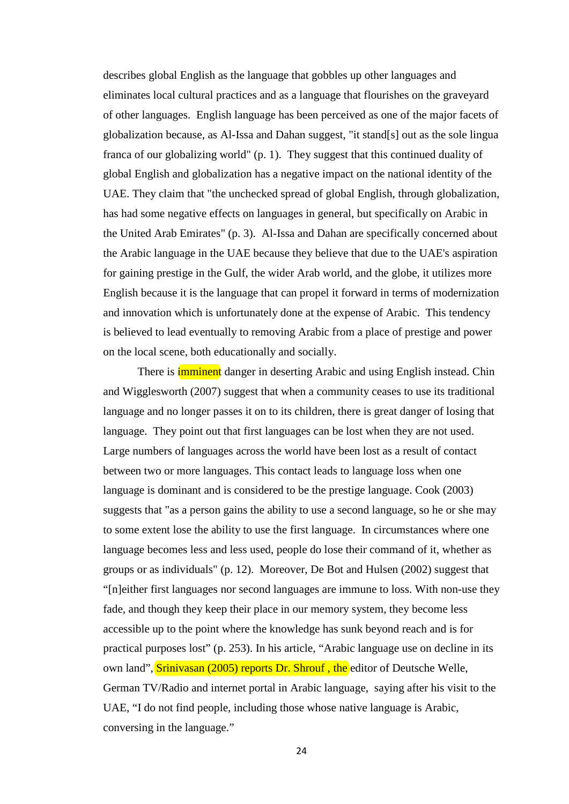describes global English as the language that gobbles up other languages and eliminates local cultural practices and as a language that flourishes on the graveyard of other languages. English language has been perceived as one of the major facets of globalization because, as Al-Issa and Dahan suggest, "it stand[s] out as the sole lingua franca of our globalizing world" (p. 1). They suggest that this continued duality of global English and globalization has a negative impact on the national identity of the UAE. They claim that "the unchecked spread of global English, through globalization, has had some negative effects on languages in general, but specifically on Arabic in the United Arab Emirates" (p. 3). Al-Issa and Dahan are specifically concerned about the Arabic language in the UAE because they believe that due to the UAE's aspiration for gaining prestige in the Gulf, the wider Arab world, and the globe, it utilizes more English because it is the language that can propel it forward in terms of modernization and innovation which is unfortunately done at the expense of Arabic. This tendency is believed to lead eventually to removing Arabic from a place of prestige and power on the local scene, both educationally and socially.

There is **imminent** danger in deserting Arabic and using English instead. Chin and Wigglesworth (2007) suggest that when a community ceases to use its traditional language and no longer passes it on to its children, there is great danger of losing that language. They point out that first languages can be lost when they are not used. Large numbers of languages across the world have been lost as a result of contact between two or more languages. This contact leads to language loss when one language is dominant and is considered to be the prestige language. Cook (2003) suggests that "as a person gains the ability to use a second language, so he or she may to some extent lose the ability to use the first language. In circumstances where one language becomes less and less used, people do lose their command of it, whether as groups or as individuals" (p. 12). Moreover, De Bot and Hulsen (2002) suggest that "[n]either first languages nor second languages are immune to loss. With non-use they fade, and though they keep their place in our memory system, they become less accessible up to the point where the knowledge has sunk beyond reach and is for practical purposes lost" (p. 253). In his article, "Arabic language use on decline in its own land", Srinivasan (2005) reports Dr. Shrouf, the editor of Deutsche Welle, German TV/Radio and internet portal in Arabic language, saying after his visit to the UAE, "I do not find people, including those whose native language is Arabic, conversing in the language."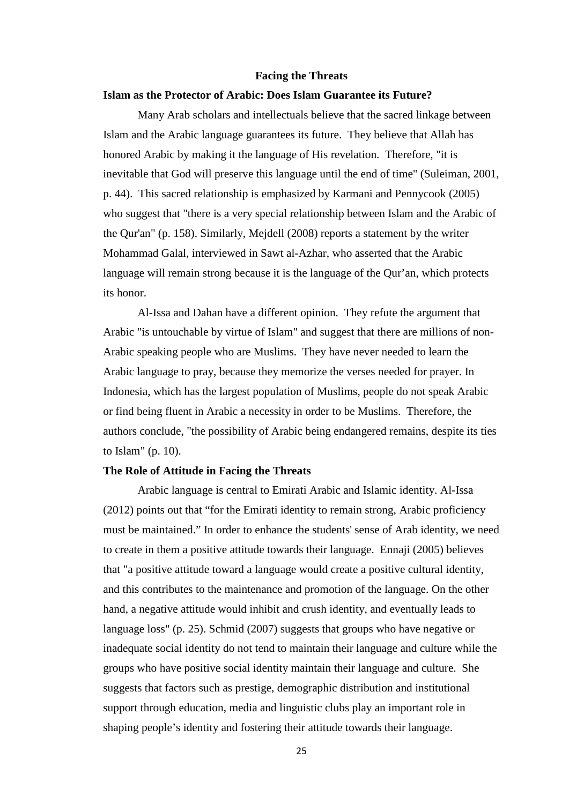#### **Facing the Threats**

#### **Islam as the Protector of Arabic: Does Islam Guarantee its Future?**

Many Arab scholars and intellectuals believe that the sacred linkage between Islam and the Arabic language guarantees its future. They believe that Allah has honored Arabic by making it the language of His revelation. Therefore, "it is inevitable that God will preserve this language until the end of time" (Suleiman, 2001, p. 44). This sacred relationship is emphasized by Karmani and Pennycook (2005) who suggest that "there is a very special relationship between Islam and the Arabic of the Qur'an" (p. 158). Similarly, Mejdell (2008) reports a statement by the writer Mohammad Galal, interviewed in Sawt al-Azhar, who asserted that the Arabic language will remain strong because it is the language of the Qur'an, which protects its honor.

Al-Issa and Dahan have a different opinion. They refute the argument that Arabic "is untouchable by virtue of Islam" and suggest that there are millions of non-Arabic speaking people who are Muslims. They have never needed to learn the Arabic language to pray, because they memorize the verses needed for prayer. In Indonesia, which has the largest population of Muslims, people do not speak Arabic or find being fluent in Arabic a necessity in order to be Muslims. Therefore, the authors conclude, "the possibility of Arabic being endangered remains, despite its ties to Islam" (p. 10).

#### **The Role of Attitude in Facing the Threats**

Arabic language is central to Emirati Arabic and Islamic identity. Al-Issa (2012) points out that "for the Emirati identity to remain strong, Arabic proficiency must be maintained." In order to enhance the students' sense of Arab identity, we need to create in them a positive attitude towards their language. Ennaji (2005) believes that "a positive attitude toward a language would create a positive cultural identity, and this contributes to the maintenance and promotion of the language. On the other hand, a negative attitude would inhibit and crush identity, and eventually leads to language loss" (p. 25). Schmid (2007) suggests that groups who have negative or inadequate social identity do not tend to maintain their language and culture while the groups who have positive social identity maintain their language and culture. She suggests that factors such as prestige, demographic distribution and institutional support through education, media and linguistic clubs play an important role in shaping people's identity and fostering their attitude towards their language.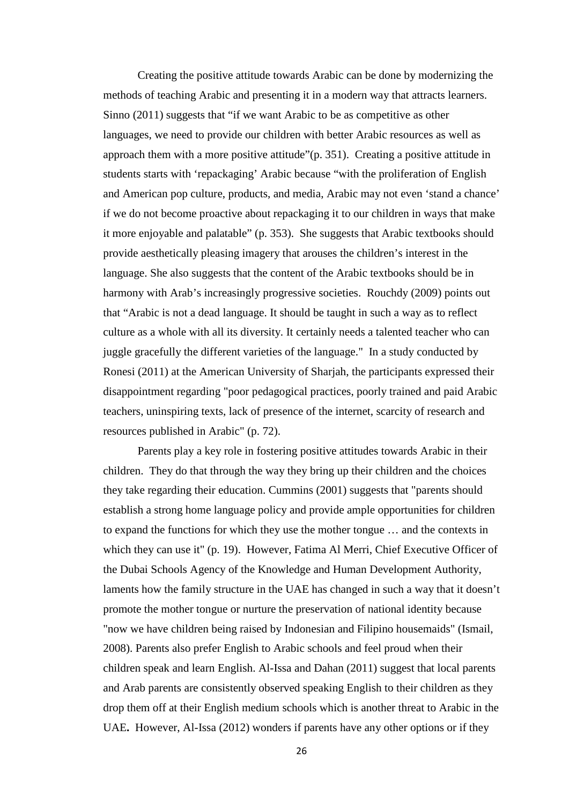Creating the positive attitude towards Arabic can be done by modernizing the methods of teaching Arabic and presenting it in a modern way that attracts learners. Sinno (2011) suggests that "if we want Arabic to be as competitive as other languages, we need to provide our children with better Arabic resources as well as approach them with a more positive attitude"(p. 351). Creating a positive attitude in students starts with 'repackaging' Arabic because "with the proliferation of English and American pop culture, products, and media, Arabic may not even 'stand a chance' if we do not become proactive about repackaging it to our children in ways that make it more enjoyable and palatable" (p. 353). She suggests that Arabic textbooks should provide aesthetically pleasing imagery that arouses the children's interest in the language. She also suggests that the content of the Arabic textbooks should be in harmony with Arab's increasingly progressive societies. Rouchdy (2009) points out that "Arabic is not a dead language. It should be taught in such a way as to reflect culture as a whole with all its diversity. It certainly needs a talented teacher who can juggle gracefully the different varieties of the language." In a study conducted by Ronesi (2011) at the American University of Sharjah, the participants expressed their disappointment regarding "poor pedagogical practices, poorly trained and paid Arabic teachers, uninspiring texts, lack of presence of the internet, scarcity of research and resources published in Arabic" (p. 72).

Parents play a key role in fostering positive attitudes towards Arabic in their children. They do that through the way they bring up their children and the choices they take regarding their education. Cummins (2001) suggests that "parents should establish a strong home language policy and provide ample opportunities for children to expand the functions for which they use the mother tongue … and the contexts in which they can use it" (p. 19). However, Fatima Al Merri, Chief Executive Officer of the Dubai Schools Agency of the Knowledge and Human Development Authority, laments how the family structure in the UAE has changed in such a way that it doesn't promote the mother tongue or nurture the preservation of national identity because "now we have children being raised by Indonesian and Filipino housemaids" (Ismail, 2008). Parents also prefer English to Arabic schools and feel proud when their children speak and learn English. Al-Issa and Dahan (2011) suggest that local parents and Arab parents are consistently observed speaking English to their children as they drop them off at their English medium schools which is another threat to Arabic in the UAE**.** However, Al-Issa (2012) wonders if parents have any other options or if they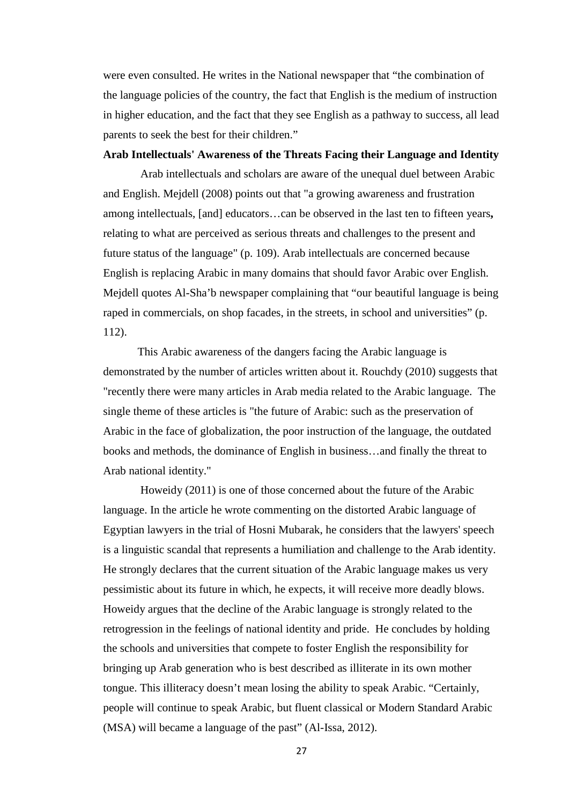were even consulted. He writes in the National newspaper that "the combination of the language policies of the country, the fact that English is the medium of instruction in higher education, and the fact that they see English as a pathway to success, all lead parents to seek the best for their children."

### **Arab Intellectuals' Awareness of the Threats Facing their Language and Identity**

Arab intellectuals and scholars are aware of the unequal duel between Arabic and English. Mejdell (2008) points out that "a growing awareness and frustration among intellectuals, [and] educators…can be observed in the last ten to fifteen years**,**  relating to what are perceived as serious threats and challenges to the present and future status of the language" (p. 109). Arab intellectuals are concerned because English is replacing Arabic in many domains that should favor Arabic over English. Mejdell quotes Al-Sha'b newspaper complaining that "our beautiful language is being raped in commercials, on shop facades, in the streets, in school and universities" (p. 112).

This Arabic awareness of the dangers facing the Arabic language is demonstrated by the number of articles written about it. Rouchdy (2010) suggests that "recently there were many articles in Arab media related to the Arabic language. The single theme of these articles is "the future of Arabic: such as the preservation of Arabic in the face of globalization, the poor instruction of the language, the outdated books and methods, the dominance of English in business…and finally the threat to Arab national identity."

Howeidy (2011) is one of those concerned about the future of the Arabic language. In the article he wrote commenting on the distorted Arabic language of Egyptian lawyers in the trial of Hosni Mubarak, he considers that the lawyers' speech is a linguistic scandal that represents a humiliation and challenge to the Arab identity. He strongly declares that the current situation of the Arabic language makes us very pessimistic about its future in which, he expects, it will receive more deadly blows. Howeidy argues that the decline of the Arabic language is strongly related to the retrogression in the feelings of national identity and pride. He concludes by holding the schools and universities that compete to foster English the responsibility for bringing up Arab generation who is best described as illiterate in its own mother tongue. This illiteracy doesn't mean losing the ability to speak Arabic. "Certainly, people will continue to speak Arabic, but fluent classical or Modern Standard Arabic (MSA) will became a language of the past" (Al-Issa, 2012).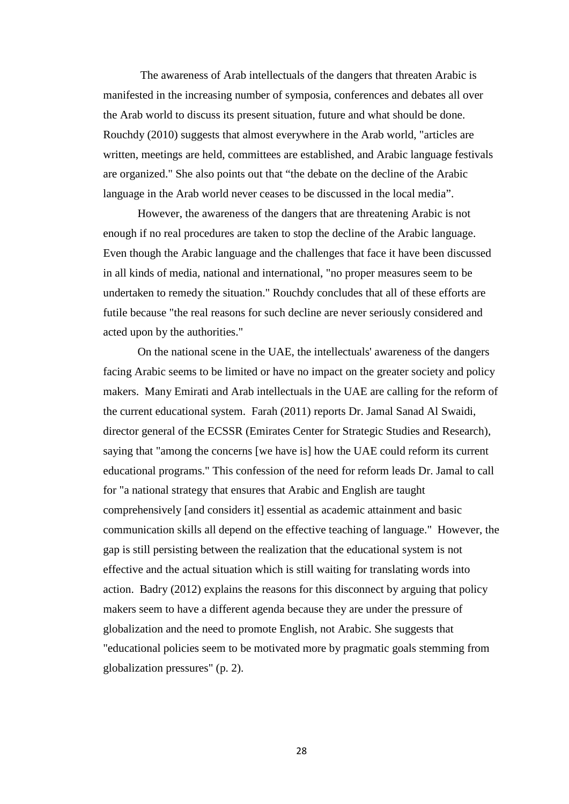The awareness of Arab intellectuals of the dangers that threaten Arabic is manifested in the increasing number of symposia, conferences and debates all over the Arab world to discuss its present situation, future and what should be done. Rouchdy (2010) suggests that almost everywhere in the Arab world, "articles are written, meetings are held, committees are established, and Arabic language festivals are organized." She also points out that "the debate on the decline of the Arabic language in the Arab world never ceases to be discussed in the local media".

However, the awareness of the dangers that are threatening Arabic is not enough if no real procedures are taken to stop the decline of the Arabic language. Even though the Arabic language and the challenges that face it have been discussed in all kinds of media, national and international, "no proper measures seem to be undertaken to remedy the situation." Rouchdy concludes that all of these efforts are futile because "the real reasons for such decline are never seriously considered and acted upon by the authorities."

On the national scene in the UAE, the intellectuals' awareness of the dangers facing Arabic seems to be limited or have no impact on the greater society and policy makers. Many Emirati and Arab intellectuals in the UAE are calling for the reform of the current educational system. Farah (2011) reports Dr. Jamal Sanad Al Swaidi, director general of the ECSSR (Emirates Center for Strategic Studies and Research), saying that "among the concerns [we have is] how the UAE could reform its current educational programs." This confession of the need for reform leads Dr. Jamal to call for "a national strategy that ensures that Arabic and English are taught comprehensively [and considers it] essential as academic attainment and basic communication skills all depend on the effective teaching of language." However, the gap is still persisting between the realization that the educational system is not effective and the actual situation which is still waiting for translating words into action. Badry (2012) explains the reasons for this disconnect by arguing that policy makers seem to have a different agenda because they are under the pressure of globalization and the need to promote English, not Arabic. She suggests that "educational policies seem to be motivated more by pragmatic goals stemming from globalization pressures" (p. 2).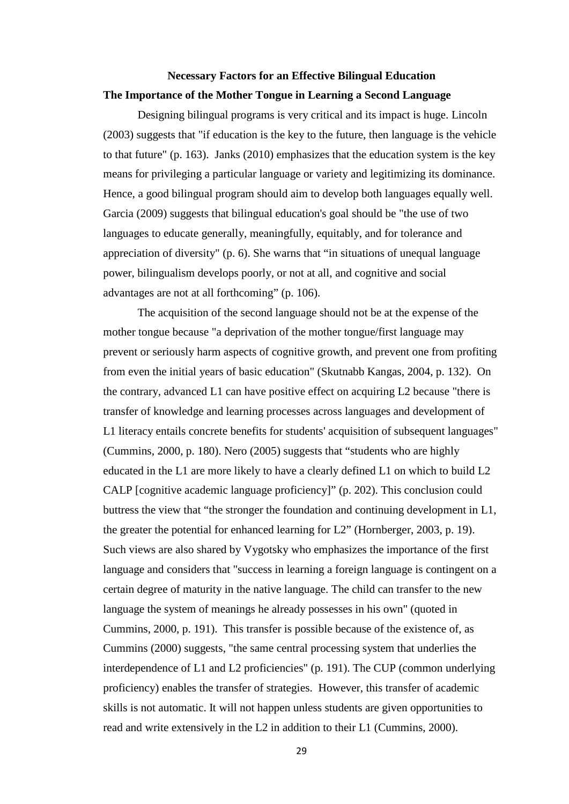# **Necessary Factors for an Effective Bilingual Education The Importance of the Mother Tongue in Learning a Second Language**

Designing bilingual programs is very critical and its impact is huge. Lincoln (2003) suggests that "if education is the key to the future, then language is the vehicle to that future" (p. 163). Janks (2010) emphasizes that the education system is the key means for privileging a particular language or variety and legitimizing its dominance. Hence, a good bilingual program should aim to develop both languages equally well. Garcia (2009) suggests that bilingual education's goal should be "the use of two languages to educate generally, meaningfully, equitably, and for tolerance and appreciation of diversity" (p. 6). She warns that "in situations of unequal language power, bilingualism develops poorly, or not at all, and cognitive and social advantages are not at all forthcoming" (p. 106).

The acquisition of the second language should not be at the expense of the mother tongue because "a deprivation of the mother tongue/first language may prevent or seriously harm aspects of cognitive growth, and prevent one from profiting from even the initial years of basic education" (Skutnabb Kangas, 2004, p. 132). On the contrary, advanced L1 can have positive effect on acquiring L2 because "there is transfer of knowledge and learning processes across languages and development of L1 literacy entails concrete benefits for students' acquisition of subsequent languages" (Cummins, 2000, p. 180). Nero (2005) suggests that "students who are highly educated in the L1 are more likely to have a clearly defined L1 on which to build L2 CALP [cognitive academic language proficiency]" (p. 202). This conclusion could buttress the view that "the stronger the foundation and continuing development in L1, the greater the potential for enhanced learning for L2" (Hornberger, 2003, p. 19). Such views are also shared by Vygotsky who emphasizes the importance of the first language and considers that "success in learning a foreign language is contingent on a certain degree of maturity in the native language. The child can transfer to the new language the system of meanings he already possesses in his own" (quoted in Cummins, 2000, p. 191). This transfer is possible because of the existence of, as Cummins (2000) suggests, "the same central processing system that underlies the interdependence of L1 and L2 proficiencies" (p. 191). The CUP (common underlying proficiency) enables the transfer of strategies. However, this transfer of academic skills is not automatic. It will not happen unless students are given opportunities to read and write extensively in the L2 in addition to their L1 (Cummins, 2000).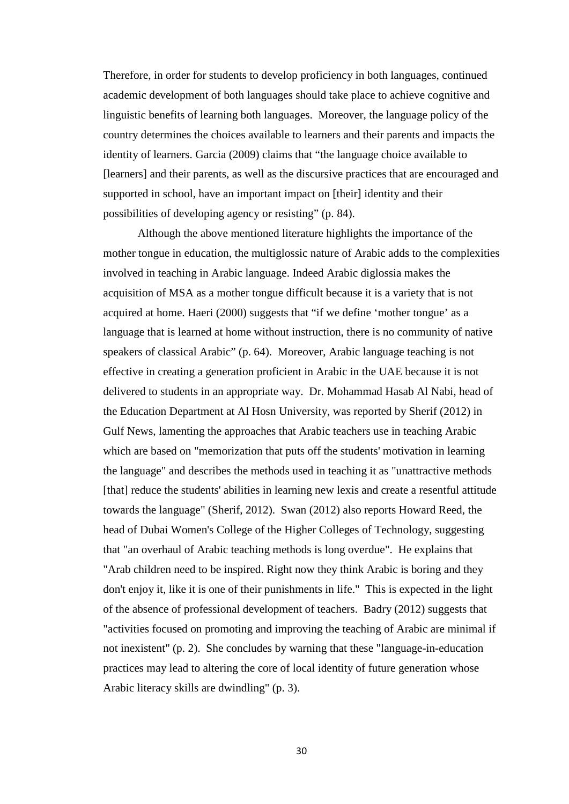Therefore, in order for students to develop proficiency in both languages, continued academic development of both languages should take place to achieve cognitive and linguistic benefits of learning both languages. Moreover, the language policy of the country determines the choices available to learners and their parents and impacts the identity of learners. Garcia (2009) claims that "the language choice available to [learners] and their parents, as well as the discursive practices that are encouraged and supported in school, have an important impact on [their] identity and their possibilities of developing agency or resisting" (p. 84).

Although the above mentioned literature highlights the importance of the mother tongue in education, the multiglossic nature of Arabic adds to the complexities involved in teaching in Arabic language. Indeed Arabic diglossia makes the acquisition of MSA as a mother tongue difficult because it is a variety that is not acquired at home. Haeri (2000) suggests that "if we define 'mother tongue' as a language that is learned at home without instruction, there is no community of native speakers of classical Arabic" (p. 64). Moreover, Arabic language teaching is not effective in creating a generation proficient in Arabic in the UAE because it is not delivered to students in an appropriate way. Dr. Mohammad Hasab Al Nabi, head of the Education Department at Al Hosn University, was reported by Sherif (2012) in Gulf News, lamenting the approaches that Arabic teachers use in teaching Arabic which are based on "memorization that puts off the students' motivation in learning the language" and describes the methods used in teaching it as "unattractive methods [that] reduce the students' abilities in learning new lexis and create a resentful attitude towards the language" (Sherif, 2012). Swan (2012) also reports Howard Reed, the head of Dubai Women's College of the Higher Colleges of Technology, suggesting that "an overhaul of Arabic teaching methods is long overdue". He explains that "Arab children need to be inspired. Right now they think Arabic is boring and they don't enjoy it, like it is one of their punishments in life." This is expected in the light of the absence of professional development of teachers. Badry (2012) suggests that "activities focused on promoting and improving the teaching of Arabic are minimal if not inexistent" (p. 2). She concludes by warning that these "language-in-education practices may lead to altering the core of local identity of future generation whose Arabic literacy skills are dwindling" (p. 3).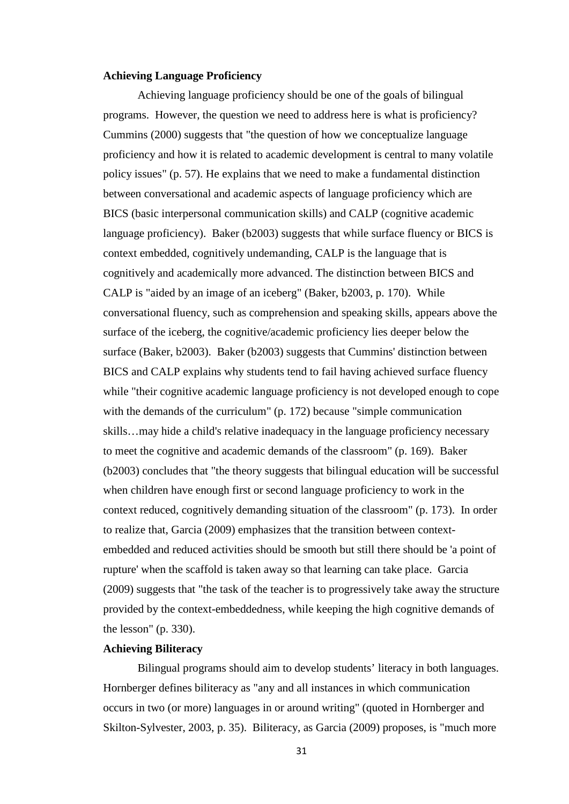#### **Achieving Language Proficiency**

Achieving language proficiency should be one of the goals of bilingual programs. However, the question we need to address here is what is proficiency? Cummins (2000) suggests that "the question of how we conceptualize language proficiency and how it is related to academic development is central to many volatile policy issues" (p. 57). He explains that we need to make a fundamental distinction between conversational and academic aspects of language proficiency which are BICS (basic interpersonal communication skills) and CALP (cognitive academic language proficiency). Baker (b2003) suggests that while surface fluency or BICS is context embedded, cognitively undemanding, CALP is the language that is cognitively and academically more advanced. The distinction between BICS and CALP is "aided by an image of an iceberg" (Baker, b2003, p. 170). While conversational fluency, such as comprehension and speaking skills, appears above the surface of the iceberg, the cognitive/academic proficiency lies deeper below the surface (Baker, b2003). Baker (b2003) suggests that Cummins' distinction between BICS and CALP explains why students tend to fail having achieved surface fluency while "their cognitive academic language proficiency is not developed enough to cope with the demands of the curriculum" (p. 172) because "simple communication skills…may hide a child's relative inadequacy in the language proficiency necessary to meet the cognitive and academic demands of the classroom" (p. 169). Baker (b2003) concludes that "the theory suggests that bilingual education will be successful when children have enough first or second language proficiency to work in the context reduced, cognitively demanding situation of the classroom" (p. 173). In order to realize that, Garcia (2009) emphasizes that the transition between contextembedded and reduced activities should be smooth but still there should be 'a point of rupture' when the scaffold is taken away so that learning can take place. Garcia (2009) suggests that "the task of the teacher is to progressively take away the structure provided by the context-embeddedness, while keeping the high cognitive demands of the lesson" (p. 330).

#### **Achieving Biliteracy**

Bilingual programs should aim to develop students' literacy in both languages. Hornberger defines biliteracy as "any and all instances in which communication occurs in two (or more) languages in or around writing" (quoted in Hornberger and Skilton-Sylvester, 2003, p. 35). Biliteracy, as Garcia (2009) proposes, is "much more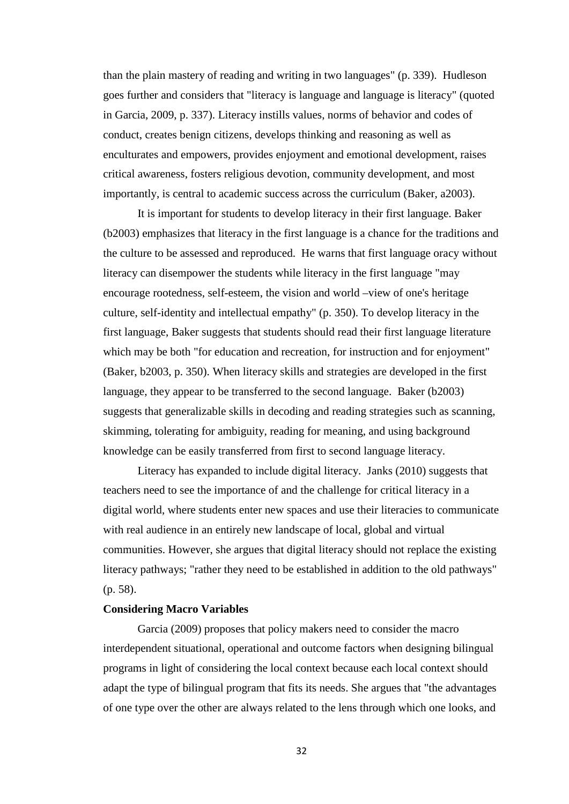than the plain mastery of reading and writing in two languages" (p. 339). Hudleson goes further and considers that "literacy is language and language is literacy" (quoted in Garcia, 2009, p. 337). Literacy instills values, norms of behavior and codes of conduct, creates benign citizens, develops thinking and reasoning as well as enculturates and empowers, provides enjoyment and emotional development, raises critical awareness, fosters religious devotion, community development, and most importantly, is central to academic success across the curriculum (Baker, a2003).

It is important for students to develop literacy in their first language. Baker (b2003) emphasizes that literacy in the first language is a chance for the traditions and the culture to be assessed and reproduced. He warns that first language oracy without literacy can disempower the students while literacy in the first language "may encourage rootedness, self-esteem, the vision and world –view of one's heritage culture, self-identity and intellectual empathy" (p. 350). To develop literacy in the first language, Baker suggests that students should read their first language literature which may be both "for education and recreation, for instruction and for enjoyment" (Baker, b2003, p. 350). When literacy skills and strategies are developed in the first language, they appear to be transferred to the second language. Baker (b2003) suggests that generalizable skills in decoding and reading strategies such as scanning, skimming, tolerating for ambiguity, reading for meaning, and using background knowledge can be easily transferred from first to second language literacy.

Literacy has expanded to include digital literacy. Janks (2010) suggests that teachers need to see the importance of and the challenge for critical literacy in a digital world, where students enter new spaces and use their literacies to communicate with real audience in an entirely new landscape of local, global and virtual communities. However, she argues that digital literacy should not replace the existing literacy pathways; "rather they need to be established in addition to the old pathways" (p. 58).

#### **Considering Macro Variables**

Garcia (2009) proposes that policy makers need to consider the macro interdependent situational, operational and outcome factors when designing bilingual programs in light of considering the local context because each local context should adapt the type of bilingual program that fits its needs. She argues that "the advantages of one type over the other are always related to the lens through which one looks, and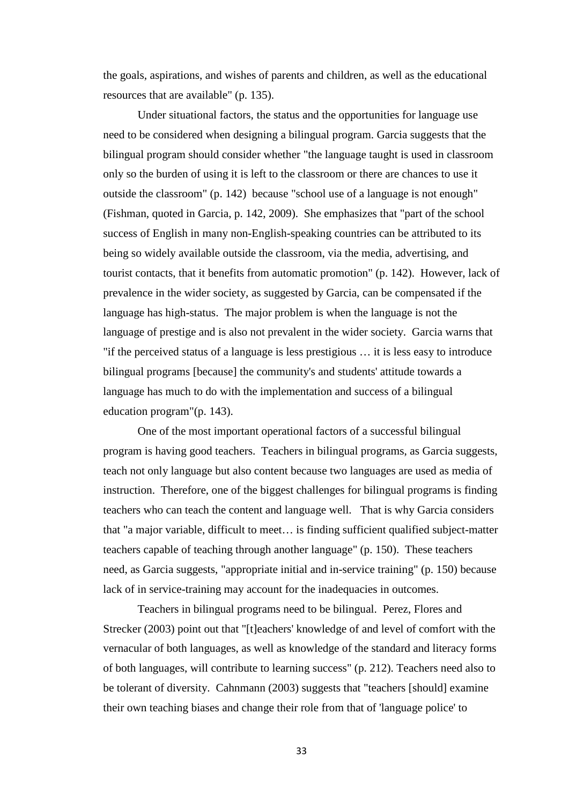the goals, aspirations, and wishes of parents and children, as well as the educational resources that are available" (p. 135).

Under situational factors, the status and the opportunities for language use need to be considered when designing a bilingual program. Garcia suggests that the bilingual program should consider whether "the language taught is used in classroom only so the burden of using it is left to the classroom or there are chances to use it outside the classroom" (p. 142) because "school use of a language is not enough" (Fishman, quoted in Garcia, p. 142, 2009). She emphasizes that "part of the school success of English in many non-English-speaking countries can be attributed to its being so widely available outside the classroom, via the media, advertising, and tourist contacts, that it benefits from automatic promotion" (p. 142). However, lack of prevalence in the wider society, as suggested by Garcia, can be compensated if the language has high-status. The major problem is when the language is not the language of prestige and is also not prevalent in the wider society. Garcia warns that "if the perceived status of a language is less prestigious … it is less easy to introduce bilingual programs [because] the community's and students' attitude towards a language has much to do with the implementation and success of a bilingual education program"(p. 143).

One of the most important operational factors of a successful bilingual program is having good teachers. Teachers in bilingual programs, as Garcia suggests, teach not only language but also content because two languages are used as media of instruction. Therefore, one of the biggest challenges for bilingual programs is finding teachers who can teach the content and language well. That is why Garcia considers that "a major variable, difficult to meet… is finding sufficient qualified subject-matter teachers capable of teaching through another language" (p. 150). These teachers need, as Garcia suggests, "appropriate initial and in-service training" (p. 150) because lack of in service-training may account for the inadequacies in outcomes.

Teachers in bilingual programs need to be bilingual. Perez, Flores and Strecker (2003) point out that "[t]eachers' knowledge of and level of comfort with the vernacular of both languages, as well as knowledge of the standard and literacy forms of both languages, will contribute to learning success" (p. 212). Teachers need also to be tolerant of diversity. Cahnmann (2003) suggests that "teachers [should] examine their own teaching biases and change their role from that of 'language police' to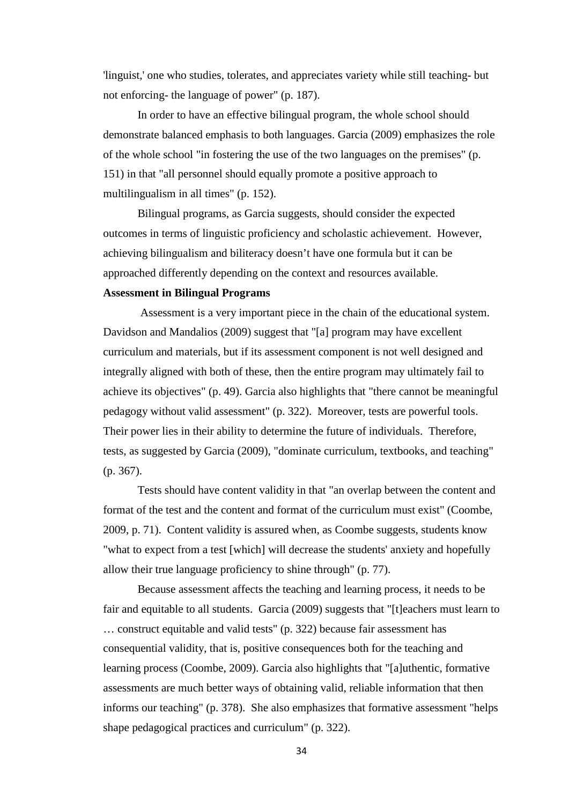'linguist,' one who studies, tolerates, and appreciates variety while still teaching- but not enforcing- the language of power" (p. 187).

In order to have an effective bilingual program, the whole school should demonstrate balanced emphasis to both languages. Garcia (2009) emphasizes the role of the whole school "in fostering the use of the two languages on the premises" (p. 151) in that "all personnel should equally promote a positive approach to multilingualism in all times" (p. 152).

Bilingual programs, as Garcia suggests, should consider the expected outcomes in terms of linguistic proficiency and scholastic achievement. However, achieving bilingualism and biliteracy doesn't have one formula but it can be approached differently depending on the context and resources available.

#### **Assessment in Bilingual Programs**

Assessment is a very important piece in the chain of the educational system. Davidson and Mandalios (2009) suggest that "[a] program may have excellent curriculum and materials, but if its assessment component is not well designed and integrally aligned with both of these, then the entire program may ultimately fail to achieve its objectives" (p. 49). Garcia also highlights that "there cannot be meaningful pedagogy without valid assessment" (p. 322). Moreover, tests are powerful tools. Their power lies in their ability to determine the future of individuals. Therefore, tests, as suggested by Garcia (2009), "dominate curriculum, textbooks, and teaching" (p. 367).

Tests should have content validity in that "an overlap between the content and format of the test and the content and format of the curriculum must exist" (Coombe, 2009, p. 71). Content validity is assured when, as Coombe suggests, students know "what to expect from a test [which] will decrease the students' anxiety and hopefully allow their true language proficiency to shine through" (p. 77).

Because assessment affects the teaching and learning process, it needs to be fair and equitable to all students. Garcia (2009) suggests that "[t]eachers must learn to … construct equitable and valid tests" (p. 322) because fair assessment has consequential validity, that is, positive consequences both for the teaching and learning process (Coombe, 2009). Garcia also highlights that "[a]uthentic, formative assessments are much better ways of obtaining valid, reliable information that then informs our teaching" (p. 378). She also emphasizes that formative assessment "helps shape pedagogical practices and curriculum" (p. 322).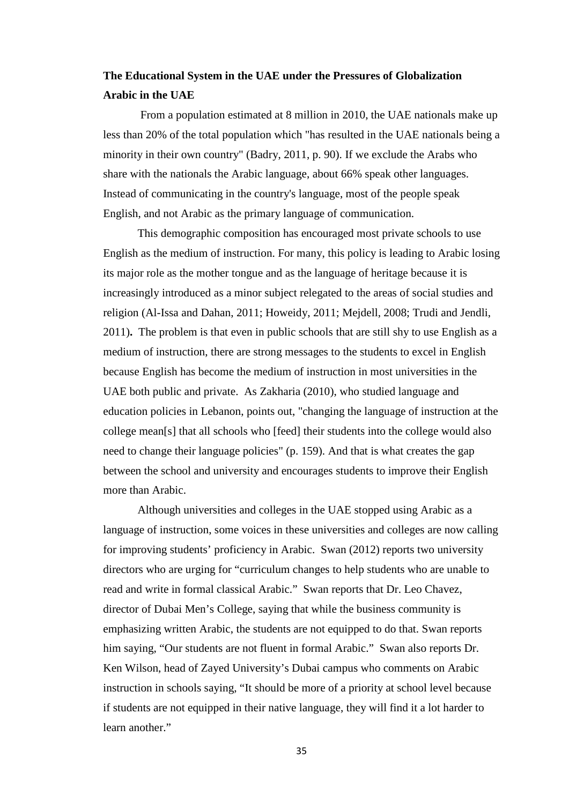# **The Educational System in the UAE under the Pressures of Globalization Arabic in the UAE**

From a population estimated at 8 million in 2010, the UAE nationals make up less than 20% of the total population which "has resulted in the UAE nationals being a minority in their own country" (Badry, 2011, p. 90). If we exclude the Arabs who share with the nationals the Arabic language, about 66% speak other languages. Instead of communicating in the country's language, most of the people speak English, and not Arabic as the primary language of communication.

This demographic composition has encouraged most private schools to use English as the medium of instruction. For many, this policy is leading to Arabic losing its major role as the mother tongue and as the language of heritage because it is increasingly introduced as a minor subject relegated to the areas of social studies and religion (Al-Issa and Dahan, 2011; Howeidy, 2011; Mejdell, 2008; Trudi and Jendli, 2011)**.** The problem is that even in public schools that are still shy to use English as a medium of instruction, there are strong messages to the students to excel in English because English has become the medium of instruction in most universities in the UAE both public and private. As Zakharia (2010), who studied language and education policies in Lebanon, points out, "changing the language of instruction at the college mean[s] that all schools who [feed] their students into the college would also need to change their language policies" (p. 159). And that is what creates the gap between the school and university and encourages students to improve their English more than Arabic.

Although universities and colleges in the UAE stopped using Arabic as a language of instruction, some voices in these universities and colleges are now calling for improving students' proficiency in Arabic. Swan (2012) reports two university directors who are urging for "curriculum changes to help students who are unable to read and write in formal classical Arabic." Swan reports that Dr. Leo Chavez, director of Dubai Men's College, saying that while the business community is emphasizing written Arabic, the students are not equipped to do that. Swan reports him saying, "Our students are not fluent in formal Arabic." Swan also reports Dr. Ken Wilson, head of Zayed University's Dubai campus who comments on Arabic instruction in schools saying, "It should be more of a priority at school level because if students are not equipped in their native language, they will find it a lot harder to learn another."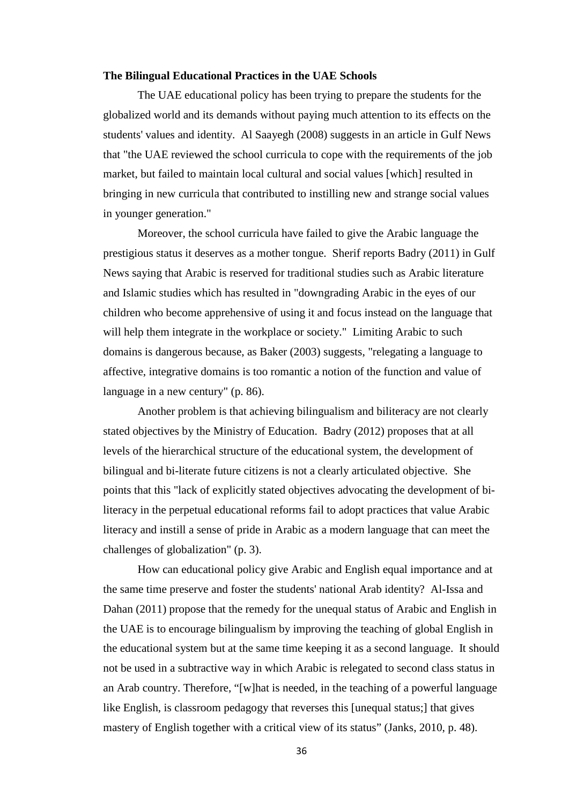#### **The Bilingual Educational Practices in the UAE Schools**

The UAE educational policy has been trying to prepare the students for the globalized world and its demands without paying much attention to its effects on the students' values and identity. Al Saayegh (2008) suggests in an article in Gulf News that "the UAE reviewed the school curricula to cope with the requirements of the job market, but failed to maintain local cultural and social values [which] resulted in bringing in new curricula that contributed to instilling new and strange social values in younger generation."

Moreover, the school curricula have failed to give the Arabic language the prestigious status it deserves as a mother tongue. Sherif reports Badry (2011) in Gulf News saying that Arabic is reserved for traditional studies such as Arabic literature and Islamic studies which has resulted in "downgrading Arabic in the eyes of our children who become apprehensive of using it and focus instead on the language that will help them integrate in the workplace or society." Limiting Arabic to such domains is dangerous because, as Baker (2003) suggests, "relegating a language to affective, integrative domains is too romantic a notion of the function and value of language in a new century" (p. 86).

Another problem is that achieving bilingualism and biliteracy are not clearly stated objectives by the Ministry of Education. Badry (2012) proposes that at all levels of the hierarchical structure of the educational system, the development of bilingual and bi-literate future citizens is not a clearly articulated objective. She points that this "lack of explicitly stated objectives advocating the development of biliteracy in the perpetual educational reforms fail to adopt practices that value Arabic literacy and instill a sense of pride in Arabic as a modern language that can meet the challenges of globalization" (p. 3).

How can educational policy give Arabic and English equal importance and at the same time preserve and foster the students' national Arab identity? Al-Issa and Dahan (2011) propose that the remedy for the unequal status of Arabic and English in the UAE is to encourage bilingualism by improving the teaching of global English in the educational system but at the same time keeping it as a second language. It should not be used in a subtractive way in which Arabic is relegated to second class status in an Arab country. Therefore, "[w]hat is needed, in the teaching of a powerful language like English, is classroom pedagogy that reverses this [unequal status;] that gives mastery of English together with a critical view of its status" (Janks, 2010, p. 48).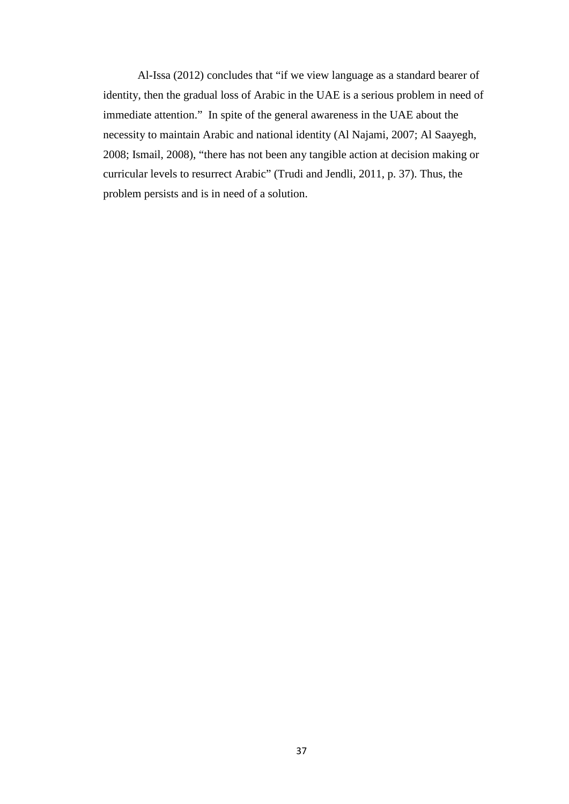Al-Issa (2012) concludes that "if we view language as a standard bearer of identity, then the gradual loss of Arabic in the UAE is a serious problem in need of immediate attention." In spite of the general awareness in the UAE about the necessity to maintain Arabic and national identity (Al Najami, 2007; Al Saayegh, 2008; Ismail, 2008), "there has not been any tangible action at decision making or curricular levels to resurrect Arabic" (Trudi and Jendli, 2011, p. 37). Thus, the problem persists and is in need of a solution.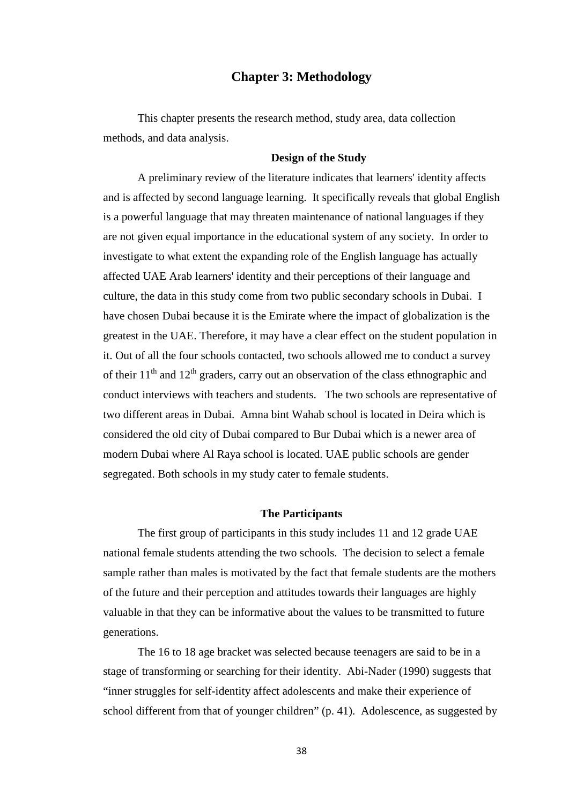# **Chapter 3: Methodology**

This chapter presents the research method, study area, data collection methods, and data analysis.

### **Design of the Study**

A preliminary review of the literature indicates that learners' identity affects and is affected by second language learning. It specifically reveals that global English is a powerful language that may threaten maintenance of national languages if they are not given equal importance in the educational system of any society. In order to investigate to what extent the expanding role of the English language has actually affected UAE Arab learners' identity and their perceptions of their language and culture, the data in this study come from two public secondary schools in Dubai. I have chosen Dubai because it is the Emirate where the impact of globalization is the greatest in the UAE. Therefore, it may have a clear effect on the student population in it. Out of all the four schools contacted, two schools allowed me to conduct a survey of their  $11<sup>th</sup>$  and  $12<sup>th</sup>$  graders, carry out an observation of the class ethnographic and conduct interviews with teachers and students. The two schools are representative of two different areas in Dubai. Amna bint Wahab school is located in Deira which is considered the old city of Dubai compared to Bur Dubai which is a newer area of modern Dubai where Al Raya school is located. UAE public schools are gender segregated. Both schools in my study cater to female students.

#### **The Participants**

The first group of participants in this study includes 11 and 12 grade UAE national female students attending the two schools. The decision to select a female sample rather than males is motivated by the fact that female students are the mothers of the future and their perception and attitudes towards their languages are highly valuable in that they can be informative about the values to be transmitted to future generations.

The 16 to 18 age bracket was selected because teenagers are said to be in a stage of transforming or searching for their identity. Abi-Nader (1990) suggests that "inner struggles for self-identity affect adolescents and make their experience of school different from that of younger children" (p. 41). Adolescence, as suggested by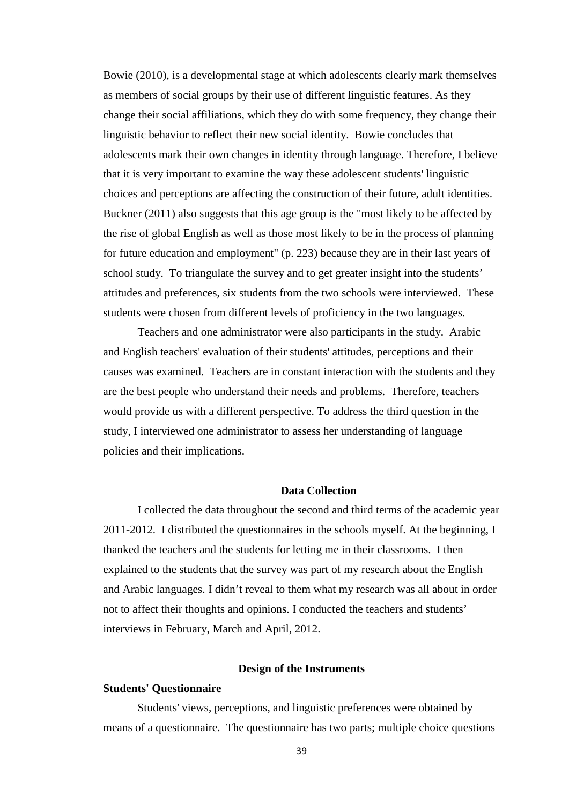Bowie (2010), is a developmental stage at which adolescents clearly mark themselves as members of social groups by their use of different linguistic features. As they change their social affiliations, which they do with some frequency, they change their linguistic behavior to reflect their new social identity. Bowie concludes that adolescents mark their own changes in identity through language. Therefore, I believe that it is very important to examine the way these adolescent students' linguistic choices and perceptions are affecting the construction of their future, adult identities. Buckner (2011) also suggests that this age group is the "most likely to be affected by the rise of global English as well as those most likely to be in the process of planning for future education and employment" (p. 223) because they are in their last years of school study. To triangulate the survey and to get greater insight into the students' attitudes and preferences, six students from the two schools were interviewed. These students were chosen from different levels of proficiency in the two languages.

Teachers and one administrator were also participants in the study. Arabic and English teachers' evaluation of their students' attitudes, perceptions and their causes was examined. Teachers are in constant interaction with the students and they are the best people who understand their needs and problems. Therefore, teachers would provide us with a different perspective. To address the third question in the study, I interviewed one administrator to assess her understanding of language policies and their implications.

### **Data Collection**

I collected the data throughout the second and third terms of the academic year 2011-2012. I distributed the questionnaires in the schools myself. At the beginning, I thanked the teachers and the students for letting me in their classrooms. I then explained to the students that the survey was part of my research about the English and Arabic languages. I didn't reveal to them what my research was all about in order not to affect their thoughts and opinions. I conducted the teachers and students' interviews in February, March and April, 2012.

### **Design of the Instruments**

#### **Students' Questionnaire**

Students' views, perceptions, and linguistic preferences were obtained by means of a questionnaire. The questionnaire has two parts; multiple choice questions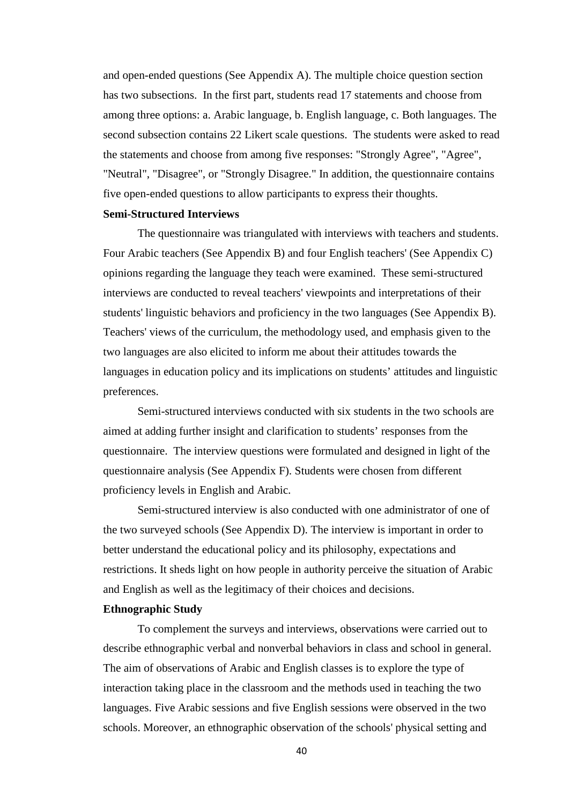and open-ended questions (See Appendix A). The multiple choice question section has two subsections. In the first part, students read 17 statements and choose from among three options: a. Arabic language, b. English language, c. Both languages. The second subsection contains 22 Likert scale questions. The students were asked to read the statements and choose from among five responses: "Strongly Agree", "Agree", "Neutral", "Disagree", or "Strongly Disagree." In addition, the questionnaire contains five open-ended questions to allow participants to express their thoughts.

### **Semi-Structured Interviews**

The questionnaire was triangulated with interviews with teachers and students. Four Arabic teachers (See Appendix B) and four English teachers' (See Appendix C) opinions regarding the language they teach were examined. These semi-structured interviews are conducted to reveal teachers' viewpoints and interpretations of their students' linguistic behaviors and proficiency in the two languages (See Appendix B). Teachers' views of the curriculum, the methodology used, and emphasis given to the two languages are also elicited to inform me about their attitudes towards the languages in education policy and its implications on students' attitudes and linguistic preferences.

Semi-structured interviews conducted with six students in the two schools are aimed at adding further insight and clarification to students' responses from the questionnaire. The interview questions were formulated and designed in light of the questionnaire analysis (See Appendix F). Students were chosen from different proficiency levels in English and Arabic.

Semi-structured interview is also conducted with one administrator of one of the two surveyed schools (See Appendix D). The interview is important in order to better understand the educational policy and its philosophy, expectations and restrictions. It sheds light on how people in authority perceive the situation of Arabic and English as well as the legitimacy of their choices and decisions.

### **Ethnographic Study**

To complement the surveys and interviews, observations were carried out to describe ethnographic verbal and nonverbal behaviors in class and school in general. The aim of observations of Arabic and English classes is to explore the type of interaction taking place in the classroom and the methods used in teaching the two languages. Five Arabic sessions and five English sessions were observed in the two schools. Moreover, an ethnographic observation of the schools' physical setting and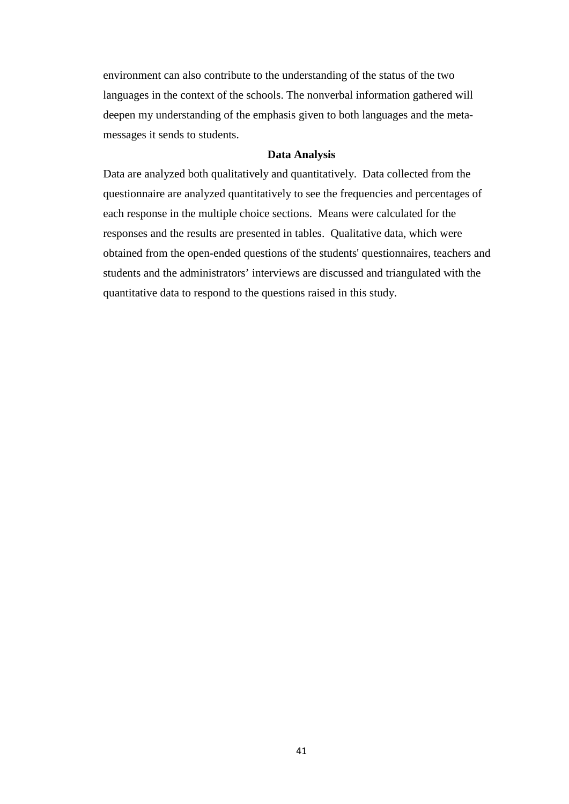environment can also contribute to the understanding of the status of the two languages in the context of the schools. The nonverbal information gathered will deepen my understanding of the emphasis given to both languages and the metamessages it sends to students.

### **Data Analysis**

Data are analyzed both qualitatively and quantitatively. Data collected from the questionnaire are analyzed quantitatively to see the frequencies and percentages of each response in the multiple choice sections. Means were calculated for the responses and the results are presented in tables. Qualitative data, which were obtained from the open-ended questions of the students' questionnaires, teachers and students and the administrators' interviews are discussed and triangulated with the quantitative data to respond to the questions raised in this study.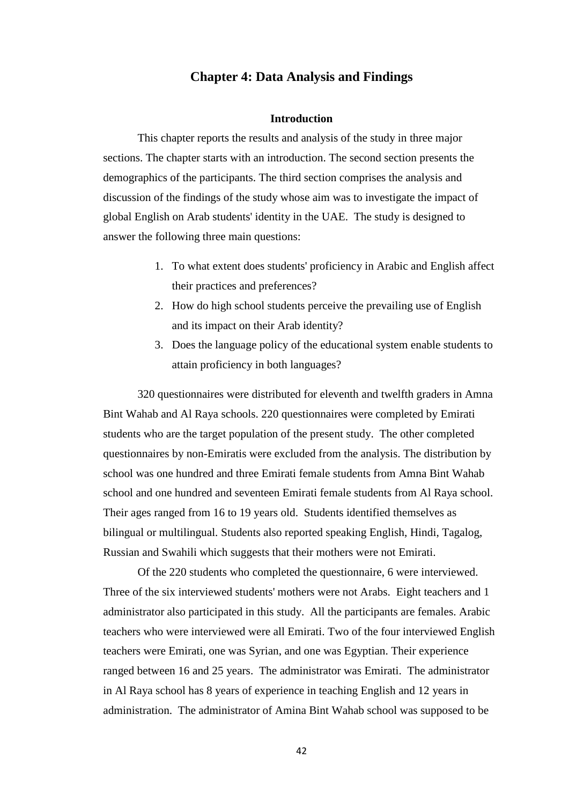# **Chapter 4: Data Analysis and Findings**

#### **Introduction**

This chapter reports the results and analysis of the study in three major sections. The chapter starts with an introduction. The second section presents the demographics of the participants. The third section comprises the analysis and discussion of the findings of the study whose aim was to investigate the impact of global English on Arab students' identity in the UAE. The study is designed to answer the following three main questions:

- 1. To what extent does students' proficiency in Arabic and English affect their practices and preferences?
- 2. How do high school students perceive the prevailing use of English and its impact on their Arab identity?
- 3. Does the language policy of the educational system enable students to attain proficiency in both languages?

320 questionnaires were distributed for eleventh and twelfth graders in Amna Bint Wahab and Al Raya schools. 220 questionnaires were completed by Emirati students who are the target population of the present study. The other completed questionnaires by non-Emiratis were excluded from the analysis. The distribution by school was one hundred and three Emirati female students from Amna Bint Wahab school and one hundred and seventeen Emirati female students from Al Raya school. Their ages ranged from 16 to 19 years old. Students identified themselves as bilingual or multilingual. Students also reported speaking English, Hindi, Tagalog, Russian and Swahili which suggests that their mothers were not Emirati.

Of the 220 students who completed the questionnaire, 6 were interviewed. Three of the six interviewed students' mothers were not Arabs. Eight teachers and 1 administrator also participated in this study. All the participants are females. Arabic teachers who were interviewed were all Emirati. Two of the four interviewed English teachers were Emirati, one was Syrian, and one was Egyptian. Their experience ranged between 16 and 25 years. The administrator was Emirati. The administrator in Al Raya school has 8 years of experience in teaching English and 12 years in administration. The administrator of Amina Bint Wahab school was supposed to be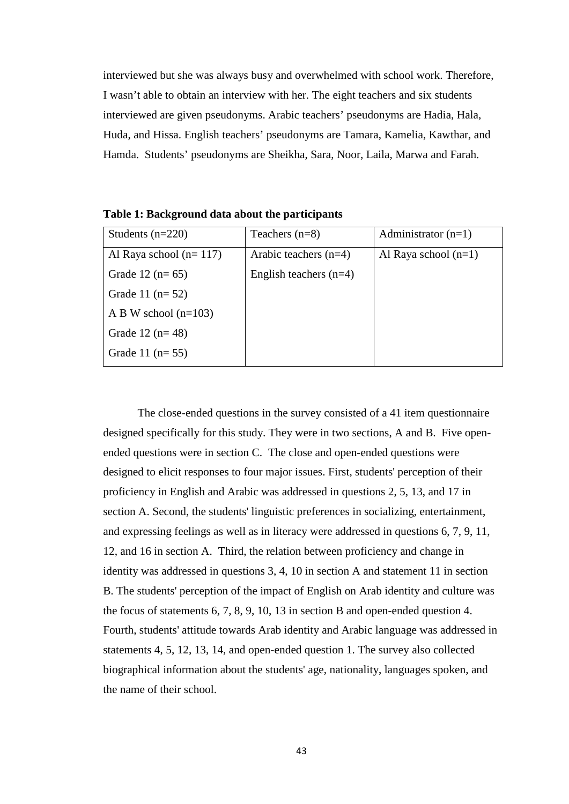interviewed but she was always busy and overwhelmed with school work. Therefore, I wasn't able to obtain an interview with her. The eight teachers and six students interviewed are given pseudonyms. Arabic teachers' pseudonyms are Hadia, Hala, Huda, and Hissa. English teachers' pseudonyms are Tamara, Kamelia, Kawthar, and Hamda. Students' pseudonyms are Sheikha, Sara, Noor, Laila, Marwa and Farah.

| Students $(n=220)$       | Teachers $(n=8)$         | Administrator $(n=1)$  |
|--------------------------|--------------------------|------------------------|
| Al Raya school $(n=117)$ | Arabic teachers $(n=4)$  | Al Raya school $(n=1)$ |
| Grade 12 $(n=65)$        | English teachers $(n=4)$ |                        |
| Grade 11 $(n=52)$        |                          |                        |
| A B W school $(n=103)$   |                          |                        |
| Grade 12 $(n=48)$        |                          |                        |
| Grade 11 $(n=55)$        |                          |                        |

**Table 1: Background data about the participants**

The close-ended questions in the survey consisted of a 41 item questionnaire designed specifically for this study. They were in two sections, A and B. Five openended questions were in section C. The close and open-ended questions were designed to elicit responses to four major issues. First, students' perception of their proficiency in English and Arabic was addressed in questions 2, 5, 13, and 17 in section A. Second, the students' linguistic preferences in socializing, entertainment, and expressing feelings as well as in literacy were addressed in questions 6, 7, 9, 11, 12, and 16 in section A. Third, the relation between proficiency and change in identity was addressed in questions 3, 4, 10 in section A and statement 11 in section B. The students' perception of the impact of English on Arab identity and culture was the focus of statements 6, 7, 8, 9, 10, 13 in section B and open-ended question 4. Fourth, students' attitude towards Arab identity and Arabic language was addressed in statements 4, 5, 12, 13, 14, and open-ended question 1. The survey also collected biographical information about the students' age, nationality, languages spoken, and the name of their school.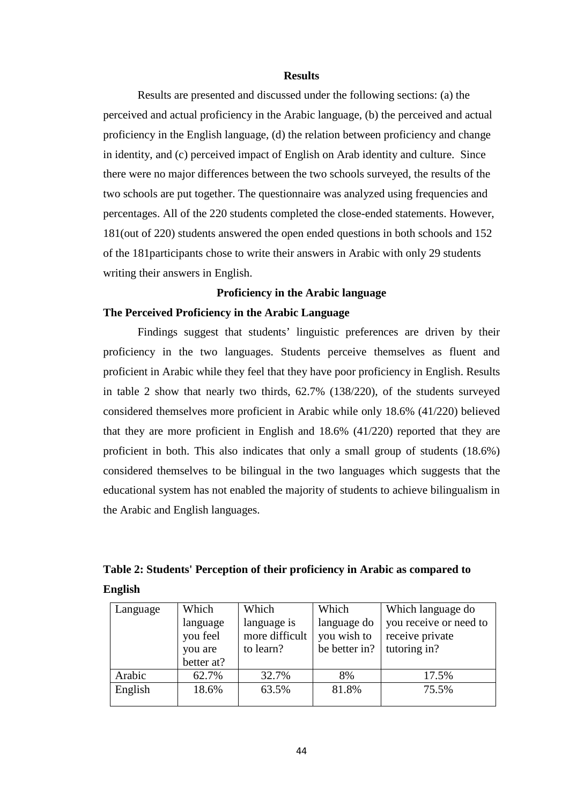#### **Results**

Results are presented and discussed under the following sections: (a) the perceived and actual proficiency in the Arabic language, (b) the perceived and actual proficiency in the English language, (d) the relation between proficiency and change in identity, and (c) perceived impact of English on Arab identity and culture. Since there were no major differences between the two schools surveyed, the results of the two schools are put together. The questionnaire was analyzed using frequencies and percentages. All of the 220 students completed the close-ended statements. However, 181(out of 220) students answered the open ended questions in both schools and 152 of the 181participants chose to write their answers in Arabic with only 29 students writing their answers in English.

## **Proficiency in the Arabic language**

### **The Perceived Proficiency in the Arabic Language**

Findings suggest that students' linguistic preferences are driven by their proficiency in the two languages. Students perceive themselves as fluent and proficient in Arabic while they feel that they have poor proficiency in English. Results in table 2 show that nearly two thirds, 62.7% (138/220), of the students surveyed considered themselves more proficient in Arabic while only 18.6% (41/220) believed that they are more proficient in English and 18.6% (41/220) reported that they are proficient in both. This also indicates that only a small group of students (18.6%) considered themselves to be bilingual in the two languages which suggests that the educational system has not enabled the majority of students to achieve bilingualism in the Arabic and English languages.

|         |  | Table 2: Students' Perception of their proficiency in Arabic as compared to |  |
|---------|--|-----------------------------------------------------------------------------|--|
| English |  |                                                                             |  |

| Language | Which      | Which          | Which         | Which language do      |
|----------|------------|----------------|---------------|------------------------|
|          | language   | language is    | language do   | you receive or need to |
|          | you feel   | more difficult | you wish to   | receive private        |
|          | you are    | to learn?      | be better in? | tutoring in?           |
|          | better at? |                |               |                        |
| Arabic   | 62.7%      | 32.7%          | 8%            | 17.5%                  |
| English  | 18.6%      | 63.5%          | 81.8%         | 75.5%                  |
|          |            |                |               |                        |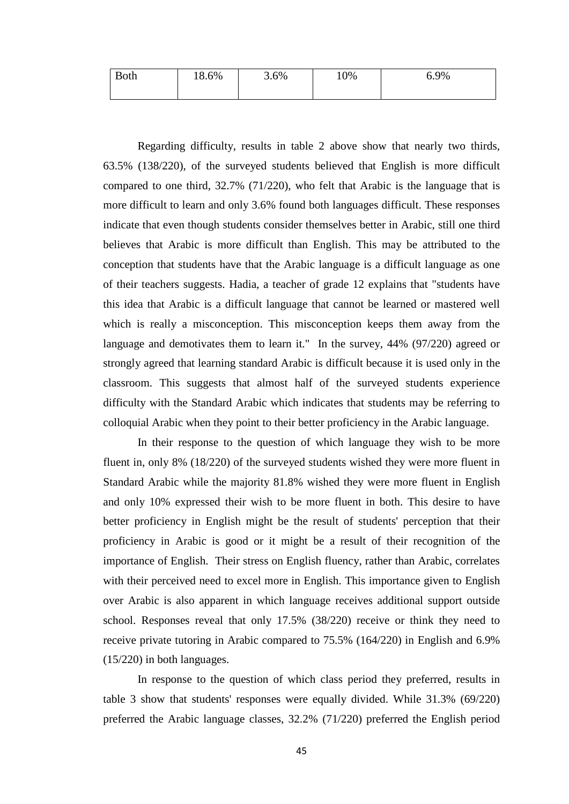| <b>Both</b> | 18.6% | $3.6\%$ | 10% | 6.9% |
|-------------|-------|---------|-----|------|
|             |       |         |     |      |

Regarding difficulty, results in table 2 above show that nearly two thirds, 63.5% (138/220), of the surveyed students believed that English is more difficult compared to one third, 32.7% (71/220), who felt that Arabic is the language that is more difficult to learn and only 3.6% found both languages difficult. These responses indicate that even though students consider themselves better in Arabic, still one third believes that Arabic is more difficult than English. This may be attributed to the conception that students have that the Arabic language is a difficult language as one of their teachers suggests. Hadia, a teacher of grade 12 explains that "students have this idea that Arabic is a difficult language that cannot be learned or mastered well which is really a misconception. This misconception keeps them away from the language and demotivates them to learn it." In the survey, 44% (97/220) agreed or strongly agreed that learning standard Arabic is difficult because it is used only in the classroom. This suggests that almost half of the surveyed students experience difficulty with the Standard Arabic which indicates that students may be referring to colloquial Arabic when they point to their better proficiency in the Arabic language.

In their response to the question of which language they wish to be more fluent in, only 8% (18/220) of the surveyed students wished they were more fluent in Standard Arabic while the majority 81.8% wished they were more fluent in English and only 10% expressed their wish to be more fluent in both. This desire to have better proficiency in English might be the result of students' perception that their proficiency in Arabic is good or it might be a result of their recognition of the importance of English. Their stress on English fluency, rather than Arabic, correlates with their perceived need to excel more in English. This importance given to English over Arabic is also apparent in which language receives additional support outside school. Responses reveal that only 17.5% (38/220) receive or think they need to receive private tutoring in Arabic compared to 75.5% (164/220) in English and 6.9% (15/220) in both languages.

In response to the question of which class period they preferred, results in table 3 show that students' responses were equally divided. While 31.3% (69/220) preferred the Arabic language classes, 32.2% (71/220) preferred the English period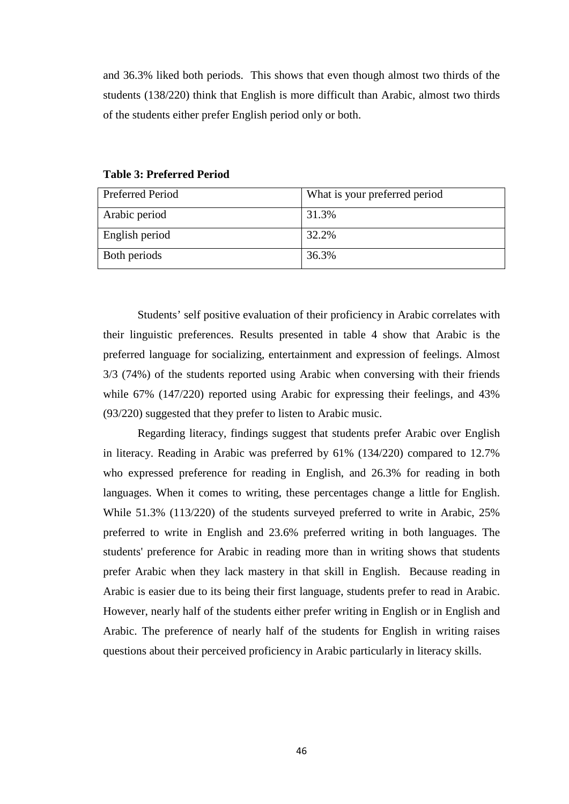and 36.3% liked both periods. This shows that even though almost two thirds of the students (138/220) think that English is more difficult than Arabic, almost two thirds of the students either prefer English period only or both.

| Preferred Period | What is your preferred period |
|------------------|-------------------------------|
| Arabic period    | 31.3%                         |
| English period   | 32.2%                         |
| Both periods     | 36.3%                         |

**Table 3: Preferred Period**

Students' self positive evaluation of their proficiency in Arabic correlates with their linguistic preferences. Results presented in table 4 show that Arabic is the preferred language for socializing, entertainment and expression of feelings. Almost 3/3 (74%) of the students reported using Arabic when conversing with their friends while 67% (147/220) reported using Arabic for expressing their feelings, and 43% (93/220) suggested that they prefer to listen to Arabic music.

Regarding literacy, findings suggest that students prefer Arabic over English in literacy. Reading in Arabic was preferred by 61% (134/220) compared to 12.7% who expressed preference for reading in English, and 26.3% for reading in both languages. When it comes to writing, these percentages change a little for English. While 51.3% (113/220) of the students surveyed preferred to write in Arabic, 25% preferred to write in English and 23.6% preferred writing in both languages. The students' preference for Arabic in reading more than in writing shows that students prefer Arabic when they lack mastery in that skill in English. Because reading in Arabic is easier due to its being their first language, students prefer to read in Arabic. However, nearly half of the students either prefer writing in English or in English and Arabic. The preference of nearly half of the students for English in writing raises questions about their perceived proficiency in Arabic particularly in literacy skills.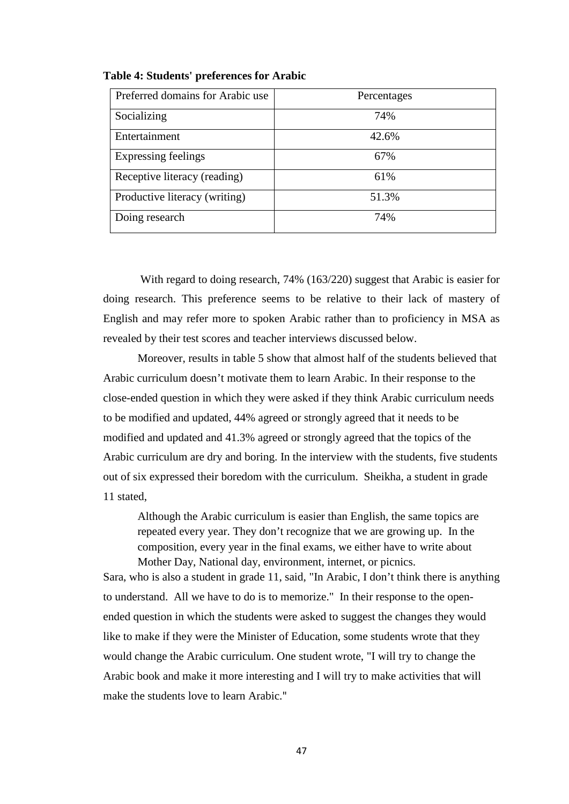| Preferred domains for Arabic use | Percentages |
|----------------------------------|-------------|
| Socializing                      | 74%         |
| Entertainment                    | 42.6%       |
| <b>Expressing feelings</b>       | 67%         |
| Receptive literacy (reading)     | 61%         |
| Productive literacy (writing)    | 51.3%       |
| Doing research                   | 74%         |

### **Table 4: Students' preferences for Arabic**

With regard to doing research, 74% (163/220) suggest that Arabic is easier for doing research. This preference seems to be relative to their lack of mastery of English and may refer more to spoken Arabic rather than to proficiency in MSA as revealed by their test scores and teacher interviews discussed below.

Moreover, results in table 5 show that almost half of the students believed that Arabic curriculum doesn't motivate them to learn Arabic. In their response to the close-ended question in which they were asked if they think Arabic curriculum needs to be modified and updated, 44% agreed or strongly agreed that it needs to be modified and updated and 41.3% agreed or strongly agreed that the topics of the Arabic curriculum are dry and boring. In the interview with the students, five students out of six expressed their boredom with the curriculum. Sheikha, a student in grade 11 stated,

Although the Arabic curriculum is easier than English, the same topics are repeated every year. They don't recognize that we are growing up. In the composition, every year in the final exams, we either have to write about Mother Day, National day, environment, internet, or picnics.

Sara, who is also a student in grade 11, said, "In Arabic, I don't think there is anything to understand. All we have to do is to memorize."In their response to the openended question in which the students were asked to suggest the changes they would like to make if they were the Minister of Education, some students wrote that they would change the Arabic curriculum. One student wrote, "I will try to change the Arabic book and make it more interesting and I will try to make activities that will make the students love to learn Arabic."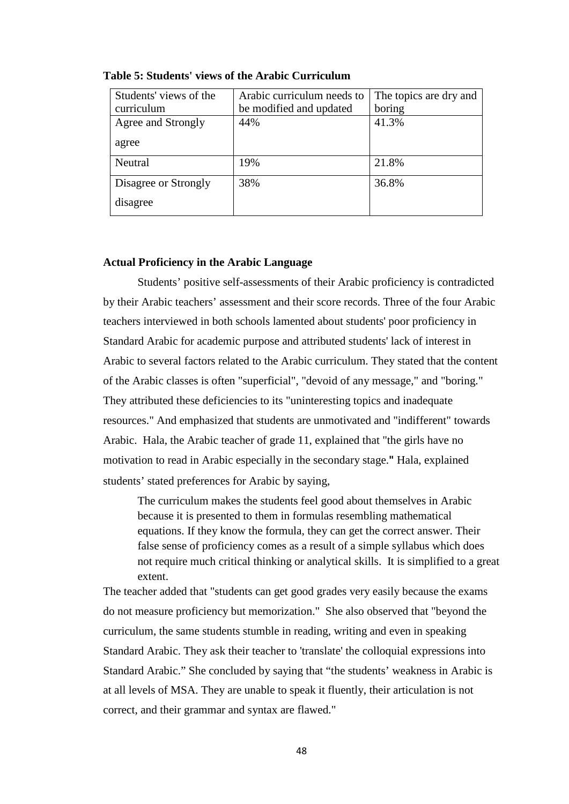| Students' views of the | Arabic curriculum needs to | The topics are dry and |
|------------------------|----------------------------|------------------------|
| curriculum             | be modified and updated    | boring                 |
| Agree and Strongly     | 44%                        | 41.3%                  |
| agree                  |                            |                        |
| Neutral                | 19%                        | 21.8%                  |
| Disagree or Strongly   | 38%                        | 36.8%                  |
| disagree               |                            |                        |

**Table 5: Students' views of the Arabic Curriculum**

### **Actual Proficiency in the Arabic Language**

Students' positive self-assessments of their Arabic proficiency is contradicted by their Arabic teachers' assessment and their score records. Three of the four Arabic teachers interviewed in both schools lamented about students' poor proficiency in Standard Arabic for academic purpose and attributed students' lack of interest in Arabic to several factors related to the Arabic curriculum. They stated that the content of the Arabic classes is often "superficial", "devoid of any message," and "boring." They attributed these deficiencies to its "uninteresting topics and inadequate resources." And emphasized that students are unmotivated and "indifferent" towards Arabic. Hala, the Arabic teacher of grade 11, explained that "the girls have no motivation to read in Arabic especially in the secondary stage.**"** Hala, explained students' stated preferences for Arabic by saying,

The curriculum makes the students feel good about themselves in Arabic because it is presented to them in formulas resembling mathematical equations. If they know the formula, they can get the correct answer. Their false sense of proficiency comes as a result of a simple syllabus which does not require much critical thinking or analytical skills. It is simplified to a great extent.

The teacher added that "students can get good grades very easily because the exams do not measure proficiency but memorization." She also observed that "beyond the curriculum, the same students stumble in reading, writing and even in speaking Standard Arabic. They ask their teacher to 'translate' the colloquial expressions into Standard Arabic." She concluded by saying that "the students' weakness in Arabic is at all levels of MSA. They are unable to speak it fluently, their articulation is not correct, and their grammar and syntax are flawed."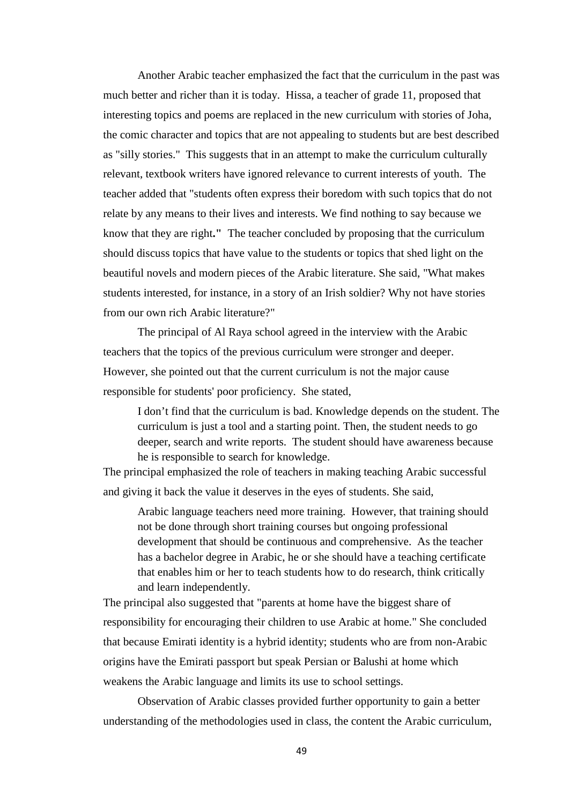Another Arabic teacher emphasized the fact that the curriculum in the past was much better and richer than it is today. Hissa, a teacher of grade 11, proposed that interesting topics and poems are replaced in the new curriculum with stories of Joha, the comic character and topics that are not appealing to students but are best described as "silly stories." This suggests that in an attempt to make the curriculum culturally relevant, textbook writers have ignored relevance to current interests of youth. The teacher added that "students often express their boredom with such topics that do not relate by any means to their lives and interests. We find nothing to say because we know that they are right**."** The teacher concluded by proposing that the curriculum should discuss topics that have value to the students or topics that shed light on the beautiful novels and modern pieces of the Arabic literature. She said, "What makes students interested, for instance, in a story of an Irish soldier? Why not have stories from our own rich Arabic literature?"

The principal of Al Raya school agreed in the interview with the Arabic teachers that the topics of the previous curriculum were stronger and deeper. However, she pointed out that the current curriculum is not the major cause responsible for students' poor proficiency. She stated,

I don't find that the curriculum is bad. Knowledge depends on the student. The curriculum is just a tool and a starting point. Then, the student needs to go deeper, search and write reports. The student should have awareness because he is responsible to search for knowledge.

The principal emphasized the role of teachers in making teaching Arabic successful and giving it back the value it deserves in the eyes of students. She said,

Arabic language teachers need more training. However, that training should not be done through short training courses but ongoing professional development that should be continuous and comprehensive. As the teacher has a bachelor degree in Arabic, he or she should have a teaching certificate that enables him or her to teach students how to do research, think critically and learn independently.

The principal also suggested that "parents at home have the biggest share of responsibility for encouraging their children to use Arabic at home." She concluded that because Emirati identity is a hybrid identity; students who are from non-Arabic origins have the Emirati passport but speak Persian or Balushi at home which weakens the Arabic language and limits its use to school settings.

Observation of Arabic classes provided further opportunity to gain a better understanding of the methodologies used in class, the content the Arabic curriculum,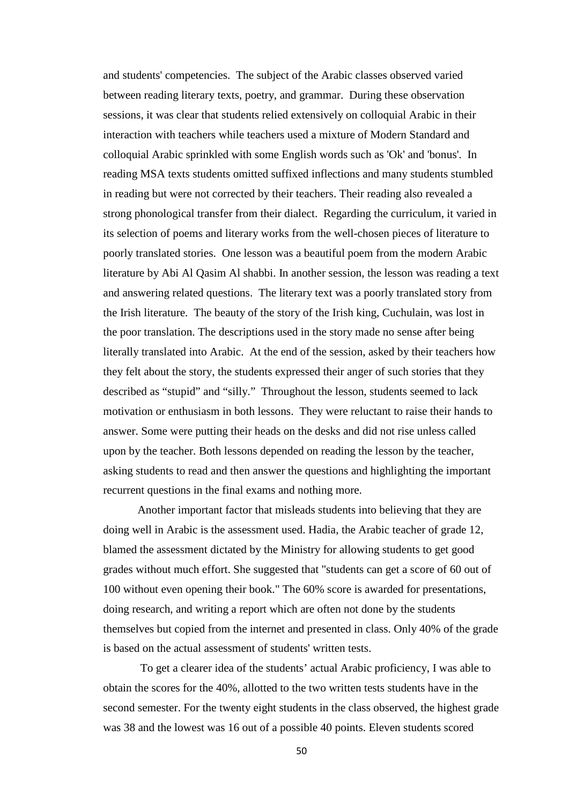and students' competencies. The subject of the Arabic classes observed varied between reading literary texts, poetry, and grammar. During these observation sessions, it was clear that students relied extensively on colloquial Arabic in their interaction with teachers while teachers used a mixture of Modern Standard and colloquial Arabic sprinkled with some English words such as 'Ok' and 'bonus'. In reading MSA texts students omitted suffixed inflections and many students stumbled in reading but were not corrected by their teachers. Their reading also revealed a strong phonological transfer from their dialect. Regarding the curriculum, it varied in its selection of poems and literary works from the well-chosen pieces of literature to poorly translated stories. One lesson was a beautiful poem from the modern Arabic literature by Abi Al Qasim Al shabbi. In another session, the lesson was reading a text and answering related questions. The literary text was a poorly translated story from the Irish literature. The beauty of the story of the Irish king, Cuchulain, was lost in the poor translation. The descriptions used in the story made no sense after being literally translated into Arabic. At the end of the session, asked by their teachers how they felt about the story, the students expressed their anger of such stories that they described as "stupid" and "silly." Throughout the lesson, students seemed to lack motivation or enthusiasm in both lessons. They were reluctant to raise their hands to answer. Some were putting their heads on the desks and did not rise unless called upon by the teacher. Both lessons depended on reading the lesson by the teacher, asking students to read and then answer the questions and highlighting the important recurrent questions in the final exams and nothing more.

Another important factor that misleads students into believing that they are doing well in Arabic is the assessment used. Hadia, the Arabic teacher of grade 12, blamed the assessment dictated by the Ministry for allowing students to get good grades without much effort. She suggested that "students can get a score of 60 out of 100 without even opening their book." The 60% score is awarded for presentations, doing research, and writing a report which are often not done by the students themselves but copied from the internet and presented in class. Only 40% of the grade is based on the actual assessment of students' written tests.

To get a clearer idea of the students' actual Arabic proficiency, I was able to obtain the scores for the 40%, allotted to the two written tests students have in the second semester. For the twenty eight students in the class observed, the highest grade was 38 and the lowest was 16 out of a possible 40 points. Eleven students scored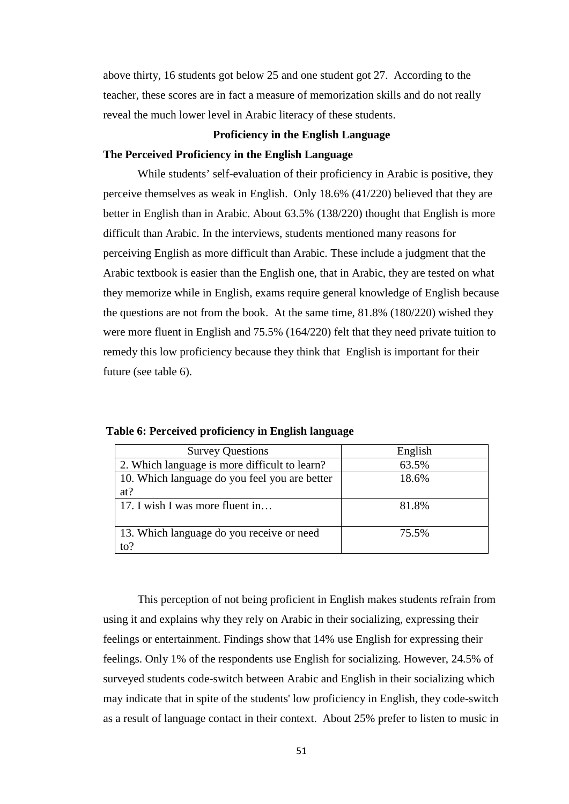above thirty, 16 students got below 25 and one student got 27. According to the teacher, these scores are in fact a measure of memorization skills and do not really reveal the much lower level in Arabic literacy of these students.

### **Proficiency in the English Language**

## **The Perceived Proficiency in the English Language**

While students' self-evaluation of their proficiency in Arabic is positive, they perceive themselves as weak in English. Only 18.6% (41/220) believed that they are better in English than in Arabic. About 63.5% (138/220) thought that English is more difficult than Arabic. In the interviews, students mentioned many reasons for perceiving English as more difficult than Arabic. These include a judgment that the Arabic textbook is easier than the English one, that in Arabic, they are tested on what they memorize while in English, exams require general knowledge of English because the questions are not from the book. At the same time, 81.8% (180/220) wished they were more fluent in English and 75.5% (164/220) felt that they need private tuition to remedy this low proficiency because they think that English is important for their future (see table 6).

| <b>Survey Questions</b>                       | English |
|-----------------------------------------------|---------|
| 2. Which language is more difficult to learn? | 63.5%   |
| 10. Which language do you feel you are better | 18.6%   |
| at?                                           |         |
| 17. I wish I was more fluent in               | 81.8%   |
|                                               |         |
| 13. Which language do you receive or need     | 75.5%   |
| to?                                           |         |

|  | Table 6: Perceived proficiency in English language |  |  |
|--|----------------------------------------------------|--|--|
|  |                                                    |  |  |

This perception of not being proficient in English makes students refrain from using it and explains why they rely on Arabic in their socializing, expressing their feelings or entertainment. Findings show that 14% use English for expressing their feelings. Only 1% of the respondents use English for socializing. However, 24.5% of surveyed students code-switch between Arabic and English in their socializing which may indicate that in spite of the students' low proficiency in English, they code-switch as a result of language contact in their context. About 25% prefer to listen to music in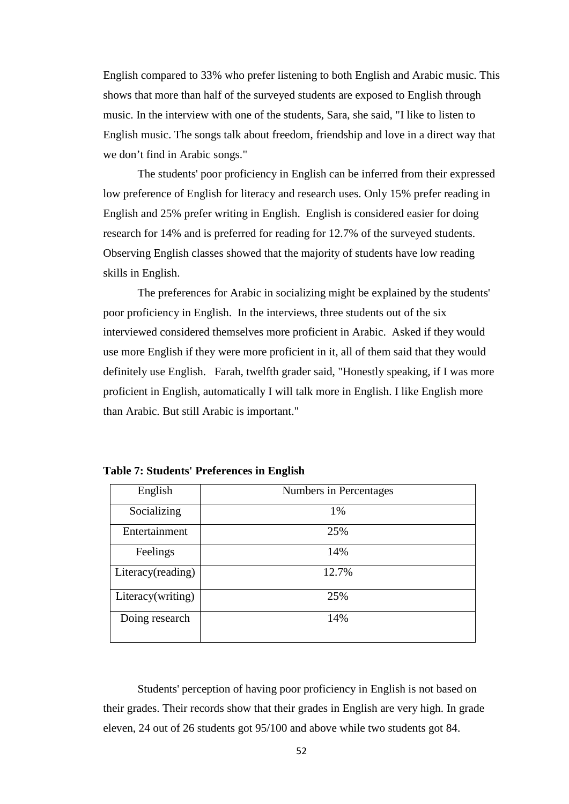English compared to 33% who prefer listening to both English and Arabic music. This shows that more than half of the surveyed students are exposed to English through music. In the interview with one of the students, Sara, she said, "I like to listen to English music. The songs talk about freedom, friendship and love in a direct way that we don't find in Arabic songs."

The students' poor proficiency in English can be inferred from their expressed low preference of English for literacy and research uses. Only 15% prefer reading in English and 25% prefer writing in English. English is considered easier for doing research for 14% and is preferred for reading for 12.7% of the surveyed students. Observing English classes showed that the majority of students have low reading skills in English.

The preferences for Arabic in socializing might be explained by the students' poor proficiency in English. In the interviews, three students out of the six interviewed considered themselves more proficient in Arabic. Asked if they would use more English if they were more proficient in it, all of them said that they would definitely use English. Farah, twelfth grader said, "Honestly speaking, if I was more proficient in English, automatically I will talk more in English. I like English more than Arabic. But still Arabic is important."

| English           | Numbers in Percentages |
|-------------------|------------------------|
| Socializing       | 1%                     |
| Entertainment     | 25%                    |
| Feelings          | 14%                    |
| Literacy(reading) | 12.7%                  |
| Literacy(writing) | 25%                    |
| Doing research    | 14%                    |

**Table 7: Students' Preferences in English**

Students' perception of having poor proficiency in English is not based on their grades. Their records show that their grades in English are very high. In grade eleven, 24 out of 26 students got 95/100 and above while two students got 84.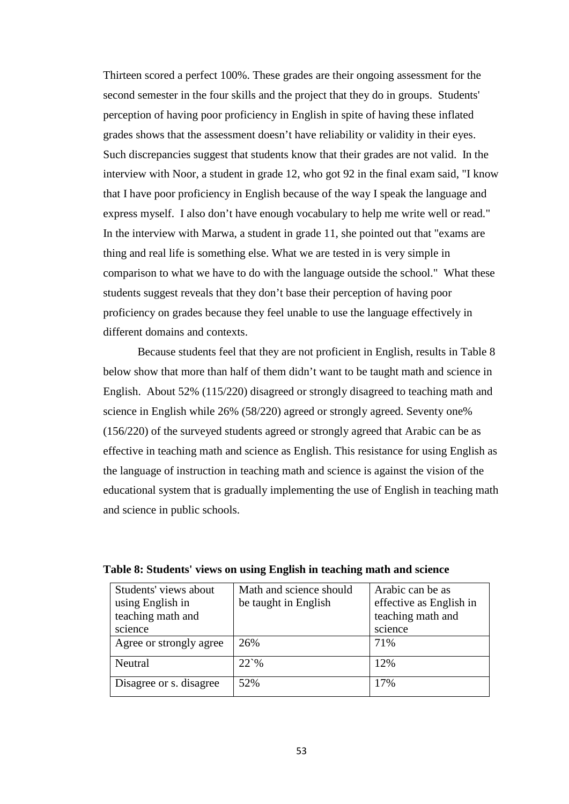Thirteen scored a perfect 100%. These grades are their ongoing assessment for the second semester in the four skills and the project that they do in groups. Students' perception of having poor proficiency in English in spite of having these inflated grades shows that the assessment doesn't have reliability or validity in their eyes. Such discrepancies suggest that students know that their grades are not valid. In the interview with Noor, a student in grade 12, who got 92 in the final exam said, "I know that I have poor proficiency in English because of the way I speak the language and express myself. I also don't have enough vocabulary to help me write well or read." In the interview with Marwa, a student in grade 11, she pointed out that "exams are thing and real life is something else. What we are tested in is very simple in comparison to what we have to do with the language outside the school." What these students suggest reveals that they don't base their perception of having poor proficiency on grades because they feel unable to use the language effectively in different domains and contexts.

Because students feel that they are not proficient in English, results in Table 8 below show that more than half of them didn't want to be taught math and science in English. About 52% (115/220) disagreed or strongly disagreed to teaching math and science in English while 26% (58/220) agreed or strongly agreed. Seventy one% (156/220) of the surveyed students agreed or strongly agreed that Arabic can be as effective in teaching math and science as English. This resistance for using English as the language of instruction in teaching math and science is against the vision of the educational system that is gradually implementing the use of English in teaching math and science in public schools.

| Students' views about<br>using English in<br>teaching math and<br>science | Math and science should<br>be taught in English | Arabic can be as<br>effective as English in<br>teaching math and<br>science |
|---------------------------------------------------------------------------|-------------------------------------------------|-----------------------------------------------------------------------------|
| Agree or strongly agree                                                   | 26%                                             | 71%                                                                         |
| Neutral                                                                   | $22^{\circ}\%$                                  | 12%                                                                         |
| Disagree or s. disagree                                                   | 52%                                             | 17%                                                                         |

|  |  |  |  | Table 8: Students' views on using English in teaching math and science |  |
|--|--|--|--|------------------------------------------------------------------------|--|
|--|--|--|--|------------------------------------------------------------------------|--|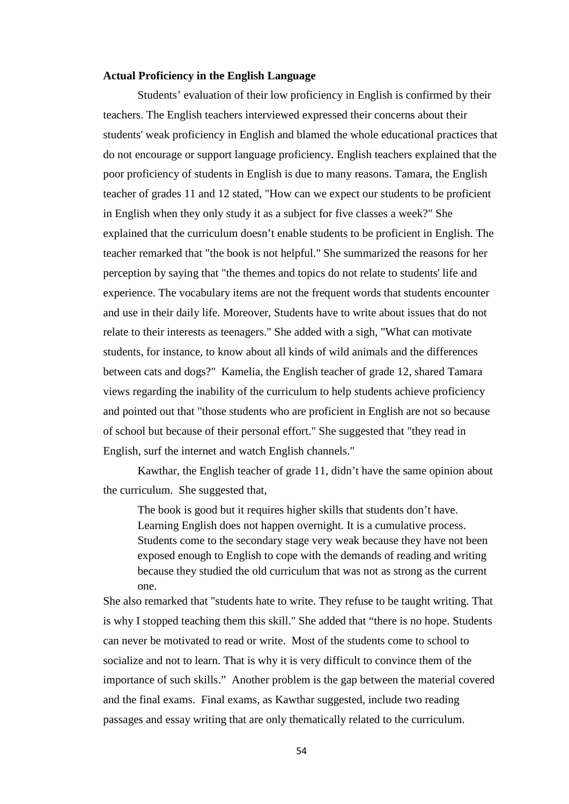### **Actual Proficiency in the English Language**

Students' evaluation of their low proficiency in English is confirmed by their teachers. The English teachers interviewed expressed their concerns about their students' weak proficiency in English and blamed the whole educational practices that do not encourage or support language proficiency. English teachers explained that the poor proficiency of students in English is due to many reasons. Tamara, the English teacher of grades 11 and 12 stated, "How can we expect our students to be proficient in English when they only study it as a subject for five classes a week?" She explained that the curriculum doesn't enable students to be proficient in English. The teacher remarked that "the book is not helpful." She summarized the reasons for her perception by saying that "the themes and topics do not relate to students' life and experience. The vocabulary items are not the frequent words that students encounter and use in their daily life. Moreover, Students have to write about issues that do not relate to their interests as teenagers." She added with a sigh, "What can motivate students, for instance, to know about all kinds of wild animals and the differences between cats and dogs?" Kamelia, the English teacher of grade 12, shared Tamara views regarding the inability of the curriculum to help students achieve proficiency and pointed out that "those students who are proficient in English are not so because of school but because of their personal effort." She suggested that "they read in English, surf the internet and watch English channels."

Kawthar, the English teacher of grade 11, didn't have the same opinion about the curriculum. She suggested that,

The book is good but it requires higher skills that students don't have. Learning English does not happen overnight. It is a cumulative process. Students come to the secondary stage very weak because they have not been exposed enough to English to cope with the demands of reading and writing because they studied the old curriculum that was not as strong as the current one.

She also remarked that "students hate to write. They refuse to be taught writing. That is why I stopped teaching them this skill." She added that "there is no hope. Students can never be motivated to read or write. Most of the students come to school to socialize and not to learn. That is why it is very difficult to convince them of the importance of such skills." Another problem is the gap between the material covered and the final exams. Final exams, as Kawthar suggested, include two reading passages and essay writing that are only thematically related to the curriculum.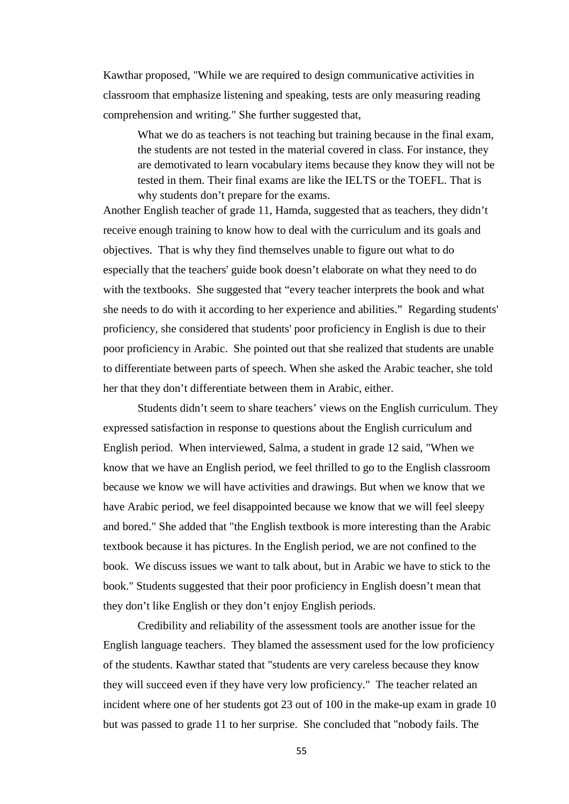Kawthar proposed, "While we are required to design communicative activities in classroom that emphasize listening and speaking, tests are only measuring reading comprehension and writing." She further suggested that,

What we do as teachers is not teaching but training because in the final exam, the students are not tested in the material covered in class. For instance, they are demotivated to learn vocabulary items because they know they will not be tested in them. Their final exams are like the IELTS or the TOEFL. That is why students don't prepare for the exams.

Another English teacher of grade 11, Hamda, suggested that as teachers, they didn't receive enough training to know how to deal with the curriculum and its goals and objectives. That is why they find themselves unable to figure out what to do especially that the teachers' guide book doesn't elaborate on what they need to do with the textbooks. She suggested that "every teacher interprets the book and what she needs to do with it according to her experience and abilities." Regarding students' proficiency, she considered that students' poor proficiency in English is due to their poor proficiency in Arabic. She pointed out that she realized that students are unable to differentiate between parts of speech. When she asked the Arabic teacher, she told her that they don't differentiate between them in Arabic, either.

Students didn't seem to share teachers' views on the English curriculum. They expressed satisfaction in response to questions about the English curriculum and English period. When interviewed, Salma, a student in grade 12 said, "When we know that we have an English period, we feel thrilled to go to the English classroom because we know we will have activities and drawings. But when we know that we have Arabic period, we feel disappointed because we know that we will feel sleepy and bored." She added that "the English textbook is more interesting than the Arabic textbook because it has pictures. In the English period, we are not confined to the book. We discuss issues we want to talk about, but in Arabic we have to stick to the book." Students suggested that their poor proficiency in English doesn't mean that they don't like English or they don't enjoy English periods.

Credibility and reliability of the assessment tools are another issue for the English language teachers. They blamed the assessment used for the low proficiency of the students. Kawthar stated that "students are very careless because they know they will succeed even if they have very low proficiency." The teacher related an incident where one of her students got 23 out of 100 in the make-up exam in grade 10 but was passed to grade 11 to her surprise. She concluded that "nobody fails. The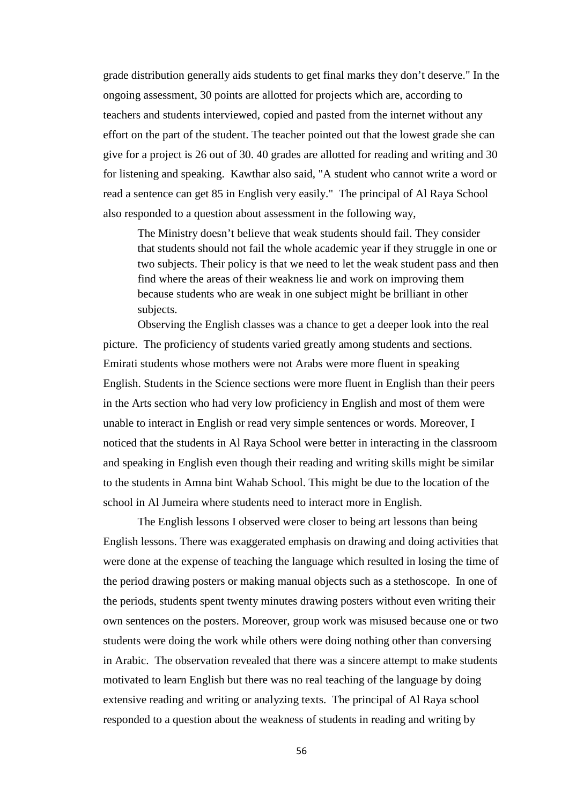grade distribution generally aids students to get final marks they don't deserve." In the ongoing assessment, 30 points are allotted for projects which are, according to teachers and students interviewed, copied and pasted from the internet without any effort on the part of the student. The teacher pointed out that the lowest grade she can give for a project is 26 out of 30. 40 grades are allotted for reading and writing and 30 for listening and speaking. Kawthar also said, "A student who cannot write a word or read a sentence can get 85 in English very easily." The principal of Al Raya School also responded to a question about assessment in the following way,

The Ministry doesn't believe that weak students should fail. They consider that students should not fail the whole academic year if they struggle in one or two subjects. Their policy is that we need to let the weak student pass and then find where the areas of their weakness lie and work on improving them because students who are weak in one subject might be brilliant in other subjects.

Observing the English classes was a chance to get a deeper look into the real picture. The proficiency of students varied greatly among students and sections. Emirati students whose mothers were not Arabs were more fluent in speaking English. Students in the Science sections were more fluent in English than their peers in the Arts section who had very low proficiency in English and most of them were unable to interact in English or read very simple sentences or words. Moreover, I noticed that the students in Al Raya School were better in interacting in the classroom and speaking in English even though their reading and writing skills might be similar to the students in Amna bint Wahab School. This might be due to the location of the school in Al Jumeira where students need to interact more in English.

The English lessons I observed were closer to being art lessons than being English lessons. There was exaggerated emphasis on drawing and doing activities that were done at the expense of teaching the language which resulted in losing the time of the period drawing posters or making manual objects such as a stethoscope. In one of the periods, students spent twenty minutes drawing posters without even writing their own sentences on the posters. Moreover, group work was misused because one or two students were doing the work while others were doing nothing other than conversing in Arabic. The observation revealed that there was a sincere attempt to make students motivated to learn English but there was no real teaching of the language by doing extensive reading and writing or analyzing texts. The principal of Al Raya school responded to a question about the weakness of students in reading and writing by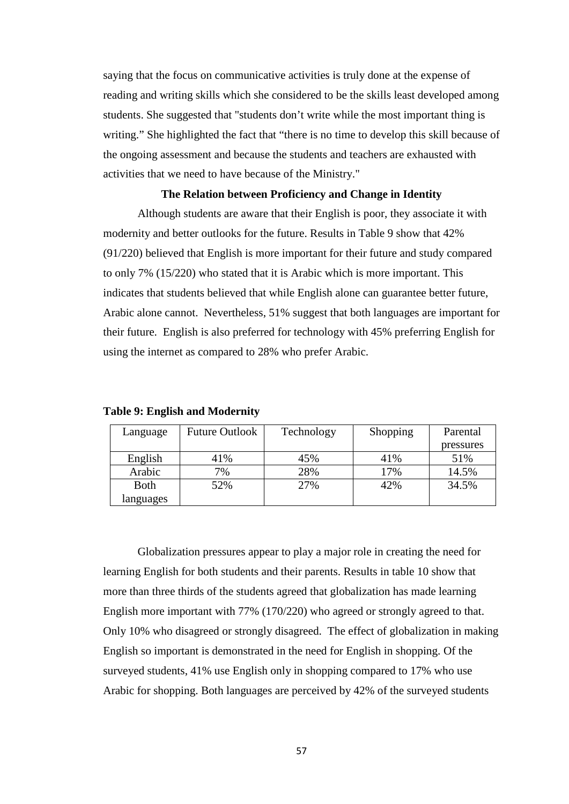saying that the focus on communicative activities is truly done at the expense of reading and writing skills which she considered to be the skills least developed among students. She suggested that "students don't write while the most important thing is writing." She highlighted the fact that "there is no time to develop this skill because of the ongoing assessment and because the students and teachers are exhausted with activities that we need to have because of the Ministry."

### **The Relation between Proficiency and Change in Identity**

Although students are aware that their English is poor, they associate it with modernity and better outlooks for the future. Results in Table 9 show that 42% (91/220) believed that English is more important for their future and study compared to only 7% (15/220) who stated that it is Arabic which is more important. This indicates that students believed that while English alone can guarantee better future, Arabic alone cannot. Nevertheless, 51% suggest that both languages are important for their future. English is also preferred for technology with 45% preferring English for using the internet as compared to 28% who prefer Arabic.

| Language    | <b>Future Outlook</b> | Technology | Shopping | Parental  |
|-------------|-----------------------|------------|----------|-----------|
|             |                       |            |          | pressures |
| English     | 41%                   | 45%        | 41%      | 51%       |
| Arabic      | 7%                    | 28%        | 17%      | 14.5%     |
| <b>Both</b> | 52%                   | 27%        | 42%      | 34.5%     |
| languages   |                       |            |          |           |

**Table 9: English and Modernity** 

Globalization pressures appear to play a major role in creating the need for learning English for both students and their parents. Results in table 10 show that more than three thirds of the students agreed that globalization has made learning English more important with 77% (170/220) who agreed or strongly agreed to that. Only 10% who disagreed or strongly disagreed. The effect of globalization in making English so important is demonstrated in the need for English in shopping. Of the surveyed students, 41% use English only in shopping compared to 17% who use Arabic for shopping. Both languages are perceived by 42% of the surveyed students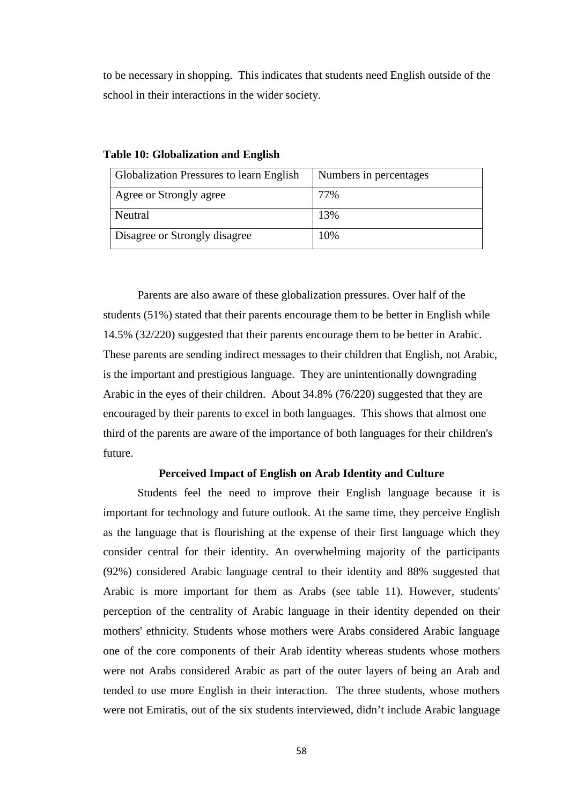to be necessary in shopping. This indicates that students need English outside of the school in their interactions in the wider society.

| <b>Globalization Pressures to learn English</b> | Numbers in percentages |
|-------------------------------------------------|------------------------|
| Agree or Strongly agree                         | 77%                    |
| Neutral                                         | 13%                    |
| Disagree or Strongly disagree                   | 10%                    |

#### **Table 10: Globalization and English**

Parents are also aware of these globalization pressures. Over half of the students (51%) stated that their parents encourage them to be better in English while 14.5% (32/220) suggested that their parents encourage them to be better in Arabic. These parents are sending indirect messages to their children that English, not Arabic, is the important and prestigious language. They are unintentionally downgrading Arabic in the eyes of their children. About 34.8% (76/220) suggested that they are encouraged by their parents to excel in both languages. This shows that almost one third of the parents are aware of the importance of both languages for their children's future.

# **Perceived Impact of English on Arab Identity and Culture**

Students feel the need to improve their English language because it is important for technology and future outlook. At the same time, they perceive English as the language that is flourishing at the expense of their first language which they consider central for their identity. An overwhelming majority of the participants (92%) considered Arabic language central to their identity and 88% suggested that Arabic is more important for them as Arabs (see table 11). However, students' perception of the centrality of Arabic language in their identity depended on their mothers' ethnicity. Students whose mothers were Arabs considered Arabic language one of the core components of their Arab identity whereas students whose mothers were not Arabs considered Arabic as part of the outer layers of being an Arab and tended to use more English in their interaction. The three students, whose mothers were not Emiratis, out of the six students interviewed, didn't include Arabic language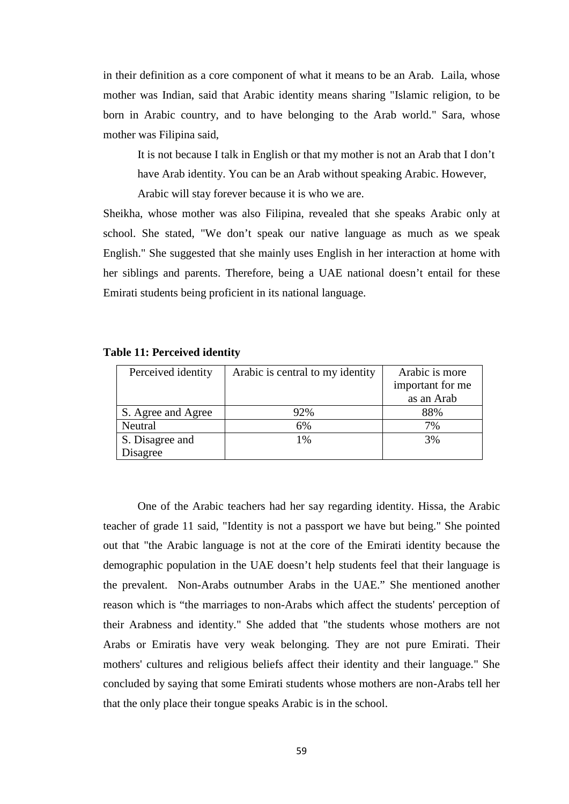in their definition as a core component of what it means to be an Arab. Laila, whose mother was Indian, said that Arabic identity means sharing "Islamic religion, to be born in Arabic country, and to have belonging to the Arab world." Sara, whose mother was Filipina said,

It is not because I talk in English or that my mother is not an Arab that I don't have Arab identity. You can be an Arab without speaking Arabic. However, Arabic will stay forever because it is who we are.

Sheikha, whose mother was also Filipina, revealed that she speaks Arabic only at school. She stated, "We don't speak our native language as much as we speak English." She suggested that she mainly uses English in her interaction at home with her siblings and parents. Therefore, being a UAE national doesn't entail for these Emirati students being proficient in its national language.

| Perceived identity | Arabic is central to my identity | Arabic is more   |
|--------------------|----------------------------------|------------------|
|                    |                                  | important for me |
|                    |                                  | as an Arab       |
| S. Agree and Agree | 92%                              | 88%              |
| Neutral            | 6%                               | 7%               |
| S. Disagree and    | 1%                               | 3%               |
| Disagree           |                                  |                  |

### **Table 11: Perceived identity**

One of the Arabic teachers had her say regarding identity. Hissa, the Arabic teacher of grade 11 said, "Identity is not a passport we have but being." She pointed out that "the Arabic language is not at the core of the Emirati identity because the demographic population in the UAE doesn't help students feel that their language is the prevalent. Non-Arabs outnumber Arabs in the UAE." She mentioned another reason which is "the marriages to non-Arabs which affect the students' perception of their Arabness and identity." She added that "the students whose mothers are not Arabs or Emiratis have very weak belonging. They are not pure Emirati. Their mothers' cultures and religious beliefs affect their identity and their language." She concluded by saying that some Emirati students whose mothers are non-Arabs tell her that the only place their tongue speaks Arabic is in the school.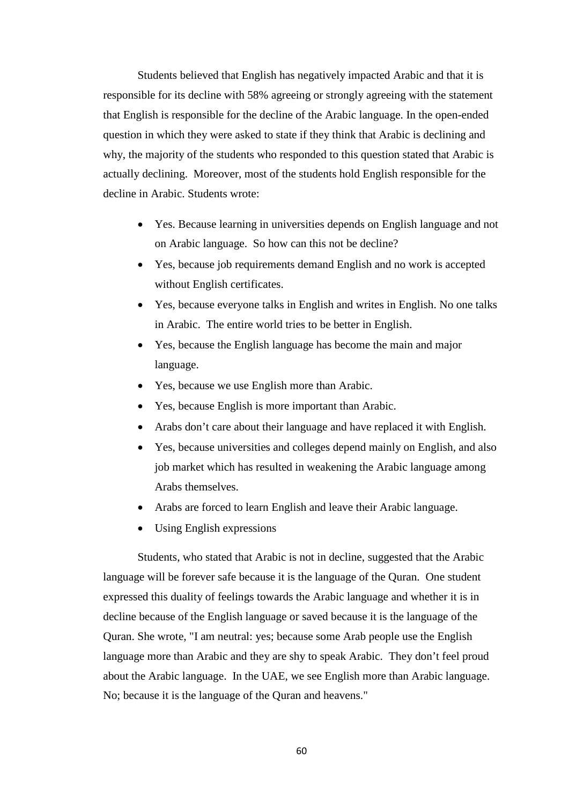Students believed that English has negatively impacted Arabic and that it is responsible for its decline with 58% agreeing or strongly agreeing with the statement that English is responsible for the decline of the Arabic language. In the open-ended question in which they were asked to state if they think that Arabic is declining and why, the majority of the students who responded to this question stated that Arabic is actually declining. Moreover, most of the students hold English responsible for the decline in Arabic. Students wrote:

- Yes. Because learning in universities depends on English language and not on Arabic language. So how can this not be decline?
- Yes, because job requirements demand English and no work is accepted without English certificates.
- Yes, because everyone talks in English and writes in English. No one talks in Arabic. The entire world tries to be better in English.
- Yes, because the English language has become the main and major language.
- Yes, because we use English more than Arabic.
- Yes, because English is more important than Arabic.
- Arabs don't care about their language and have replaced it with English.
- Yes, because universities and colleges depend mainly on English, and also job market which has resulted in weakening the Arabic language among Arabs themselves.
- Arabs are forced to learn English and leave their Arabic language.
- Using English expressions

Students, who stated that Arabic is not in decline, suggested that the Arabic language will be forever safe because it is the language of the Quran. One student expressed this duality of feelings towards the Arabic language and whether it is in decline because of the English language or saved because it is the language of the Quran. She wrote, "I am neutral: yes; because some Arab people use the English language more than Arabic and they are shy to speak Arabic. They don't feel proud about the Arabic language. In the UAE, we see English more than Arabic language. No; because it is the language of the Quran and heavens."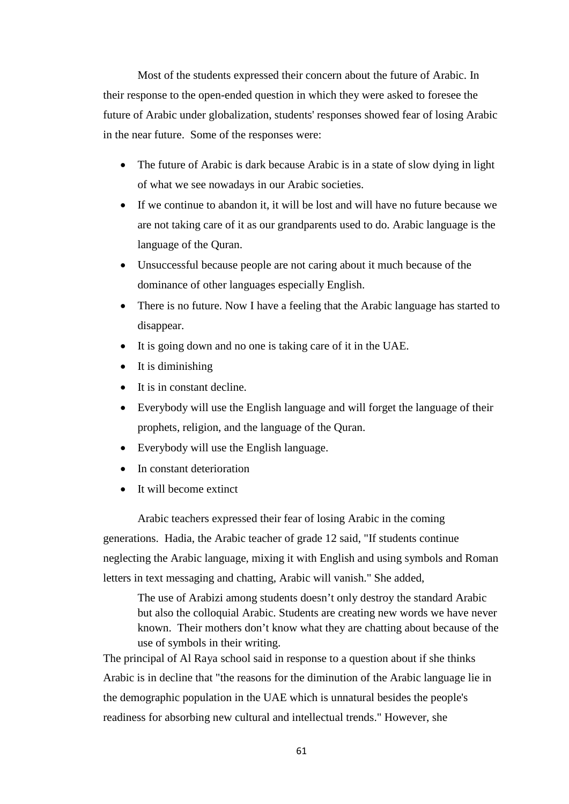Most of the students expressed their concern about the future of Arabic. In their response to the open-ended question in which they were asked to foresee the future of Arabic under globalization, students' responses showed fear of losing Arabic in the near future. Some of the responses were:

- The future of Arabic is dark because Arabic is in a state of slow dying in light of what we see nowadays in our Arabic societies.
- If we continue to abandon it, it will be lost and will have no future because we are not taking care of it as our grandparents used to do. Arabic language is the language of the Quran.
- Unsuccessful because people are not caring about it much because of the dominance of other languages especially English.
- There is no future. Now I have a feeling that the Arabic language has started to disappear.
- It is going down and no one is taking care of it in the UAE.
- It is diminishing
- It is in constant decline.
- Everybody will use the English language and will forget the language of their prophets, religion, and the language of the Quran.
- Everybody will use the English language.
- In constant deterioration
- It will become extinct

Arabic teachers expressed their fear of losing Arabic in the coming generations. Hadia, the Arabic teacher of grade 12 said, "If students continue neglecting the Arabic language, mixing it with English and using symbols and Roman letters in text messaging and chatting, Arabic will vanish." She added,

The use of Arabizi among students doesn't only destroy the standard Arabic but also the colloquial Arabic. Students are creating new words we have never known. Their mothers don't know what they are chatting about because of the use of symbols in their writing.

The principal of Al Raya school said in response to a question about if she thinks Arabic is in decline that "the reasons for the diminution of the Arabic language lie in the demographic population in the UAE which is unnatural besides the people's readiness for absorbing new cultural and intellectual trends." However, she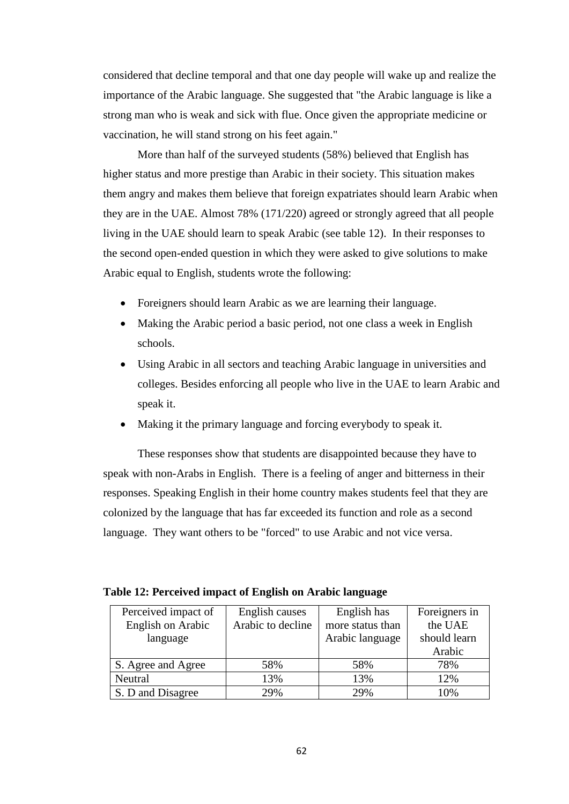considered that decline temporal and that one day people will wake up and realize the importance of the Arabic language. She suggested that "the Arabic language is like a strong man who is weak and sick with flue. Once given the appropriate medicine or vaccination, he will stand strong on his feet again."

More than half of the surveyed students (58%) believed that English has higher status and more prestige than Arabic in their society. This situation makes them angry and makes them believe that foreign expatriates should learn Arabic when they are in the UAE. Almost 78% (171/220) agreed or strongly agreed that all people living in the UAE should learn to speak Arabic (see table 12). In their responses to the second open-ended question in which they were asked to give solutions to make Arabic equal to English, students wrote the following:

- Foreigners should learn Arabic as we are learning their language.
- Making the Arabic period a basic period, not one class a week in English schools.
- Using Arabic in all sectors and teaching Arabic language in universities and colleges. Besides enforcing all people who live in the UAE to learn Arabic and speak it.
- Making it the primary language and forcing everybody to speak it.

These responses show that students are disappointed because they have to speak with non-Arabs in English. There is a feeling of anger and bitterness in their responses. Speaking English in their home country makes students feel that they are colonized by the language that has far exceeded its function and role as a second language. They want others to be "forced" to use Arabic and not vice versa.

| Perceived impact of | English causes    | English has      | Foreigners in |
|---------------------|-------------------|------------------|---------------|
| English on Arabic   | Arabic to decline | more status than | the UAE       |
| language            |                   | Arabic language  | should learn  |
|                     |                   |                  | Arabic        |
| S. Agree and Agree  | 58%               | 58%              | 78%           |
| Neutral             | 13%               | 13%              | 12%           |
| S. D and Disagree   | 29%               | 29%              | 10%           |

| Table 12: Perceived impact of English on Arabic language |  |  |  |
|----------------------------------------------------------|--|--|--|
|----------------------------------------------------------|--|--|--|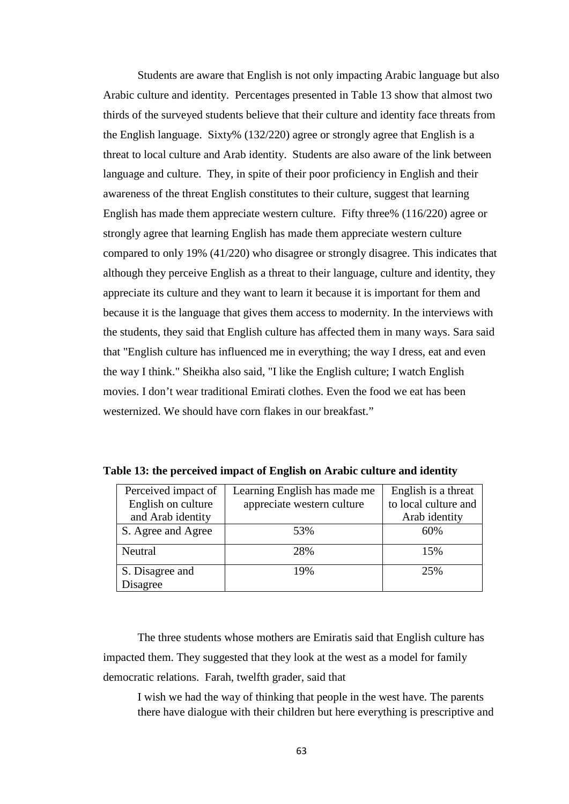Students are aware that English is not only impacting Arabic language but also Arabic culture and identity. Percentages presented in Table 13 show that almost two thirds of the surveyed students believe that their culture and identity face threats from the English language. Sixty% (132/220) agree or strongly agree that English is a threat to local culture and Arab identity. Students are also aware of the link between language and culture. They, in spite of their poor proficiency in English and their awareness of the threat English constitutes to their culture, suggest that learning English has made them appreciate western culture. Fifty three% (116/220) agree or strongly agree that learning English has made them appreciate western culture compared to only 19% (41/220) who disagree or strongly disagree. This indicates that although they perceive English as a threat to their language, culture and identity, they appreciate its culture and they want to learn it because it is important for them and because it is the language that gives them access to modernity. In the interviews with the students, they said that English culture has affected them in many ways. Sara said that "English culture has influenced me in everything; the way I dress, eat and even the way I think." Sheikha also said, "I like the English culture; I watch English movies. I don't wear traditional Emirati clothes. Even the food we eat has been westernized. We should have corn flakes in our breakfast."

| Perceived impact of | Learning English has made me | English is a threat  |
|---------------------|------------------------------|----------------------|
| English on culture  | appreciate western culture   | to local culture and |
| and Arab identity   |                              | Arab identity        |
| S. Agree and Agree  | 53%                          | 60%                  |
| Neutral             | 28%                          | 15%                  |
| S. Disagree and     | 19%                          | 25%                  |
| Disagree            |                              |                      |

**Table 13: the perceived impact of English on Arabic culture and identity**

The three students whose mothers are Emiratis said that English culture has impacted them. They suggested that they look at the west as a model for family democratic relations. Farah, twelfth grader, said that

I wish we had the way of thinking that people in the west have. The parents there have dialogue with their children but here everything is prescriptive and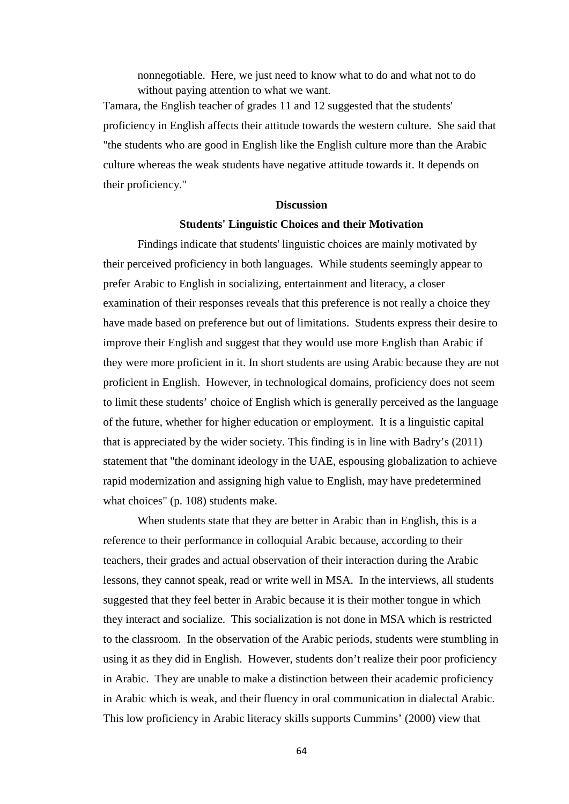nonnegotiable. Here, we just need to know what to do and what not to do without paying attention to what we want.

Tamara, the English teacher of grades 11 and 12 suggested that the students' proficiency in English affects their attitude towards the western culture. She said that "the students who are good in English like the English culture more than the Arabic culture whereas the weak students have negative attitude towards it. It depends on their proficiency."

# **Discussion**

### **Students' Linguistic Choices and their Motivation**

Findings indicate that students' linguistic choices are mainly motivated by their perceived proficiency in both languages. While students seemingly appear to prefer Arabic to English in socializing, entertainment and literacy, a closer examination of their responses reveals that this preference is not really a choice they have made based on preference but out of limitations. Students express their desire to improve their English and suggest that they would use more English than Arabic if they were more proficient in it. In short students are using Arabic because they are not proficient in English. However, in technological domains, proficiency does not seem to limit these students' choice of English which is generally perceived as the language of the future, whether for higher education or employment. It is a linguistic capital that is appreciated by the wider society. This finding is in line with Badry's (2011) statement that "the dominant ideology in the UAE, espousing globalization to achieve rapid modernization and assigning high value to English, may have predetermined what choices" (p. 108) students make.

When students state that they are better in Arabic than in English, this is a reference to their performance in colloquial Arabic because, according to their teachers, their grades and actual observation of their interaction during the Arabic lessons, they cannot speak, read or write well in MSA. In the interviews, all students suggested that they feel better in Arabic because it is their mother tongue in which they interact and socialize. This socialization is not done in MSA which is restricted to the classroom. In the observation of the Arabic periods, students were stumbling in using it as they did in English. However, students don't realize their poor proficiency in Arabic. They are unable to make a distinction between their academic proficiency in Arabic which is weak, and their fluency in oral communication in dialectal Arabic. This low proficiency in Arabic literacy skills supports Cummins' (2000) view that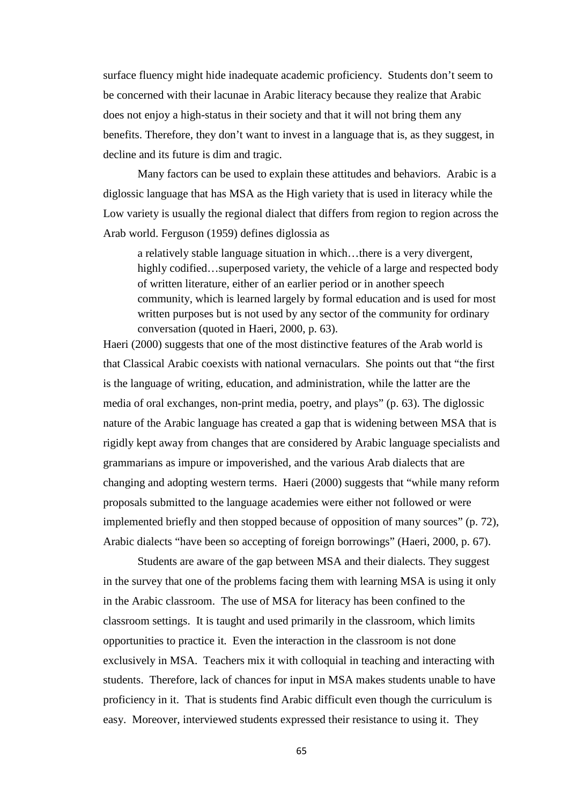surface fluency might hide inadequate academic proficiency. Students don't seem to be concerned with their lacunae in Arabic literacy because they realize that Arabic does not enjoy a high-status in their society and that it will not bring them any benefits. Therefore, they don't want to invest in a language that is, as they suggest, in decline and its future is dim and tragic.

Many factors can be used to explain these attitudes and behaviors. Arabic is a diglossic language that has MSA as the High variety that is used in literacy while the Low variety is usually the regional dialect that differs from region to region across the Arab world. Ferguson (1959) defines diglossia as

a relatively stable language situation in which…there is a very divergent, highly codified...superposed variety, the vehicle of a large and respected body of written literature, either of an earlier period or in another speech community, which is learned largely by formal education and is used for most written purposes but is not used by any sector of the community for ordinary conversation (quoted in Haeri, 2000, p. 63).

Haeri (2000) suggests that one of the most distinctive features of the Arab world is that Classical Arabic coexists with national vernaculars. She points out that "the first is the language of writing, education, and administration, while the latter are the media of oral exchanges, non-print media, poetry, and plays" (p. 63). The diglossic nature of the Arabic language has created a gap that is widening between MSA that is rigidly kept away from changes that are considered by Arabic language specialists and grammarians as impure or impoverished, and the various Arab dialects that are changing and adopting western terms. Haeri (2000) suggests that "while many reform proposals submitted to the language academies were either not followed or were implemented briefly and then stopped because of opposition of many sources" (p. 72), Arabic dialects "have been so accepting of foreign borrowings" (Haeri, 2000, p. 67).

Students are aware of the gap between MSA and their dialects. They suggest in the survey that one of the problems facing them with learning MSA is using it only in the Arabic classroom. The use of MSA for literacy has been confined to the classroom settings. It is taught and used primarily in the classroom, which limits opportunities to practice it. Even the interaction in the classroom is not done exclusively in MSA. Teachers mix it with colloquial in teaching and interacting with students. Therefore, lack of chances for input in MSA makes students unable to have proficiency in it. That is students find Arabic difficult even though the curriculum is easy. Moreover, interviewed students expressed their resistance to using it. They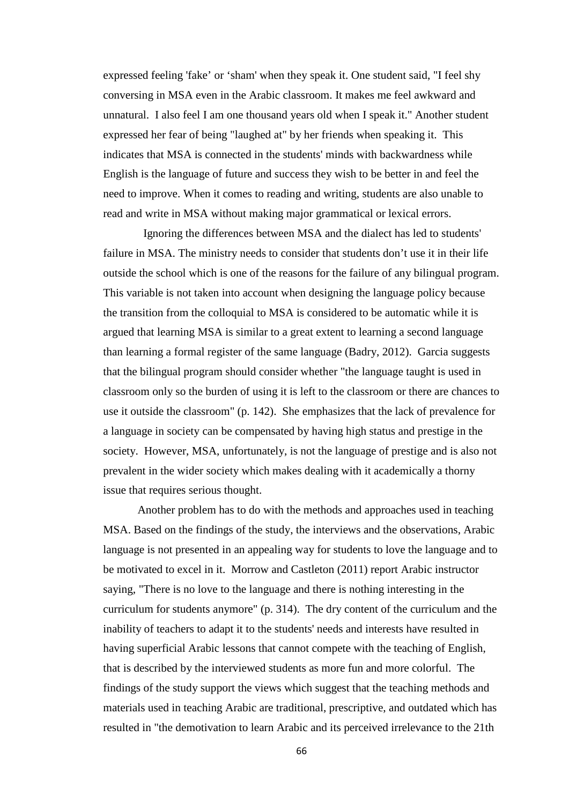expressed feeling 'fake' or 'sham' when they speak it. One student said, "I feel shy conversing in MSA even in the Arabic classroom. It makes me feel awkward and unnatural. I also feel I am one thousand years old when I speak it." Another student expressed her fear of being "laughed at" by her friends when speaking it. This indicates that MSA is connected in the students' minds with backwardness while English is the language of future and success they wish to be better in and feel the need to improve. When it comes to reading and writing, students are also unable to read and write in MSA without making major grammatical or lexical errors.

 Ignoring the differences between MSA and the dialect has led to students' failure in MSA. The ministry needs to consider that students don't use it in their life outside the school which is one of the reasons for the failure of any bilingual program. This variable is not taken into account when designing the language policy because the transition from the colloquial to MSA is considered to be automatic while it is argued that learning MSA is similar to a great extent to learning a second language than learning a formal register of the same language (Badry, 2012). Garcia suggests that the bilingual program should consider whether "the language taught is used in classroom only so the burden of using it is left to the classroom or there are chances to use it outside the classroom" (p. 142). She emphasizes that the lack of prevalence for a language in society can be compensated by having high status and prestige in the society. However, MSA, unfortunately, is not the language of prestige and is also not prevalent in the wider society which makes dealing with it academically a thorny issue that requires serious thought.

Another problem has to do with the methods and approaches used in teaching MSA. Based on the findings of the study, the interviews and the observations, Arabic language is not presented in an appealing way for students to love the language and to be motivated to excel in it. Morrow and Castleton (2011) report Arabic instructor saying, "There is no love to the language and there is nothing interesting in the curriculum for students anymore" (p. 314). The dry content of the curriculum and the inability of teachers to adapt it to the students' needs and interests have resulted in having superficial Arabic lessons that cannot compete with the teaching of English, that is described by the interviewed students as more fun and more colorful. The findings of the study support the views which suggest that the teaching methods and materials used in teaching Arabic are traditional, prescriptive, and outdated which has resulted in "the demotivation to learn Arabic and its perceived irrelevance to the 21th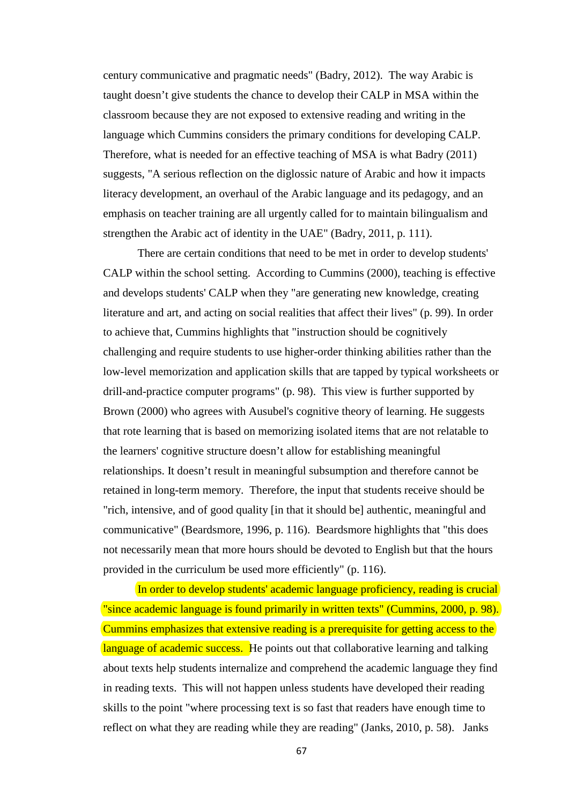century communicative and pragmatic needs" (Badry, 2012). The way Arabic is taught doesn't give students the chance to develop their CALP in MSA within the classroom because they are not exposed to extensive reading and writing in the language which Cummins considers the primary conditions for developing CALP. Therefore, what is needed for an effective teaching of MSA is what Badry (2011) suggests, "A serious reflection on the diglossic nature of Arabic and how it impacts literacy development, an overhaul of the Arabic language and its pedagogy, and an emphasis on teacher training are all urgently called for to maintain bilingualism and strengthen the Arabic act of identity in the UAE" (Badry, 2011, p. 111).

There are certain conditions that need to be met in order to develop students' CALP within the school setting. According to Cummins (2000), teaching is effective and develops students' CALP when they "are generating new knowledge, creating literature and art, and acting on social realities that affect their lives" (p. 99). In order to achieve that, Cummins highlights that "instruction should be cognitively challenging and require students to use higher-order thinking abilities rather than the low-level memorization and application skills that are tapped by typical worksheets or drill-and-practice computer programs" (p. 98). This view is further supported by Brown (2000) who agrees with Ausubel's cognitive theory of learning. He suggests that rote learning that is based on memorizing isolated items that are not relatable to the learners' cognitive structure doesn't allow for establishing meaningful relationships. It doesn't result in meaningful subsumption and therefore cannot be retained in long-term memory. Therefore, the input that students receive should be "rich, intensive, and of good quality [in that it should be] authentic, meaningful and communicative" (Beardsmore, 1996, p. 116). Beardsmore highlights that "this does not necessarily mean that more hours should be devoted to English but that the hours provided in the curriculum be used more efficiently" (p. 116).

In order to develop students' academic language proficiency, reading is crucial "since academic language is found primarily in written texts" (Cummins, 2000, p. 98). Cummins emphasizes that extensive reading is a prerequisite for getting access to the language of academic success. He points out that collaborative learning and talking about texts help students internalize and comprehend the academic language they find in reading texts. This will not happen unless students have developed their reading skills to the point "where processing text is so fast that readers have enough time to reflect on what they are reading while they are reading" (Janks, 2010, p. 58). Janks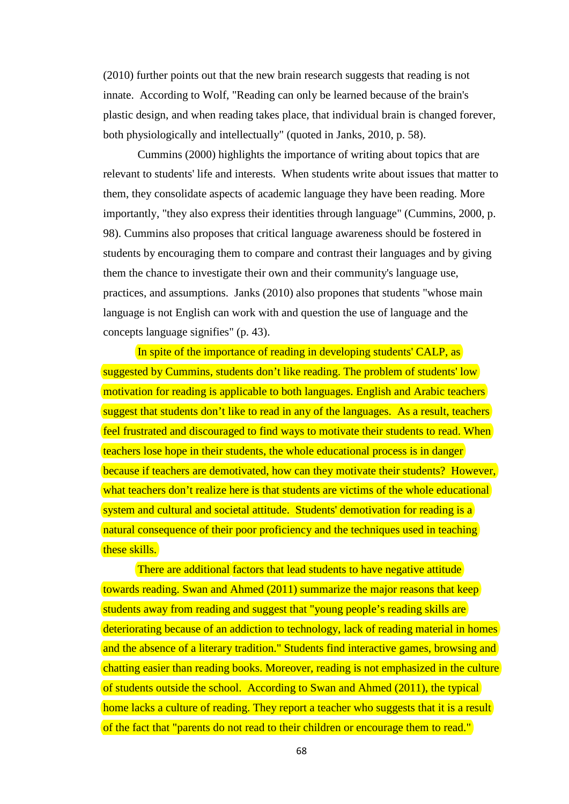(2010) further points out that the new brain research suggests that reading is not innate. According to Wolf, "Reading can only be learned because of the brain's plastic design, and when reading takes place, that individual brain is changed forever, both physiologically and intellectually" (quoted in Janks, 2010, p. 58).

Cummins (2000) highlights the importance of writing about topics that are relevant to students' life and interests. When students write about issues that matter to them, they consolidate aspects of academic language they have been reading. More importantly, "they also express their identities through language" (Cummins, 2000, p. 98). Cummins also proposes that critical language awareness should be fostered in students by encouraging them to compare and contrast their languages and by giving them the chance to investigate their own and their community's language use, practices, and assumptions. Janks (2010) also propones that students "whose main language is not English can work with and question the use of language and the concepts language signifies" (p. 43).

In spite of the importance of reading in developing students' CALP, as suggested by Cummins, students don't like reading. The problem of students' low motivation for reading is applicable to both languages. English and Arabic teachers suggest that students don't like to read in any of the languages. As a result, teachers feel frustrated and discouraged to find ways to motivate their students to read. When teachers lose hope in their students, the whole educational process is in danger because if teachers are demotivated, how can they motivate their students? However, what teachers don't realize here is that students are victims of the whole educational system and cultural and societal attitude. Students' demotivation for reading is a natural consequence of their poor proficiency and the techniques used in teaching these skills.

There are additional factors that lead students to have negative attitude towards reading. Swan and Ahmed (2011) summarize the major reasons that keep students away from reading and suggest that "young people's reading skills are deteriorating because of an addiction to technology, lack of reading material in homes and the absence of a literary tradition." Students find interactive games, browsing and chatting easier than reading books. Moreover, reading is not emphasized in the culture of students outside the school. According to Swan and Ahmed (2011), the typical home lacks a culture of reading. They report a teacher who suggests that it is a result of the fact that "parents do not read to their children or encourage them to read."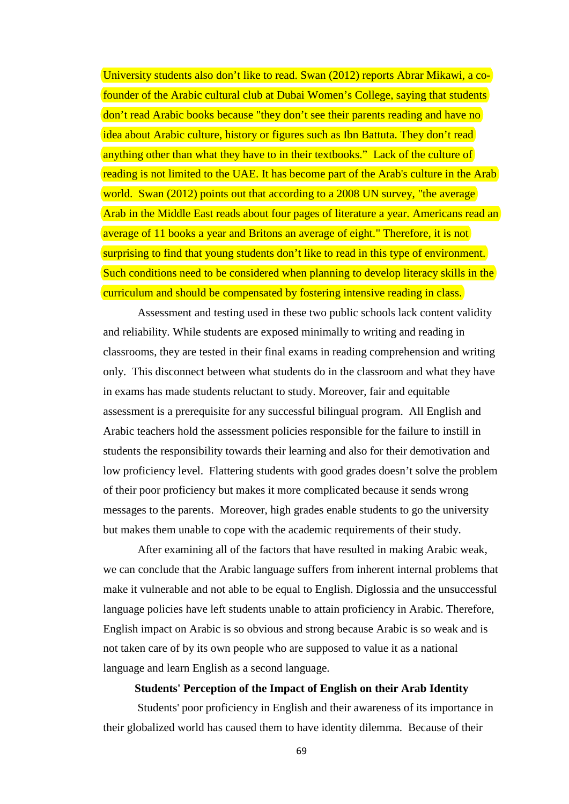University students also don't like to read. Swan (2012) reports Abrar Mikawi, a cofounder of the Arabic cultural club at Dubai Women's College, saying that students don't read Arabic books because "they don't see their parents reading and have no idea about Arabic culture, history or figures such as Ibn Battuta. They don't read anything other than what they have to in their textbooks." Lack of the culture of reading is not limited to the UAE. It has become part of the Arab's culture in the Arab world. Swan (2012) points out that according to a 2008 UN survey, "the average Arab in the Middle East reads about four pages of literature a year. Americans read an average of 11 books a year and Britons an average of eight." Therefore, it is not surprising to find that young students don't like to read in this type of environment. Such conditions need to be considered when planning to develop literacy skills in the curriculum and should be compensated by fostering intensive reading in class.

Assessment and testing used in these two public schools lack content validity and reliability. While students are exposed minimally to writing and reading in classrooms, they are tested in their final exams in reading comprehension and writing only. This disconnect between what students do in the classroom and what they have in exams has made students reluctant to study. Moreover, fair and equitable assessment is a prerequisite for any successful bilingual program. All English and Arabic teachers hold the assessment policies responsible for the failure to instill in students the responsibility towards their learning and also for their demotivation and low proficiency level. Flattering students with good grades doesn't solve the problem of their poor proficiency but makes it more complicated because it sends wrong messages to the parents. Moreover, high grades enable students to go the university but makes them unable to cope with the academic requirements of their study.

After examining all of the factors that have resulted in making Arabic weak, we can conclude that the Arabic language suffers from inherent internal problems that make it vulnerable and not able to be equal to English. Diglossia and the unsuccessful language policies have left students unable to attain proficiency in Arabic. Therefore, English impact on Arabic is so obvious and strong because Arabic is so weak and is not taken care of by its own people who are supposed to value it as a national language and learn English as a second language.

### **Students' Perception of the Impact of English on their Arab Identity**

Students' poor proficiency in English and their awareness of its importance in their globalized world has caused them to have identity dilemma. Because of their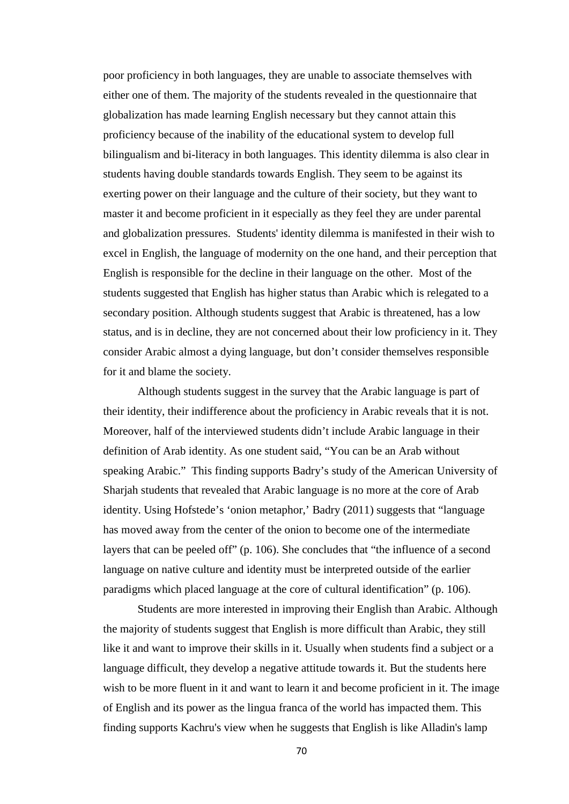poor proficiency in both languages, they are unable to associate themselves with either one of them. The majority of the students revealed in the questionnaire that globalization has made learning English necessary but they cannot attain this proficiency because of the inability of the educational system to develop full bilingualism and bi-literacy in both languages. This identity dilemma is also clear in students having double standards towards English. They seem to be against its exerting power on their language and the culture of their society, but they want to master it and become proficient in it especially as they feel they are under parental and globalization pressures. Students' identity dilemma is manifested in their wish to excel in English, the language of modernity on the one hand, and their perception that English is responsible for the decline in their language on the other. Most of the students suggested that English has higher status than Arabic which is relegated to a secondary position. Although students suggest that Arabic is threatened, has a low status, and is in decline, they are not concerned about their low proficiency in it. They consider Arabic almost a dying language, but don't consider themselves responsible for it and blame the society.

Although students suggest in the survey that the Arabic language is part of their identity, their indifference about the proficiency in Arabic reveals that it is not. Moreover, half of the interviewed students didn't include Arabic language in their definition of Arab identity. As one student said, "You can be an Arab without speaking Arabic." This finding supports Badry's study of the American University of Sharjah students that revealed that Arabic language is no more at the core of Arab identity. Using Hofstede's 'onion metaphor,' Badry (2011) suggests that "language has moved away from the center of the onion to become one of the intermediate layers that can be peeled off" (p. 106). She concludes that "the influence of a second language on native culture and identity must be interpreted outside of the earlier paradigms which placed language at the core of cultural identification" (p. 106).

Students are more interested in improving their English than Arabic. Although the majority of students suggest that English is more difficult than Arabic, they still like it and want to improve their skills in it. Usually when students find a subject or a language difficult, they develop a negative attitude towards it. But the students here wish to be more fluent in it and want to learn it and become proficient in it. The image of English and its power as the lingua franca of the world has impacted them. This finding supports Kachru's view when he suggests that English is like Alladin's lamp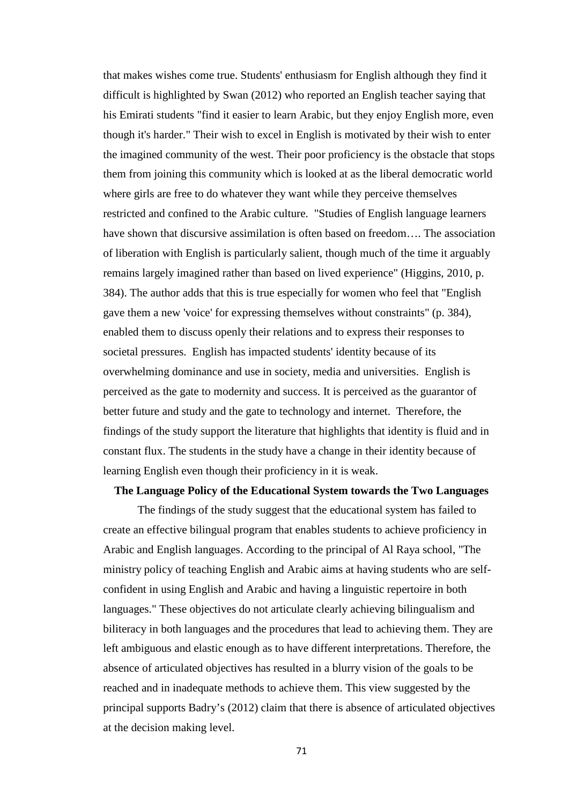that makes wishes come true. Students' enthusiasm for English although they find it difficult is highlighted by Swan (2012) who reported an English teacher saying that his Emirati students "find it easier to learn Arabic, but they enjoy English more, even though it's harder." Their wish to excel in English is motivated by their wish to enter the imagined community of the west. Their poor proficiency is the obstacle that stops them from joining this community which is looked at as the liberal democratic world where girls are free to do whatever they want while they perceive themselves restricted and confined to the Arabic culture. "Studies of English language learners have shown that discursive assimilation is often based on freedom…. The association of liberation with English is particularly salient, though much of the time it arguably remains largely imagined rather than based on lived experience" (Higgins, 2010, p. 384). The author adds that this is true especially for women who feel that "English gave them a new 'voice' for expressing themselves without constraints" (p. 384), enabled them to discuss openly their relations and to express their responses to societal pressures. English has impacted students' identity because of its overwhelming dominance and use in society, media and universities. English is perceived as the gate to modernity and success. It is perceived as the guarantor of better future and study and the gate to technology and internet. Therefore, the findings of the study support the literature that highlights that identity is fluid and in constant flux. The students in the study have a change in their identity because of learning English even though their proficiency in it is weak.

#### **The Language Policy of the Educational System towards the Two Languages**

The findings of the study suggest that the educational system has failed to create an effective bilingual program that enables students to achieve proficiency in Arabic and English languages. According to the principal of Al Raya school, "The ministry policy of teaching English and Arabic aims at having students who are selfconfident in using English and Arabic and having a linguistic repertoire in both languages." These objectives do not articulate clearly achieving bilingualism and biliteracy in both languages and the procedures that lead to achieving them. They are left ambiguous and elastic enough as to have different interpretations. Therefore, the absence of articulated objectives has resulted in a blurry vision of the goals to be reached and in inadequate methods to achieve them. This view suggested by the principal supports Badry's (2012) claim that there is absence of articulated objectives at the decision making level.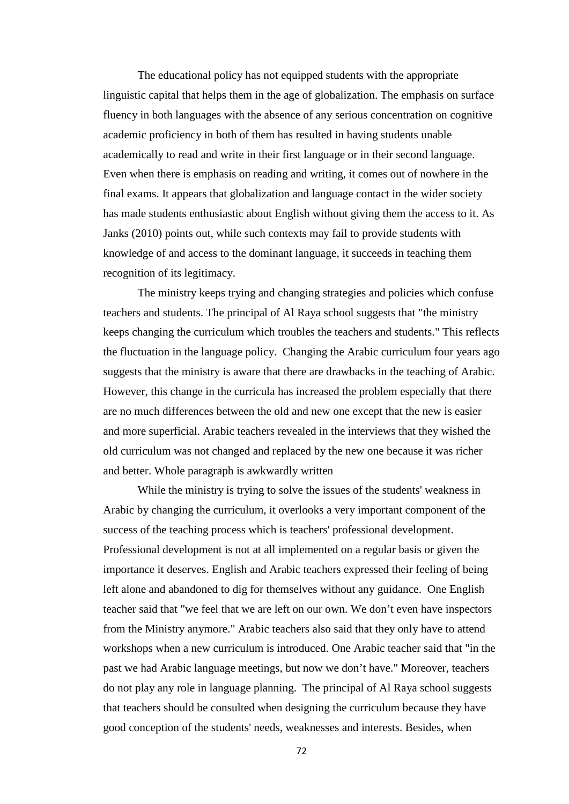The educational policy has not equipped students with the appropriate linguistic capital that helps them in the age of globalization. The emphasis on surface fluency in both languages with the absence of any serious concentration on cognitive academic proficiency in both of them has resulted in having students unable academically to read and write in their first language or in their second language. Even when there is emphasis on reading and writing, it comes out of nowhere in the final exams. It appears that globalization and language contact in the wider society has made students enthusiastic about English without giving them the access to it. As Janks (2010) points out, while such contexts may fail to provide students with knowledge of and access to the dominant language, it succeeds in teaching them recognition of its legitimacy.

The ministry keeps trying and changing strategies and policies which confuse teachers and students. The principal of Al Raya school suggests that "the ministry keeps changing the curriculum which troubles the teachers and students." This reflects the fluctuation in the language policy. Changing the Arabic curriculum four years ago suggests that the ministry is aware that there are drawbacks in the teaching of Arabic. However, this change in the curricula has increased the problem especially that there are no much differences between the old and new one except that the new is easier and more superficial. Arabic teachers revealed in the interviews that they wished the old curriculum was not changed and replaced by the new one because it was richer and better. Whole paragraph is awkwardly written

While the ministry is trying to solve the issues of the students' weakness in Arabic by changing the curriculum, it overlooks a very important component of the success of the teaching process which is teachers' professional development. Professional development is not at all implemented on a regular basis or given the importance it deserves. English and Arabic teachers expressed their feeling of being left alone and abandoned to dig for themselves without any guidance. One English teacher said that "we feel that we are left on our own. We don't even have inspectors from the Ministry anymore." Arabic teachers also said that they only have to attend workshops when a new curriculum is introduced. One Arabic teacher said that "in the past we had Arabic language meetings, but now we don't have." Moreover, teachers do not play any role in language planning. The principal of Al Raya school suggests that teachers should be consulted when designing the curriculum because they have good conception of the students' needs, weaknesses and interests. Besides, when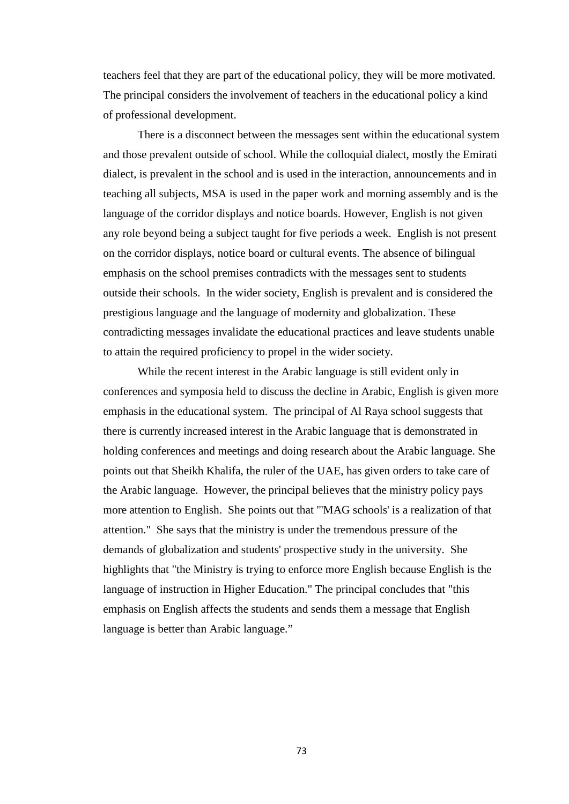teachers feel that they are part of the educational policy, they will be more motivated. The principal considers the involvement of teachers in the educational policy a kind of professional development.

There is a disconnect between the messages sent within the educational system and those prevalent outside of school. While the colloquial dialect, mostly the Emirati dialect, is prevalent in the school and is used in the interaction, announcements and in teaching all subjects, MSA is used in the paper work and morning assembly and is the language of the corridor displays and notice boards. However, English is not given any role beyond being a subject taught for five periods a week. English is not present on the corridor displays, notice board or cultural events. The absence of bilingual emphasis on the school premises contradicts with the messages sent to students outside their schools. In the wider society, English is prevalent and is considered the prestigious language and the language of modernity and globalization. These contradicting messages invalidate the educational practices and leave students unable to attain the required proficiency to propel in the wider society.

While the recent interest in the Arabic language is still evident only in conferences and symposia held to discuss the decline in Arabic, English is given more emphasis in the educational system. The principal of Al Raya school suggests that there is currently increased interest in the Arabic language that is demonstrated in holding conferences and meetings and doing research about the Arabic language. She points out that Sheikh Khalifa, the ruler of the UAE, has given orders to take care of the Arabic language. However, the principal believes that the ministry policy pays more attention to English. She points out that "'MAG schools' is a realization of that attention." She says that the ministry is under the tremendous pressure of the demands of globalization and students' prospective study in the university. She highlights that "the Ministry is trying to enforce more English because English is the language of instruction in Higher Education." The principal concludes that "this emphasis on English affects the students and sends them a message that English language is better than Arabic language."

73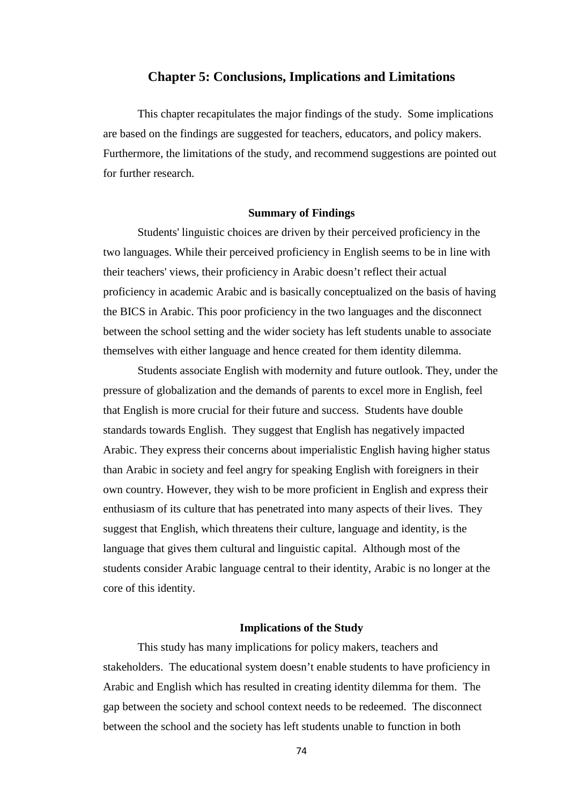## **Chapter 5: Conclusions, Implications and Limitations**

This chapter recapitulates the major findings of the study. Some implications are based on the findings are suggested for teachers, educators, and policy makers. Furthermore, the limitations of the study, and recommend suggestions are pointed out for further research.

#### **Summary of Findings**

Students' linguistic choices are driven by their perceived proficiency in the two languages. While their perceived proficiency in English seems to be in line with their teachers' views, their proficiency in Arabic doesn't reflect their actual proficiency in academic Arabic and is basically conceptualized on the basis of having the BICS in Arabic. This poor proficiency in the two languages and the disconnect between the school setting and the wider society has left students unable to associate themselves with either language and hence created for them identity dilemma.

Students associate English with modernity and future outlook. They, under the pressure of globalization and the demands of parents to excel more in English, feel that English is more crucial for their future and success. Students have double standards towards English. They suggest that English has negatively impacted Arabic. They express their concerns about imperialistic English having higher status than Arabic in society and feel angry for speaking English with foreigners in their own country. However, they wish to be more proficient in English and express their enthusiasm of its culture that has penetrated into many aspects of their lives. They suggest that English, which threatens their culture, language and identity, is the language that gives them cultural and linguistic capital. Although most of the students consider Arabic language central to their identity, Arabic is no longer at the core of this identity.

## **Implications of the Study**

This study has many implications for policy makers, teachers and stakeholders. The educational system doesn't enable students to have proficiency in Arabic and English which has resulted in creating identity dilemma for them. The gap between the society and school context needs to be redeemed. The disconnect between the school and the society has left students unable to function in both

74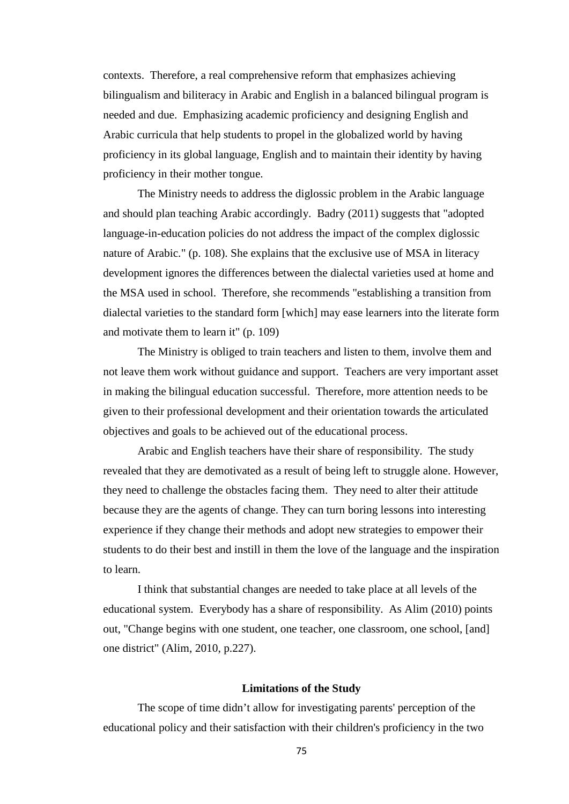contexts. Therefore, a real comprehensive reform that emphasizes achieving bilingualism and biliteracy in Arabic and English in a balanced bilingual program is needed and due. Emphasizing academic proficiency and designing English and Arabic curricula that help students to propel in the globalized world by having proficiency in its global language, English and to maintain their identity by having proficiency in their mother tongue.

The Ministry needs to address the diglossic problem in the Arabic language and should plan teaching Arabic accordingly. Badry (2011) suggests that "adopted language-in-education policies do not address the impact of the complex diglossic nature of Arabic." (p. 108). She explains that the exclusive use of MSA in literacy development ignores the differences between the dialectal varieties used at home and the MSA used in school. Therefore, she recommends "establishing a transition from dialectal varieties to the standard form [which] may ease learners into the literate form and motivate them to learn it" (p. 109)

The Ministry is obliged to train teachers and listen to them, involve them and not leave them work without guidance and support. Teachers are very important asset in making the bilingual education successful. Therefore, more attention needs to be given to their professional development and their orientation towards the articulated objectives and goals to be achieved out of the educational process.

Arabic and English teachers have their share of responsibility. The study revealed that they are demotivated as a result of being left to struggle alone. However, they need to challenge the obstacles facing them. They need to alter their attitude because they are the agents of change. They can turn boring lessons into interesting experience if they change their methods and adopt new strategies to empower their students to do their best and instill in them the love of the language and the inspiration to learn.

I think that substantial changes are needed to take place at all levels of the educational system. Everybody has a share of responsibility. As Alim (2010) points out, "Change begins with one student, one teacher, one classroom, one school, [and] one district" (Alim, 2010, p.227).

#### **Limitations of the Study**

The scope of time didn't allow for investigating parents' perception of the educational policy and their satisfaction with their children's proficiency in the two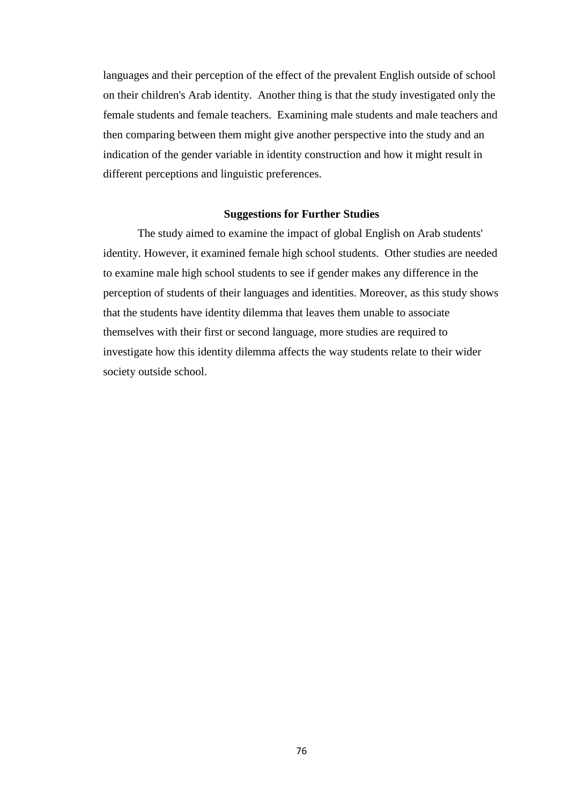languages and their perception of the effect of the prevalent English outside of school on their children's Arab identity. Another thing is that the study investigated only the female students and female teachers. Examining male students and male teachers and then comparing between them might give another perspective into the study and an indication of the gender variable in identity construction and how it might result in different perceptions and linguistic preferences.

#### **Suggestions for Further Studies**

The study aimed to examine the impact of global English on Arab students' identity. However, it examined female high school students. Other studies are needed to examine male high school students to see if gender makes any difference in the perception of students of their languages and identities. Moreover, as this study shows that the students have identity dilemma that leaves them unable to associate themselves with their first or second language, more studies are required to investigate how this identity dilemma affects the way students relate to their wider society outside school.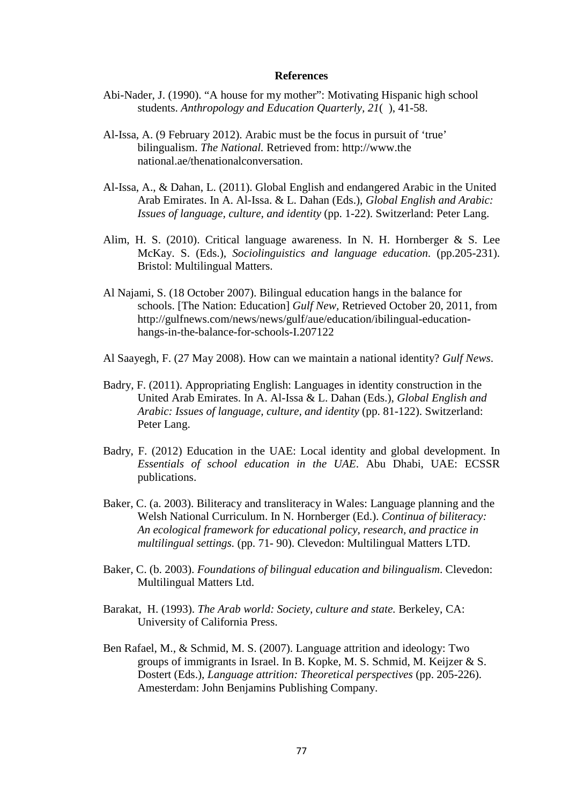#### **References**

- Abi-Nader, J. (1990). "A house for my mother": Motivating Hispanic high school students. *Anthropology and Education Quarterly, 21*( ), 41-58.
- Al-Issa, A. (9 February 2012). Arabic must be the focus in pursuit of 'true' bilingualism. *The National.* Retrieved from: http://www.the national.ae/thenationalconversation.
- Al-Issa, A., & Dahan, L. (2011). Global English and endangered Arabic in the United Arab Emirates. In A. Al-Issa. & L. Dahan (Eds.), *Global English and Arabic: Issues of language, culture, and identity* (pp. 1-22). Switzerland: Peter Lang.
- Alim, H. S. (2010). Critical language awareness. In N. H. Hornberger & S. Lee McKay. S. (Eds.), *Sociolinguistics and language education*. (pp.205-231). Bristol: Multilingual Matters.
- Al Najami, S. (18 October 2007). Bilingual education hangs in the balance for schools. [The Nation: Education] *Gulf New,* Retrieved October 20, 2011, from http://gulfnews.com/news/news/gulf/aue/education/ibilingual-educationhangs-in-the-balance-for-schools-I.207122
- Al Saayegh, F. (27 May 2008). How can we maintain a national identity? *Gulf News*.
- Badry, F. (2011). Appropriating English: Languages in identity construction in the United Arab Emirates. In A. Al-Issa & L. Dahan (Eds.), *Global English and Arabic: Issues of language, culture, and identity* (pp. 81-122). Switzerland: Peter Lang.
- Badry, F. (2012) Education in the UAE: Local identity and global development. In *Essentials of school education in the UAE*. Abu Dhabi, UAE: ECSSR publications.
- Baker, C. (a. 2003). Biliteracy and transliteracy in Wales: Language planning and the Welsh National Curriculum. In N. Hornberger (Ed.). *Continua of biliteracy: An ecological framework for educational policy, research, and practice in multilingual settings.* (pp. 71- 90). Clevedon: Multilingual Matters LTD.
- Baker, C. (b. 2003). *Foundations of bilingual education and bilingualism*. Clevedon: Multilingual Matters Ltd.
- Barakat, H. (1993). *The Arab world: Society, culture and state.* Berkeley, CA: University of California Press.
- Ben Rafael, M., & Schmid, M. S. (2007). Language attrition and ideology: Two groups of immigrants in Israel. In B. Kopke, M. S. Schmid, M. Keijzer & S. Dostert (Eds.), *Language attrition: Theoretical perspectives* (pp. 205-226). Amesterdam: John Benjamins Publishing Company.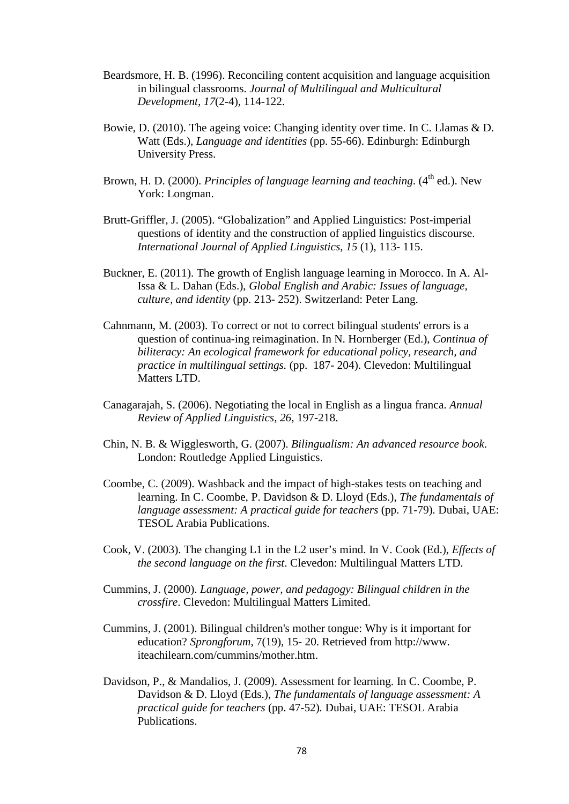- Beardsmore, H. B. (1996). Reconciling content acquisition and language acquisition in bilingual classrooms. *Journal of Multilingual and Multicultural Development, 17*(2-4), 114-122.
- Bowie, D. (2010). The ageing voice: Changing identity over time. In C. Llamas & D. Watt (Eds.), *Language and identities* (pp. 55-66). Edinburgh: Edinburgh University Press.
- Brown, H. D. (2000). *Principles of language learning and teaching*. (4<sup>th</sup> ed.). New York: Longman.
- Brutt-Griffler, J. (2005). "Globalization" and Applied Linguistics: Post-imperial questions of identity and the construction of applied linguistics discourse. *International Journal of Applied Linguistics, 15* (1), 113- 115.
- Buckner, E. (2011). The growth of English language learning in Morocco. In A. Al-Issa & L. Dahan (Eds.), *Global English and Arabic: Issues of language, culture, and identity* (pp. 213- 252). Switzerland: Peter Lang.
- Cahnmann, M. (2003). To correct or not to correct bilingual students' errors is a question of continua-ing reimagination. In N. Hornberger (Ed.), *Continua of biliteracy: An ecological framework for educational policy, research, and practice in multilingual settings.* (pp. 187- 204). Clevedon: Multilingual Matters LTD.
- Canagarajah, S. (2006). Negotiating the local in English as a lingua franca. *Annual Review of Applied Linguistics, 26*, 197-218.
- Chin, N. B. & Wigglesworth, G. (2007). *Bilingualism: An advanced resource book*. London: Routledge Applied Linguistics.
- Coombe, C. (2009). Washback and the impact of high-stakes tests on teaching and learning. In C. Coombe, P. Davidson & D. Lloyd (Eds.), *The fundamentals of language assessment: A practical guide for teachers* (pp. 71-79)*.* Dubai, UAE: TESOL Arabia Publications.
- Cook, V. (2003). The changing L1 in the L2 user's mind. In V. Cook (Ed.), *Effects of the second language on the first*. Clevedon: Multilingual Matters LTD.
- Cummins, J. (2000). *Language, power, and pedagogy: Bilingual children in the crossfire*. Clevedon: Multilingual Matters Limited.
- Cummins, J. (2001). Bilingual children's mother tongue: Why is it important for education? *Sprongforum*, 7(19), 15- 20. Retrieved from http://www. iteachilearn.com/cummins/mother.htm.
- Davidson, P., & Mandalios, J. (2009). Assessment for learning. In C. Coombe, P. Davidson & D. Lloyd (Eds.), *The fundamentals of language assessment: A practical guide for teachers* (pp. 47-52)*.* Dubai, UAE: TESOL Arabia Publications.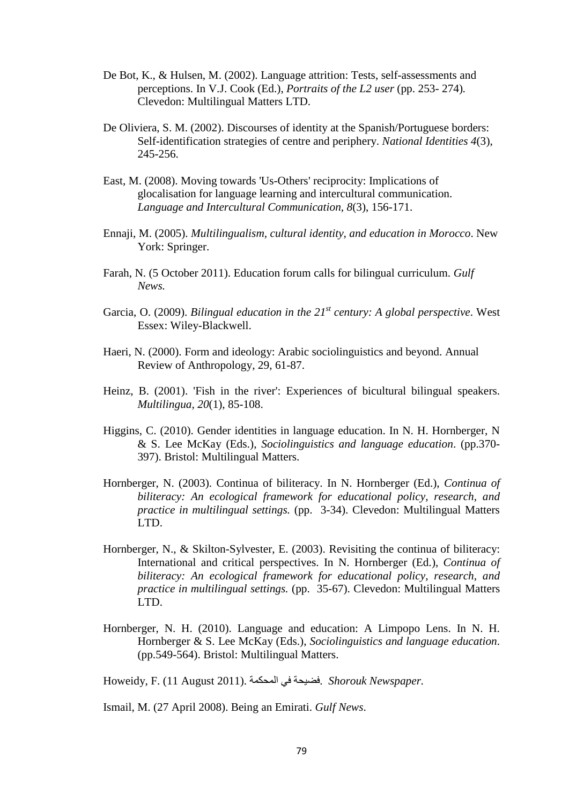- De Bot, K., & Hulsen, M. (2002). Language attrition: Tests, self-assessments and perceptions. In V.J. Cook (Ed.), *Portraits of the L2 user* (pp. 253- 274)*.*  Clevedon: Multilingual Matters LTD.
- De Oliviera, S. M. (2002). Discourses of identity at the Spanish/Portuguese borders: Self-identification strategies of centre and periphery. *National Identities 4*(3), 245-256.
- East, M. (2008). Moving towards 'Us-Others' reciprocity: Implications of glocalisation for language learning and intercultural communication. *Language and Intercultural Communication, 8*(3), 156-171.
- Ennaji, M. (2005). *Multilingualism, cultural identity, and education in Morocco*. New York: Springer.
- Farah, N. (5 October 2011). Education forum calls for bilingual curriculum. *Gulf News.*
- Garcia, O. (2009). *Bilingual education in the 21st century: A global perspective*. West Essex: Wiley-Blackwell.
- Haeri, N. (2000). Form and ideology: Arabic sociolinguistics and beyond. Annual Review of Anthropology, 29, 61-87.
- Heinz, B. (2001). 'Fish in the river': Experiences of bicultural bilingual speakers. *Multilingua, 20*(1), 85-108.
- Higgins, C. (2010). Gender identities in language education. In N. H. Hornberger, N & S. Lee McKay (Eds.), *Sociolinguistics and language education*. (pp.370- 397). Bristol: Multilingual Matters.
- Hornberger, N. (2003). Continua of biliteracy. In N. Hornberger (Ed.), *Continua of biliteracy: An ecological framework for educational policy, research, and practice in multilingual settings.* (pp. 3-34). Clevedon: Multilingual Matters LTD.
- Hornberger, N., & Skilton-Sylvester, E. (2003). Revisiting the continua of biliteracy: International and critical perspectives. In N. Hornberger (Ed.), *Continua of biliteracy: An ecological framework for educational policy, research, and practice in multilingual settings.* (pp. 35-67). Clevedon: Multilingual Matters LTD.
- Hornberger, N. H. (2010). Language and education: A Limpopo Lens. In N. H. Hornberger & S. Lee McKay (Eds.), *Sociolinguistics and language education*. (pp.549-564). Bristol: Multilingual Matters.

Howeidy, F. (11 August 2011). المحكمة في فضيحة. *Shorouk Newspaper.*

Ismail, M. (27 April 2008). Being an Emirati. *Gulf News*.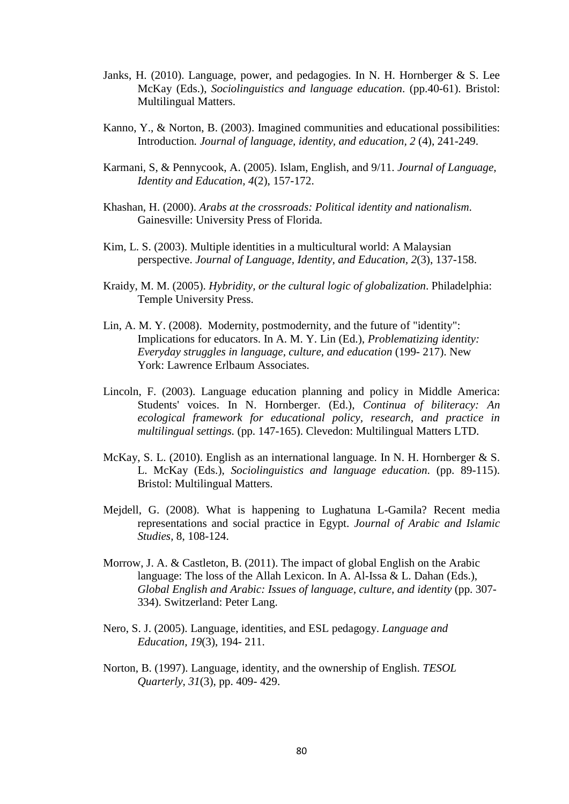- Janks, H. (2010). Language, power, and pedagogies. In N. H. Hornberger & S. Lee McKay (Eds.), *Sociolinguistics and language education*. (pp.40-61). Bristol: Multilingual Matters.
- Kanno, Y., & Norton, B. (2003). Imagined communities and educational possibilities: Introduction*. Journal of language, identity, and education, 2* (4), 241-249.
- Karmani, S, & Pennycook, A. (2005). Islam, English, and 9/11. *Journal of Language, Identity and Education, 4*(2), 157-172.
- Khashan, H. (2000). *Arabs at the crossroads: Political identity and nationalism*. Gainesville: University Press of Florida.
- Kim, L. S. (2003). Multiple identities in a multicultural world: A Malaysian perspective. *Journal of Language, Identity, and Education, 2*(3), 137-158.
- Kraidy, M. M. (2005). *Hybridity, or the cultural logic of globalization*. Philadelphia: Temple University Press.
- Lin, A. M. Y. (2008). Modernity, postmodernity, and the future of "identity": Implications for educators. In A. M. Y. Lin (Ed.), *Problematizing identity: Everyday struggles in language, culture, and education* (199- 217). New York: Lawrence Erlbaum Associates.
- Lincoln, F. (2003). Language education planning and policy in Middle America: Students' voices. In N. Hornberger. (Ed.), *Continua of biliteracy: An ecological framework for educational policy, research, and practice in multilingual settings.* (pp. 147-165). Clevedon: Multilingual Matters LTD.
- McKay, S. L. (2010). English as an international language. In N. H. Hornberger & S. L. McKay (Eds.), *Sociolinguistics and language education*. (pp. 89-115). Bristol: Multilingual Matters.
- Mejdell, G. (2008). What is happening to Lughatuna L-Gamila? Recent media representations and social practice in Egypt. *Journal of Arabic and Islamic Studies,* 8, 108-124.
- Morrow, J. A. & Castleton, B. (2011). The impact of global English on the Arabic language: The loss of the Allah Lexicon. In A. Al-Issa & L. Dahan (Eds.), *Global English and Arabic: Issues of language, culture, and identity* (pp. 307- 334). Switzerland: Peter Lang.
- Nero, S. J. (2005). Language, identities, and ESL pedagogy. *Language and Education, 19*(3), 194- 211.
- Norton, B. (1997). Language, identity, and the ownership of English. *TESOL Quarterly, 31*(3), pp. 409- 429.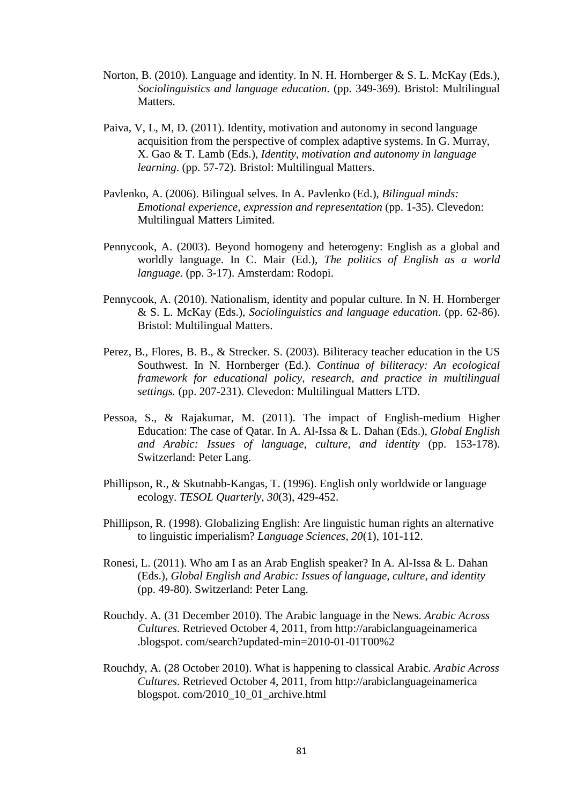- Norton, B. (2010). Language and identity. In N. H. Hornberger & S. L. McKay (Eds.), *Sociolinguistics and language education*. (pp. 349-369). Bristol: Multilingual Matters.
- Paiva, V, L, M, D. (2011). Identity, motivation and autonomy in second language acquisition from the perspective of complex adaptive systems. In G. Murray, X. Gao & T. Lamb (Eds.), *Identity, motivation and autonomy in language learning*. (pp. 57-72). Bristol: Multilingual Matters.
- Pavlenko, A. (2006). Bilingual selves. In A. Pavlenko (Ed.), *Bilingual minds: Emotional experience, expression and representation (pp. 1-35). Clevedon:* Multilingual Matters Limited.
- Pennycook, A. (2003). Beyond homogeny and heterogeny: English as a global and worldly language. In C. Mair (Ed.), *The politics of English as a world language*. (pp. 3-17). Amsterdam: Rodopi.
- Pennycook, A. (2010). Nationalism, identity and popular culture. In N. H. Hornberger & S. L. McKay (Eds.), *Sociolinguistics and language education*. (pp. 62-86). Bristol: Multilingual Matters.
- Perez, B., Flores, B. B., & Strecker. S. (2003). Biliteracy teacher education in the US Southwest. In N. Hornberger (Ed.). *Continua of biliteracy: An ecological framework for educational policy, research, and practice in multilingual settings.* (pp. 207-231). Clevedon: Multilingual Matters LTD.
- Pessoa, S., & Rajakumar, M. (2011). The impact of English-medium Higher Education: The case of Qatar. In A. Al-Issa & L. Dahan (Eds.), *Global English and Arabic: Issues of language, culture, and identity* (pp. 153-178). Switzerland: Peter Lang.
- Phillipson, R., & Skutnabb-Kangas, T. (1996). English only worldwide or language ecology. *TESOL Quarterly, 30*(3), 429-452.
- Phillipson, R. (1998). Globalizing English: Are linguistic human rights an alternative to linguistic imperialism? *Language Sciences, 20*(1), 101-112.
- Ronesi, L. (2011). Who am I as an Arab English speaker? In A. Al-Issa & L. Dahan (Eds.), *Global English and Arabic: Issues of language, culture, and identity* (pp. 49-80). Switzerland: Peter Lang.
- Rouchdy. A. (31 December 2010). The Arabic language in the News. *Arabic Across Cultures.* Retrieved October 4, 2011, from http://arabiclanguageinamerica .blogspot. com/search?updated-min=2010-01-01T00%2
- Rouchdy, A. (28 October 2010). What is happening to classical Arabic. *Arabic Across Cultures.* Retrieved October 4, 2011, from http://arabiclanguageinamerica blogspot. com/2010\_10\_01\_archive.html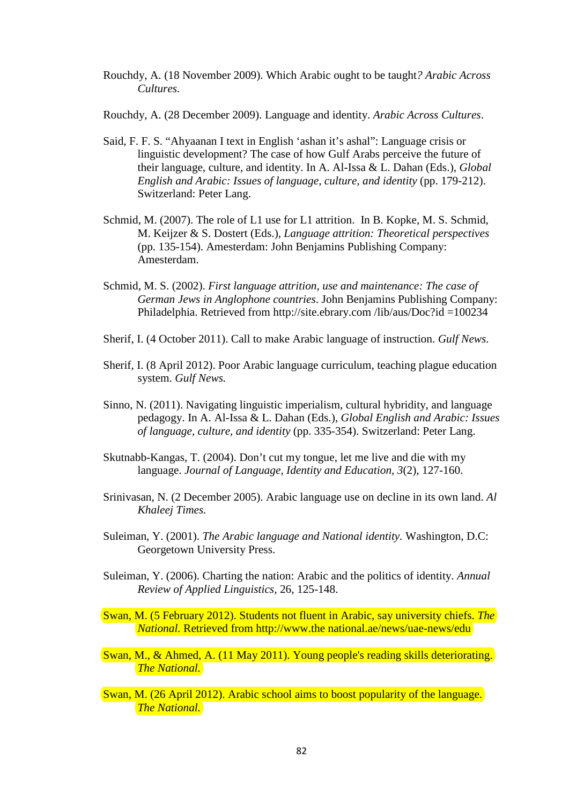- Rouchdy, A. (18 November 2009). Which Arabic ought to be taught*? Arabic Across Cultures.*
- Rouchdy, A. (28 December 2009). Language and identity. *Arabic Across Cultures*.
- Said, F. F. S. "Ahyaanan I text in English 'ashan it's ashal": Language crisis or linguistic development? The case of how Gulf Arabs perceive the future of their language, culture, and identity. In A. Al-Issa & L. Dahan (Eds.), *Global English and Arabic: Issues of language, culture, and identity* (pp. 179-212). Switzerland: Peter Lang.
- Schmid, M. (2007). The role of L1 use for L1 attrition. In B. Kopke, M. S. Schmid, M. Keijzer & S. Dostert (Eds.), *Language attrition: Theoretical perspectives* (pp. 135-154). Amesterdam: John Benjamins Publishing Company: Amesterdam.
- Schmid, M. S. (2002). *First language attrition, use and maintenance: The case of German Jews in Anglophone countries*. John Benjamins Publishing Company: Philadelphia. Retrieved from http://site.ebrary.com /lib/aus/Doc?id =100234
- Sherif, I. (4 October 2011). Call to make Arabic language of instruction. *Gulf News.*
- Sherif, I. (8 April 2012). Poor Arabic language curriculum, teaching plague education system. *Gulf News.*
- Sinno, N. (2011). Navigating linguistic imperialism, cultural hybridity, and language pedagogy. In A. Al-Issa & L. Dahan (Eds.), *Global English and Arabic: Issues of language, culture, and identity* (pp. 335-354). Switzerland: Peter Lang.
- Skutnabb-Kangas, T. (2004). Don't cut my tongue, let me live and die with my language. *Journal of Language, Identity and Education, 3*(2), 127-160.
- Srinivasan, N. (2 December 2005). Arabic language use on decline in its own land. *Al Khaleej Times.*
- Suleiman, Y. (2001). *The Arabic language and National identity.* Washington, D.C: Georgetown University Press.
- Suleiman, Y. (2006). Charting the nation: Arabic and the politics of identity. *Annual Review of Applied Linguistics,* 26, 125-148.
- Swan, M. (5 February 2012). Students not fluent in Arabic, say university chiefs. *The National.* Retrieved from http://www.the national.ae/news/uae-news/edu
- Swan, M., & Ahmed, A. (11 May 2011). Young people's reading skills deteriorating. *The National.*
- Swan, M. (26 April 2012). Arabic school aims to boost popularity of the language. *The National.*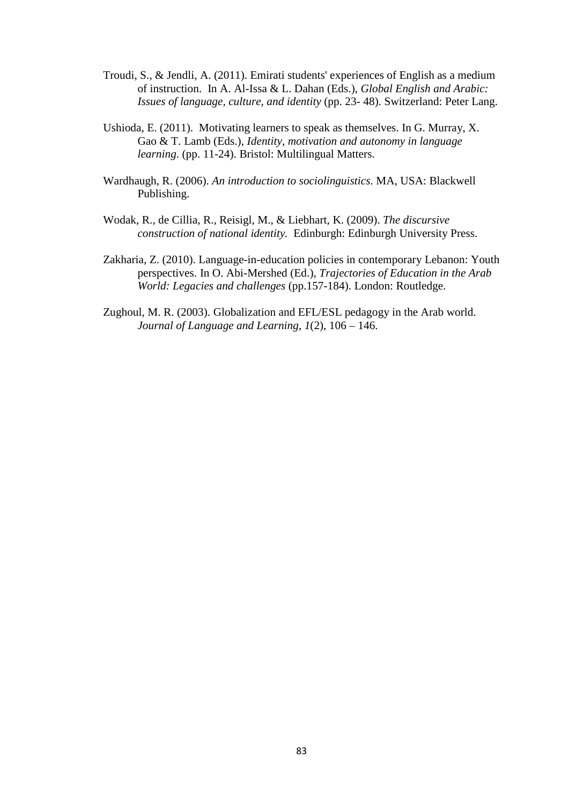- Troudi, S., & Jendli, A. (2011). Emirati students' experiences of English as a medium of instruction. In A. Al-Issa & L. Dahan (Eds.), *Global English and Arabic: Issues of language, culture, and identity* (pp. 23- 48). Switzerland: Peter Lang.
- Ushioda, E. (2011). Motivating learners to speak as themselves. In G. Murray, X. Gao & T. Lamb (Eds.), *Identity, motivation and autonomy in language learning*. (pp. 11-24). Bristol: Multilingual Matters.
- Wardhaugh, R. (2006). *An introduction to sociolinguistics*. MA, USA: Blackwell Publishing.
- Wodak, R., de Cillia, R., Reisigl, M., & Liebhart, K. (2009). *The discursive construction of national identity.* Edinburgh: Edinburgh University Press.
- Zakharia, Z. (2010). Language-in-education policies in contemporary Lebanon: Youth perspectives. In O. Abi-Mershed (Ed.), *Trajectories of Education in the Arab World: Legacies and challenges* (pp.157-184). London: Routledge.
- Zughoul, M. R. (2003). Globalization and EFL/ESL pedagogy in the Arab world. *Journal of Language and Learning, 1*(2), 106 – 146.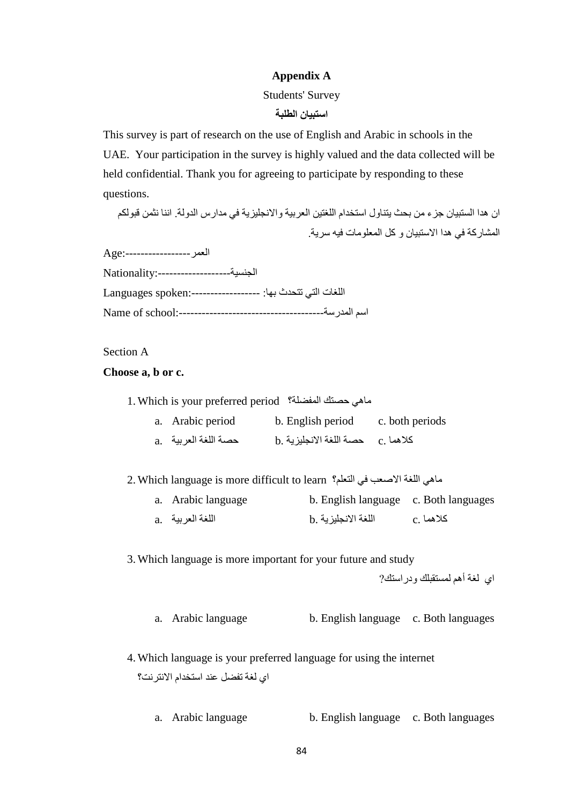## **Appendix A**

#### Students' Survey

## **استبيان الطلبة**

This survey is part of research on the use of English and Arabic in schools in the UAE. Your participation in the survey is highly valued and the data collected will be held confidential. Thank you for agreeing to participate by responding to these questions.

ان هدا الستبيان جزء من بحث يتناول استخدام اللغتين العربية والانجليزية في مدارس الدولة. اننا نثمن قبولكم المشاركة في هدا الاستبيان و كل المعلومات فيه سرية.

العمر:-----------------Age

الجنسية:-------------------Nationality

اللغات التي تتحدث بها: :------------------spoken Languages Name of school:--------------------------------------المدرسة اسم

## Section A

## **Choose a, b or c.**

1. Which is your preferred period المفضلة؟ حصتك ماهي

| a. Arabic period | b. English period                     | c. both periods |
|------------------|---------------------------------------|-----------------|
|                  | b. كلاهما .c    حصـة اللغة الانجليزية |                 |

2. Which language is more difficult to learn التعلم؟ في الاصعب اللغة ماهي

| a. Arabic language | b. English language c. Both languages |              |
|--------------------|---------------------------------------|--------------|
| a. اللغة العربية   | اللغة الانجليزية .b                   | ا كلاهما . c |

3. Which language is more important for your future and study

اي لغة أهم لمستقبلك ودراستك?

a. Arabic language b. English language c. Both languages

- 4. Which language is your preferred language for using the internet اي لغة تفضل عند استخدام الانترنت؟
	- a. Arabic language b. English language c. Both languages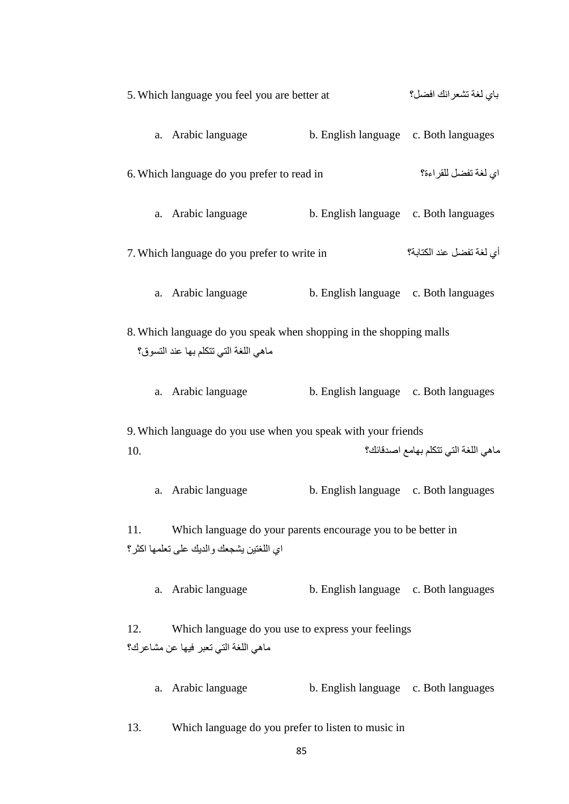|     | 5. Which language you feel you are better at                                                                |                                       | باي لغة تشعر انك افضل؟               |
|-----|-------------------------------------------------------------------------------------------------------------|---------------------------------------|--------------------------------------|
|     | a. Arabic language                                                                                          | b. English language c. Both languages |                                      |
|     | 6. Which language do you prefer to read in                                                                  |                                       | اي لغة تفضل للقراءة؟                 |
|     | a. Arabic language                                                                                          | b. English language c. Both languages |                                      |
|     | 7. Which language do you prefer to write in                                                                 |                                       | أي لغة تفضل عند الكتابة؟             |
|     | a. Arabic language                                                                                          | b. English language c. Both languages |                                      |
|     | 8. Which language do you speak when shopping in the shopping malls<br>ماهي اللغة التي تتكلم بها عند التسوق؟ |                                       |                                      |
|     | a. Arabic language                                                                                          | b. English language c. Both languages |                                      |
|     | 9. Which language do you use when you speak with your friends                                               |                                       |                                      |
| 10. |                                                                                                             |                                       | ماهي اللغة التي تتكلم بهامع اصدقائك؟ |
|     | a. Arabic language                                                                                          | b. English language c. Both languages |                                      |
| 11. | Which language do your parents encourage you to be better in<br>اي اللغتين يشجعك والديك على تعلمها اكثر؟    |                                       |                                      |
|     | a. Arabic language                                                                                          | b. English language c. Both languages |                                      |
| 12. | Which language do you use to express your feelings<br>ماهي اللغة التي تعبر فيها عن مشاعرك؟                  |                                       |                                      |
|     | a. Arabic language                                                                                          | b. English language c. Both languages |                                      |
|     |                                                                                                             |                                       |                                      |

13. Which language do you prefer to listen to music in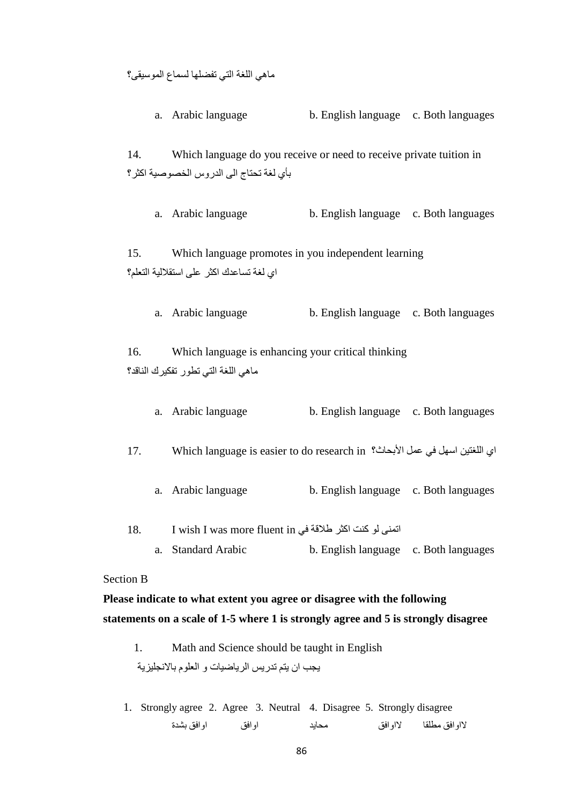ماهي اللغة التي تفضلها لسماع الموسيقى؟

a. Arabic language b. English language c. Both languages 14. Which language do you receive or need to receive private tuition in بأي لغة تحتاج الى الدروس الخصوصية اكثر؟

a. Arabic language b. English language c. Both languages

15. Which language promotes in you independent learning اي لغة تساعدك اكثر على استقلالية التعلم؟

a. Arabic language b. English language c. Both languages

16. Which language is enhancing your critical thinking ماهي اللغة التي تطور تفكيرك الناقد؟

| a. Arabic language | b. English language c. Both languages |  |
|--------------------|---------------------------------------|--|
|--------------------|---------------------------------------|--|

17. Which language is easier to do research in الأبحاث؟ عمل في اسهل اللغتين اي

- a. Arabic language b. English language c. Both languages
- 18. I wish I was more fluent in في طلاقة اكثر كنت لو اتمنى a. Standard Arabic b. English language c. Both languages

#### Section B

**Please indicate to what extent you agree or disagree with the following statements on a scale of 1-5 where 1 is strongly agree and 5 is strongly disagree**

1. Math and Science should be taught in English يجب ان يتم تدريس الرياضيات و العلوم بالانجليزية

1. Strongly agree 2. Agree 3. Neutral 4. Disagree 5. Strongly disagree لااوافق مطلقا لااوافق محايد اوافق اوافق بشدة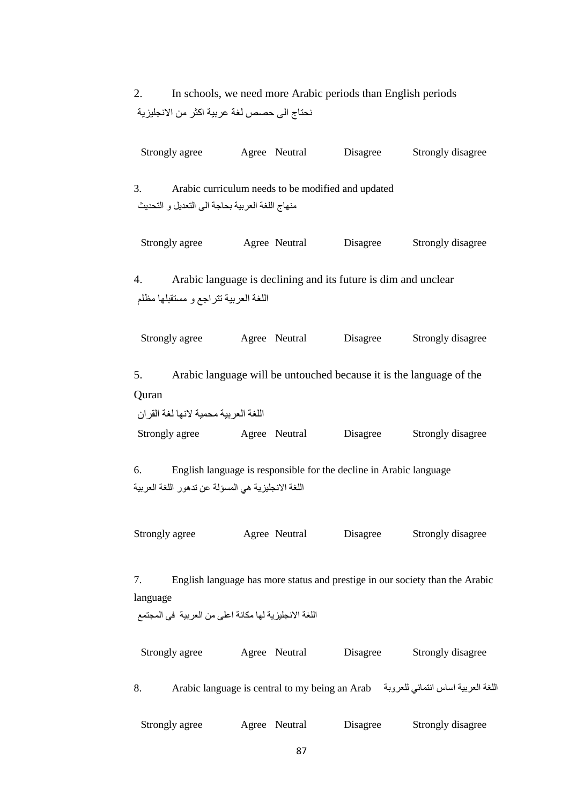2. In schools, we need more Arabic periods than English periods نحتاج الى حصص لغة عربية اكثر من الانجليزية

| Strongly agree                                                          | Agree Neutral                                      | Disagree                                                           | Strongly disagree                                                                   |
|-------------------------------------------------------------------------|----------------------------------------------------|--------------------------------------------------------------------|-------------------------------------------------------------------------------------|
| 3.<br>منهاج اللغة العربية بحاجة الى التعديل و التحديث                   | Arabic curriculum needs to be modified and updated |                                                                    |                                                                                     |
| Strongly agree                                                          | Agree Neutral                                      | Disagree                                                           | Strongly disagree                                                                   |
| 4.<br>اللغة العربية تتراجع و مستقبلها مظلم                              |                                                    | Arabic language is declining and its future is dim and unclear     |                                                                                     |
| Strongly agree                                                          | Agree Neutral                                      | Disagree                                                           | Strongly disagree                                                                   |
| 5.<br>Quran                                                             |                                                    |                                                                    | Arabic language will be untouched because it is the language of the                 |
| اللغة العربية محمية لانها لغة القران<br>Strongly agree Agree Neutral    |                                                    | Disagree                                                           | Strongly disagree                                                                   |
| 6.<br>اللغة الانجليزية هي المسؤلة عن تدهور اللغة العربية                |                                                    | English language is responsible for the decline in Arabic language |                                                                                     |
| Strongly agree                                                          | Agree Neutral                                      | Disagree                                                           | Strongly disagree                                                                   |
| 7.<br>language<br>اللغة الانجليزية لها مكانة اعلى من العربية في المجتمع |                                                    |                                                                    | English language has more status and prestige in our society than the Arabic        |
| Strongly agree                                                          | Agree Neutral                                      | Disagree                                                           | Strongly disagree                                                                   |
| 8.                                                                      |                                                    |                                                                    | اللغة العربية اساس انتمائي للعروبة - Arabic language is central to my being an Arab |
| Strongly agree                                                          | Agree Neutral                                      | Disagree                                                           | Strongly disagree                                                                   |
|                                                                         | 87                                                 |                                                                    |                                                                                     |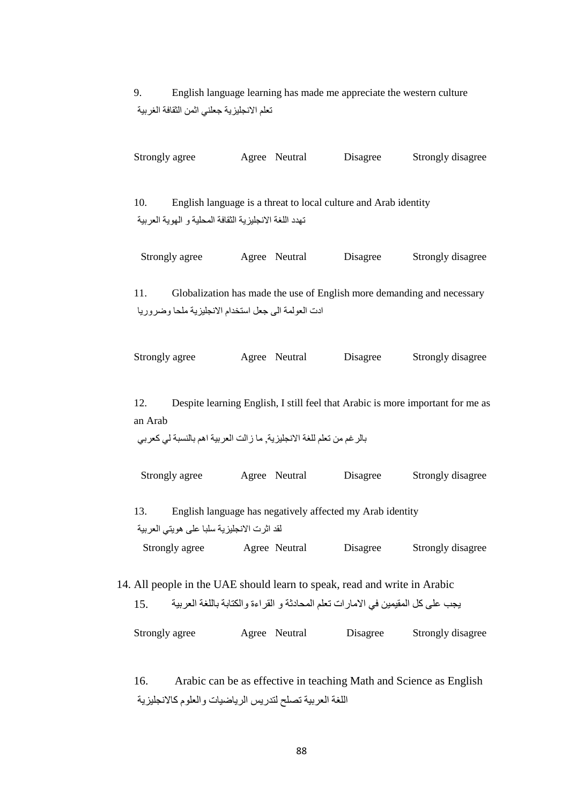9. English language learning has made me appreciate the western culture تعلم الانجليزية جعلني اثمن الثقافة الغربية

| Strongly agree |                                                        | Agree Neutral                                                   | Disagree | Strongly disagree                                                      |
|----------------|--------------------------------------------------------|-----------------------------------------------------------------|----------|------------------------------------------------------------------------|
| 10.            | تهدد اللغة الانجليزية الثقافة المحلية و الهوية العربية | English language is a threat to local culture and Arab identity |          |                                                                        |
| Strongly agree |                                                        | Agree Neutral                                                   | Disagree | Strongly disagree                                                      |
| 11.            | ادت العولمة الى جعل استخدام الانجليزية ملحا وضروريا    |                                                                 |          | Globalization has made the use of English more demanding and necessary |
| Strongly agree |                                                        | Agree Neutral                                                   | Disagree | Strongly disagree                                                      |

12. Despite learning English, I still feel that Arabic is more important for me as an Arab

```
بالرغم من تعلم للغة الانجليزية, ما زالت العربية اهم بالنسبة لي كعربي
```
Strongly agree Agree Neutral Disagree Strongly disagree

13. English language has negatively affected my Arab identity لقد اثرت الانجليزية سلبا على هويتي العربية Strongly agree Agree Neutral Disagree Strongly disagree

14. All people in the UAE should learn to speak, read and write in Arabic يجب على كل المقيمين في الامارات تعلم المحادثة و القراءة والكتابة باللغة العربية 15. Strongly agree Agree Neutral Disagree Strongly disagree

16. Arabic can be as effective in teaching Math and Science as English اللغة العربية تصلح لتدريس الرياضيات والعلوم كالانجليزية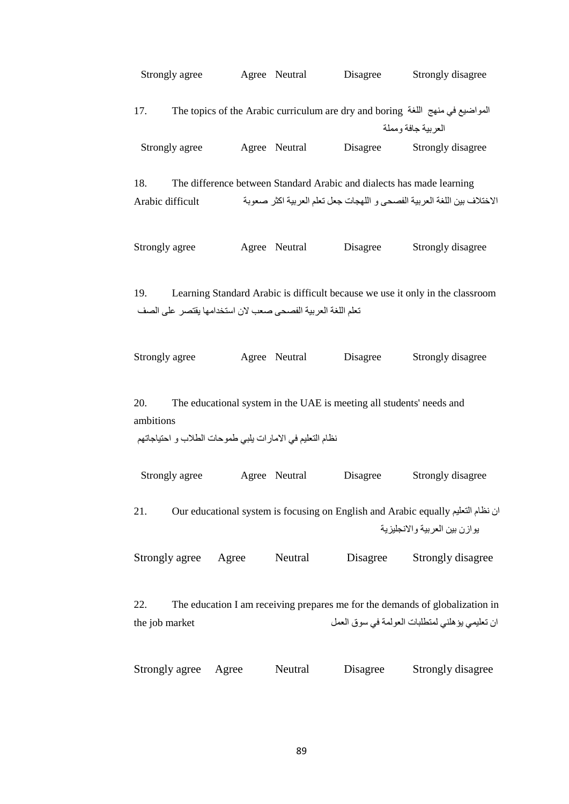|                         | Strongly agree |               | Agree Neutral                                              | Disagree                                                              | Strongly disagree                                                                                                              |
|-------------------------|----------------|---------------|------------------------------------------------------------|-----------------------------------------------------------------------|--------------------------------------------------------------------------------------------------------------------------------|
| 17.                     |                |               |                                                            |                                                                       | The topics of the Arabic curriculum are dry and boring ألمواضيع في منهج اللغة<br>العربية جافة ومملة                            |
|                         | Strongly agree |               | Agree Neutral                                              | Disagree                                                              | Strongly disagree                                                                                                              |
| 18.<br>Arabic difficult |                |               |                                                            | The difference between Standard Arabic and dialects has made learning | الاختلاف بين اللغة العربية الفصحى و اللهجات جعل تعلم العربية اكثر صعوبة                                                        |
| Strongly agree          |                |               | Agree Neutral                                              | Disagree                                                              | Strongly disagree                                                                                                              |
| 19.                     |                |               | تعلم اللغة العربية الفصحى صعب لان استخدامها يقتصر على الصف |                                                                       | Learning Standard Arabic is difficult because we use it only in the classroom                                                  |
| Strongly agree          |                | Agree Neutral |                                                            | Disagree                                                              | Strongly disagree                                                                                                              |
| 20.<br>ambitions        |                |               | نظام التعليم في الامارات يلبي طموحات الطلاب و احتياجاتهم   | The educational system in the UAE is meeting all students' needs and  |                                                                                                                                |
|                         | Strongly agree | Agree Neutral |                                                            | Disagree                                                              | Strongly disagree                                                                                                              |
| 21.                     |                |               |                                                            |                                                                       | ان نظام التعليم Our educational system is focusing on English and Arabic equally<br>يوازن بين العربية والانجليزية              |
| Strongly agree          |                | Agree         | Neutral                                                    | Disagree                                                              | Strongly disagree                                                                                                              |
| 22.<br>the job market   |                |               |                                                            |                                                                       | The education I am receiving prepares me for the demands of globalization in<br>ان تعليمي يؤهلني لمتطلبات العولمة في سوق العمل |
| Strongly agree          |                | Agree         | Neutral                                                    | Disagree                                                              | Strongly disagree                                                                                                              |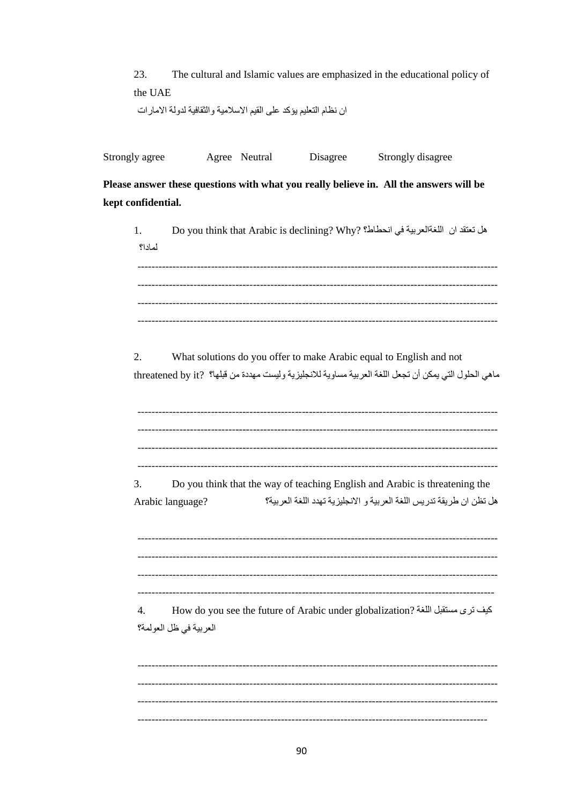| 23.     | The cultural and Islamic values are emphasized in the educational policy of |
|---------|-----------------------------------------------------------------------------|
| the UAE |                                                                             |
|         | ان نظام التعليم يؤكد على القيم الاسلامية والثقافية لدولة الامارات           |

Please answer these questions with what you really believe in. All the answers will be kept confidential.

| 1.<br>لمادا؟           | هل تعتقد ان  اللغةالعربية في انحطاط؟ (Do you think that Arabic is declining? Why                                                                                              |
|------------------------|-------------------------------------------------------------------------------------------------------------------------------------------------------------------------------|
| 2.                     | What solutions do you offer to make Arabic equal to English and not<br>ماهي الحلول التي يمكن أن تجعل اللغة العربية مساوية للانجليزية وليست مهددة من قبلها؟  ?threatened by it |
| 3.<br>Arabic language? | Do you think that the way of teaching English and Arabic is threatening the<br>هل تظن ان طريقة تدريس اللغة العربية و الانجليزية تهدد اللغة العربية؟                           |
| 4.                     | How do you see the future of Arabic under globalization? كيف ترى مستقبل اللغة<br>العربية في ظل العولمة؟                                                                       |
|                        |                                                                                                                                                                               |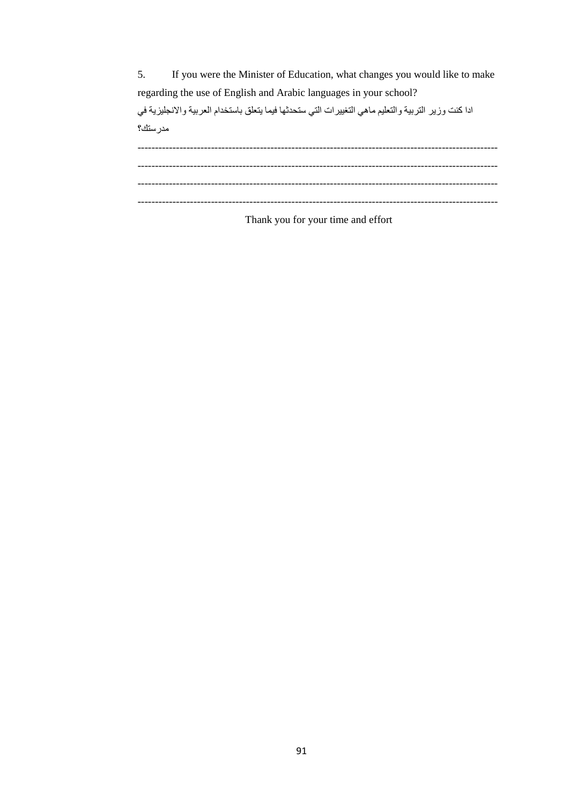5. If you were the Minister of Education, what changes you would like to make regarding the use of English and Arabic languages in your school? ادا كنت وزير التربية والتعليم ماهي التغييرات التي ستحدثها فيما يتعلق باستخدام العربية والانجليزية في مدرستك؟ ------------------------------------------------------------------------------------------------------- ------------------------------------------------------------------------------------------------------- ------------------------------------------------------------------------------------------------------- -------------------------------------------------------------------------------------------------------

Thank you for your time and effort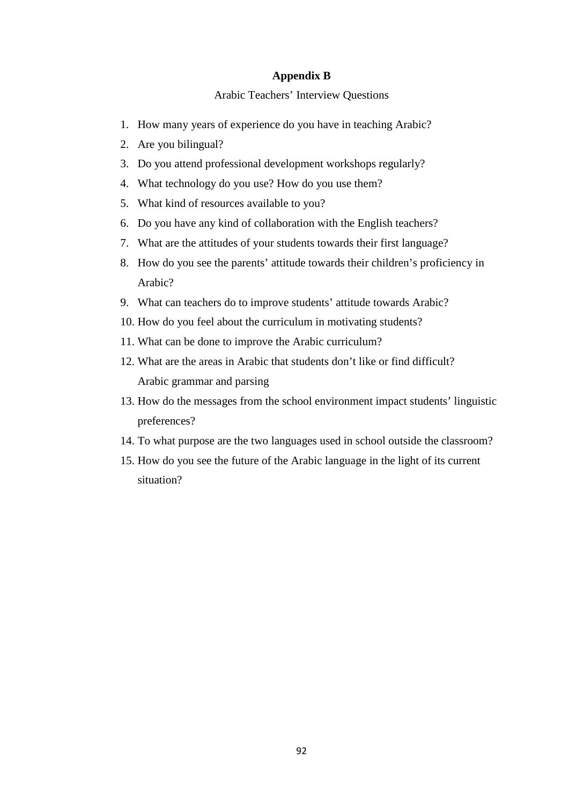## **Appendix B**

## Arabic Teachers' Interview Questions

- 1. How many years of experience do you have in teaching Arabic?
- 2. Are you bilingual?
- 3. Do you attend professional development workshops regularly?
- 4. What technology do you use? How do you use them?
- 5. What kind of resources available to you?
- 6. Do you have any kind of collaboration with the English teachers?
- 7. What are the attitudes of your students towards their first language?
- 8. How do you see the parents' attitude towards their children's proficiency in Arabic?
- 9. What can teachers do to improve students' attitude towards Arabic?
- 10. How do you feel about the curriculum in motivating students?
- 11. What can be done to improve the Arabic curriculum?
- 12. What are the areas in Arabic that students don't like or find difficult? Arabic grammar and parsing
- 13. How do the messages from the school environment impact students' linguistic preferences?
- 14. To what purpose are the two languages used in school outside the classroom?
- 15. How do you see the future of the Arabic language in the light of its current situation?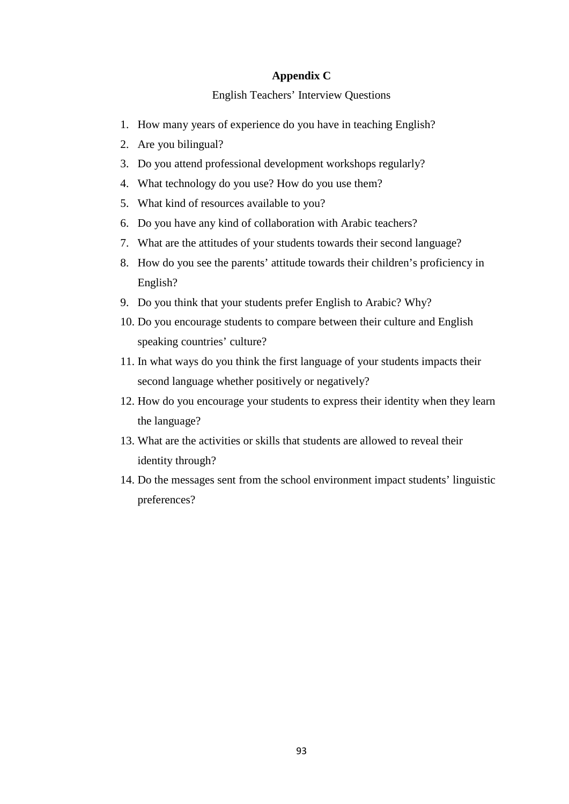## **Appendix C**

English Teachers' Interview Questions

- 1. How many years of experience do you have in teaching English?
- 2. Are you bilingual?
- 3. Do you attend professional development workshops regularly?
- 4. What technology do you use? How do you use them?
- 5. What kind of resources available to you?
- 6. Do you have any kind of collaboration with Arabic teachers?
- 7. What are the attitudes of your students towards their second language?
- 8. How do you see the parents' attitude towards their children's proficiency in English?
- 9. Do you think that your students prefer English to Arabic? Why?
- 10. Do you encourage students to compare between their culture and English speaking countries' culture?
- 11. In what ways do you think the first language of your students impacts their second language whether positively or negatively?
- 12. How do you encourage your students to express their identity when they learn the language?
- 13. What are the activities or skills that students are allowed to reveal their identity through?
- 14. Do the messages sent from the school environment impact students' linguistic preferences?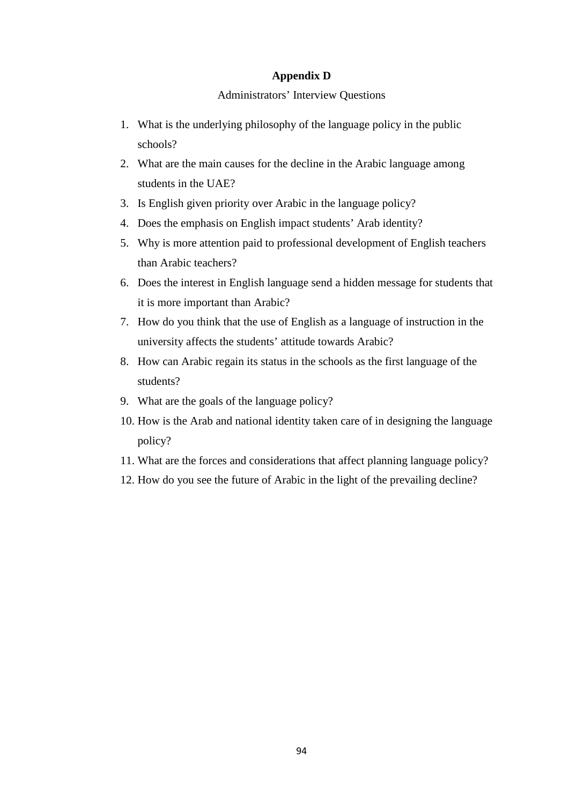## **Appendix D**

## Administrators' Interview Questions

- 1. What is the underlying philosophy of the language policy in the public schools?
- 2. What are the main causes for the decline in the Arabic language among students in the UAE?
- 3. Is English given priority over Arabic in the language policy?
- 4. Does the emphasis on English impact students' Arab identity?
- 5. Why is more attention paid to professional development of English teachers than Arabic teachers?
- 6. Does the interest in English language send a hidden message for students that it is more important than Arabic?
- 7. How do you think that the use of English as a language of instruction in the university affects the students' attitude towards Arabic?
- 8. How can Arabic regain its status in the schools as the first language of the students?
- 9. What are the goals of the language policy?
- 10. How is the Arab and national identity taken care of in designing the language policy?
- 11. What are the forces and considerations that affect planning language policy?
- 12. How do you see the future of Arabic in the light of the prevailing decline?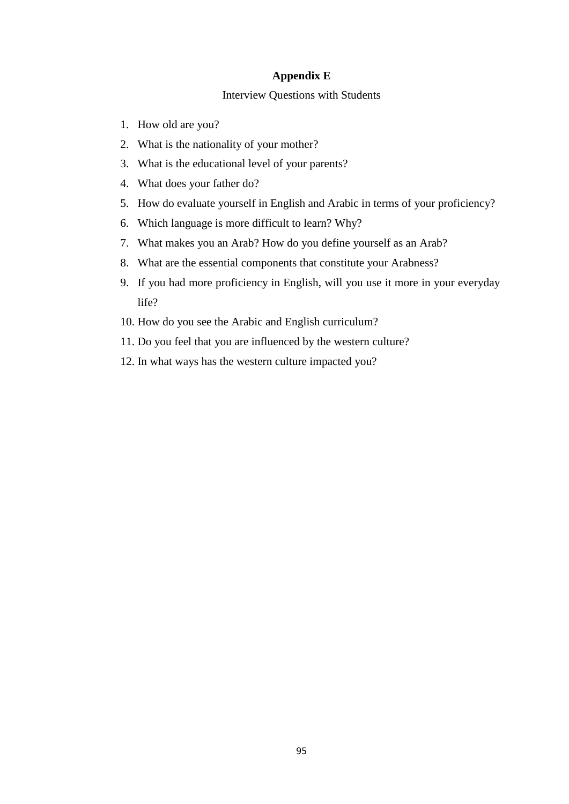## **Appendix E**

## Interview Questions with Students

- 1. How old are you?
- 2. What is the nationality of your mother?
- 3. What is the educational level of your parents?
- 4. What does your father do?
- 5. How do evaluate yourself in English and Arabic in terms of your proficiency?
- 6. Which language is more difficult to learn? Why?
- 7. What makes you an Arab? How do you define yourself as an Arab?
- 8. What are the essential components that constitute your Arabness?
- 9. If you had more proficiency in English, will you use it more in your everyday life?
- 10. How do you see the Arabic and English curriculum?
- 11. Do you feel that you are influenced by the western culture?
- 12. In what ways has the western culture impacted you?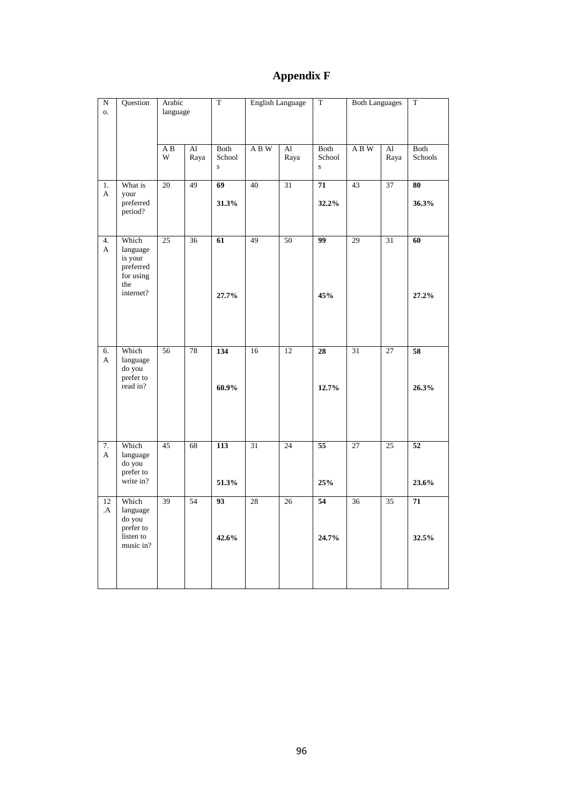# **Appendix F**

| ${\bf N}$<br>0.    | Question                                                                   | Arabic<br>language |                                    | T                   | <b>English Language</b> |                        | $\mathbf T$<br><b>Both Languages</b> |     | $\mathbf T$     |                          |
|--------------------|----------------------------------------------------------------------------|--------------------|------------------------------------|---------------------|-------------------------|------------------------|--------------------------------------|-----|-----------------|--------------------------|
|                    |                                                                            | A B<br>W           | $\mathop{\rm Al}\nolimits$<br>Raya | Both<br>School<br>S | ABW                     | $\mathbf{A}$ l<br>Raya | Both<br>School<br>$\mathbf S$        | ABW | Al<br>Raya      | Both<br>Schools          |
| 1.<br>A            | What is<br>your<br>preferred<br>period?                                    | $\overline{20}$    | 49                                 | 69<br>31.3%         | 40                      | 31                     | 71<br>32.2%                          | 43  | 37              | 80<br>36.3%              |
| 4.<br>$\mathbf{A}$ | Which<br>language<br>is your<br>preferred<br>for using<br>the<br>internet? | 25                 | $\overline{36}$                    | 61<br>27.7%         | 49                      | $\overline{50}$        | 99<br>45%                            | 29  | $\overline{31}$ | 60<br>27.2%              |
| 6.<br>A            | Which<br>language<br>do you<br>prefer to<br>read in?                       | 56                 | 78                                 | 134<br>$60.9\%$     | 16                      | 12                     | 28<br>12.7%                          | 31  | 27              | 58<br>26.3%              |
| 7.<br>A            | Which<br>language<br>do you<br>prefer to<br>write in?                      | 45                 | 68                                 | 113<br>51.3%        | 31                      | 24                     | $\overline{55}$<br>25%               | 27  | 25              | $\overline{52}$<br>23.6% |
| 12<br>А.           | Which<br>language<br>do you<br>prefer to<br>listen to<br>music in?         | 39                 | 54                                 | 93<br>42.6%         | 28                      | 26                     | 54<br>24.7%                          | 36  | 35              | 71<br>32.5%              |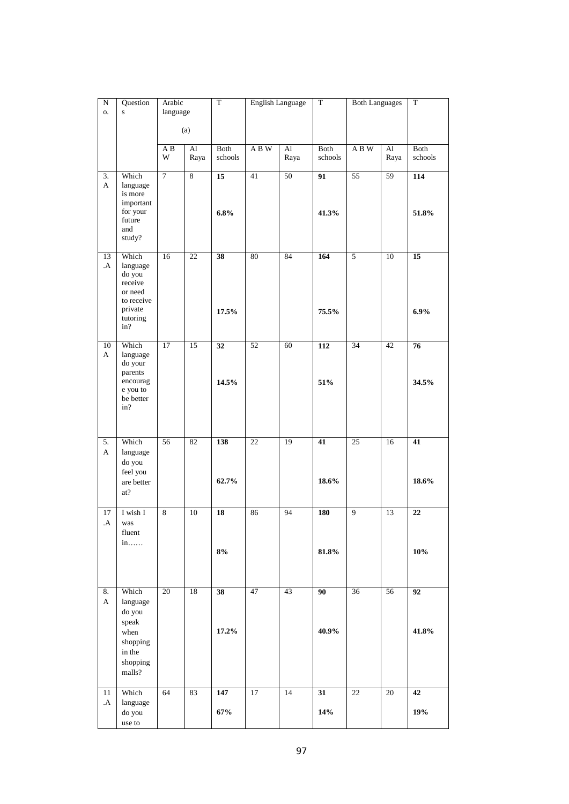| $\overline{N}$<br>0. | Question<br>$\mathbf S$                                                                | Arabic<br>language |                                    | $\overline{T}$           |                 | <b>English Language</b> | $\overline{T}$  | <b>Both Languages</b> |                  | $\overline{T}$          |
|----------------------|----------------------------------------------------------------------------------------|--------------------|------------------------------------|--------------------------|-----------------|-------------------------|-----------------|-----------------------|------------------|-------------------------|
|                      |                                                                                        |                    |                                    |                          |                 |                         |                 |                       |                  |                         |
|                      |                                                                                        |                    | (a)                                |                          |                 |                         |                 |                       |                  |                         |
|                      |                                                                                        | A B<br>W           | $\mathop{\rm Al}\nolimits$<br>Raya | Both<br>schools          | ABW             | $\mathbf{A}$ l<br>Raya  | Both<br>schools | ABW                   | $\rm Al$<br>Raya | Both<br>schools         |
| 3.<br>A              | Which<br>language<br>is more<br>important<br>for your<br>future                        | $\overline{7}$     | $\overline{8}$                     | 15<br>6.8%               | 41              | 50                      | 91<br>41.3%     | 55                    | 59               | 114<br>51.8%            |
|                      | and<br>study?                                                                          |                    |                                    |                          |                 |                         |                 |                       |                  |                         |
| 13<br>.A             | Which<br>language<br>do you<br>receive<br>or need<br>to receive<br>private<br>tutoring | 16                 | 22                                 | $\overline{38}$<br>17.5% | 80              | 84                      | 164<br>75.5%    | 5                     | 10               | $\overline{15}$<br>6.9% |
|                      | in?                                                                                    |                    |                                    |                          |                 |                         |                 |                       |                  |                         |
| 10<br>$\mathbf{A}$   | Which<br>language<br>do your<br>parents                                                | 17                 | $\overline{15}$                    | $\overline{32}$          | $\overline{52}$ | 60                      | 112             | $\overline{34}$       | 42               | 76                      |
|                      | encourag<br>e you to<br>be better<br>in?                                               |                    |                                    | 14.5%                    |                 |                         | 51%             |                       |                  | 34.5%                   |
| 5.<br>A              | Which<br>language<br>do you<br>feel you                                                | 56                 | 82                                 | 138                      | $22\,$          | 19                      | 41              | 25                    | 16               | 41                      |
|                      | are better<br>at?                                                                      |                    |                                    | 62.7%                    |                 |                         | 18.6%           |                       |                  | 18.6%                   |
| 17<br>.A             | I wish I<br>was<br>fluent<br>in                                                        | $\,8\,$            | 10                                 | 18                       | 86              | 94                      | <b>180</b>      | 9                     | 13               | $\overline{22}$         |
|                      |                                                                                        |                    |                                    | 8%                       |                 |                         | 81.8%           |                       |                  | 10%                     |
| 8.<br>A              | Which<br>language<br>do you<br>speak                                                   | 20                 | 18                                 | 38                       | 47              | 43                      | 90              | 36                    | 56               | 92                      |
|                      | when<br>shopping<br>in the<br>shopping<br>malls?                                       |                    |                                    | 17.2%                    |                 |                         | 40.9%           |                       |                  | 41.8%                   |
| 11<br>$\mathbf{A}$   | Which<br>language                                                                      | 64                 | 83                                 | 147                      | $17\,$          | 14                      | 31              | $22\,$                | $20\,$           | 42                      |
|                      | do you<br>use to                                                                       |                    |                                    | 67%                      |                 |                         | 14%             |                       |                  | 19%                     |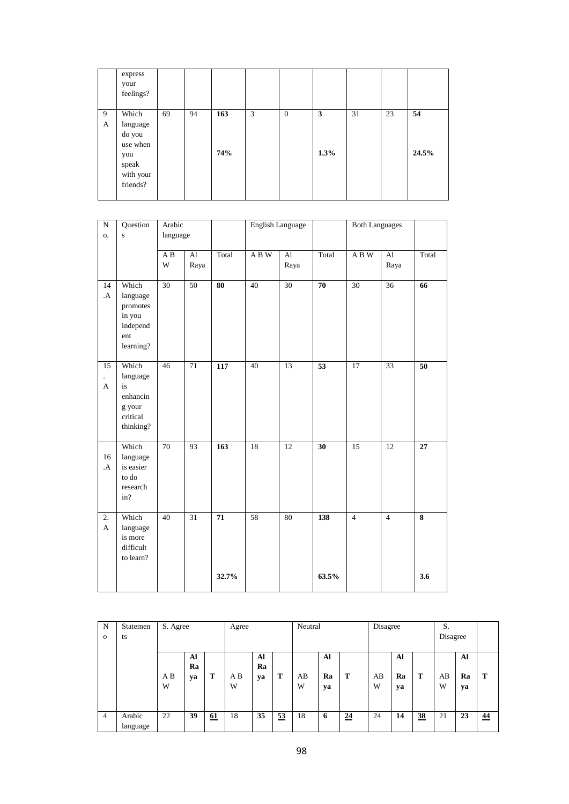|        | express<br>your<br>feelings?                                                     |    |    |            |   |                  |           |    |    |             |
|--------|----------------------------------------------------------------------------------|----|----|------------|---|------------------|-----------|----|----|-------------|
| 9<br>A | Which<br>language<br>do you<br>use when<br>you<br>speak<br>with your<br>friends? | 69 | 94 | 163<br>74% | 3 | $\boldsymbol{0}$ | 3<br>1.3% | 31 | 23 | 54<br>24.5% |

| ${\bf N}$<br>$\mathbf{O}$ . | Question<br>$\mathbf{s}$                                                | Arabic<br>language |            |                  | English Language |                        |       | <b>Both Languages</b> |                        |                         |
|-----------------------------|-------------------------------------------------------------------------|--------------------|------------|------------------|------------------|------------------------|-------|-----------------------|------------------------|-------------------------|
|                             |                                                                         | A B<br>$\mathbf W$ | Al<br>Raya | Total            | ABW              | $\mathbf{A}$ l<br>Raya | Total | ABW                   | $\mathbf{A}$ l<br>Raya | Total                   |
| 14<br>.A                    | Which<br>language<br>promotes<br>in you<br>independ<br>ent<br>learning? | 30                 | 50         | 80               | 40               | 30                     | 70    | 30                    | 36                     | 66                      |
| 15<br>$\mathbf{A}$          | Which<br>language<br>is<br>enhancin<br>g your<br>critical<br>thinking?  | $\overline{46}$    | 71         | 117              | 40               | 13                     | 53    | 17                    | 33                     | 50                      |
| 16<br>.A                    | Which<br>language<br>is easier<br>to do<br>research<br>in?              | 70                 | 93         | $\overline{163}$ | 18               | 12                     | 30    | $\overline{15}$       | 12                     | $\overline{27}$         |
| 2.<br>$\mathbf{A}$          | Which<br>language<br>is more<br>difficult<br>to learn?                  | 40                 | 31         | 71               | 58               | 80                     | 138   | $\overline{4}$        | $\overline{4}$         | $\overline{\mathbf{8}}$ |
|                             |                                                                         |                    |            | 32.7%            |                  |                        | 63.5% |                       |                        | 3.6                     |

| N              | Statemen | S. Agree |    |    | Agree |    |    | Neutral |    |                 | Disagree |    |                | S.       |    |    |
|----------------|----------|----------|----|----|-------|----|----|---------|----|-----------------|----------|----|----------------|----------|----|----|
| $\Omega$       | ts       |          |    |    |       |    |    |         |    |                 |          |    |                | Disagree |    |    |
|                |          |          |    |    |       |    |    |         |    |                 |          |    |                |          |    |    |
|                |          |          | Al |    |       | Al |    |         | Al |                 |          | Al |                |          | Al |    |
|                |          |          | Ra |    |       | Ra |    |         |    |                 |          |    |                |          |    |    |
|                |          | A B      | ya | т  | A B   | ya | T  | AB      | Ra | т               | AB       | Ra | т              | AB       | Ra | Т  |
|                |          | W        |    |    | W     |    |    | W       | ya |                 | W        | yа |                | W        | ya |    |
|                |          |          |    |    |       |    |    |         |    |                 |          |    |                |          |    |    |
|                |          |          |    |    |       |    |    |         |    |                 |          |    |                |          |    |    |
| $\overline{4}$ | Arabic   | 22       | 39 | 61 | 18    | 35 | 53 | 18      | 6  | $\overline{24}$ | 24       | 14 | $\frac{38}{5}$ | 21       | 23 | 44 |
|                | language |          |    |    |       |    |    |         |    |                 |          |    |                |          |    |    |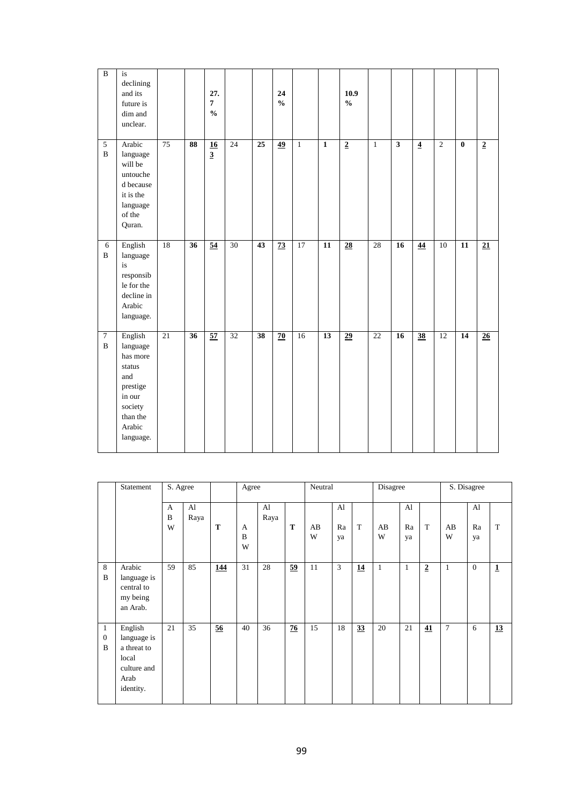| $\overline{B}$                 | is<br>declining<br>and its<br>future is<br>dim and<br>unclear.                                                       |                 |    | 27.<br>$\pmb{7}$<br>$\mathbf{0}_{\mathbf{0}}^{\prime}$ |                 |                 | 24<br>$\mathbf{0}_{\mathbf{0}}^{\prime}$ |              |              | 10.9<br>$\mathbf{0}_{\mathbf{0}}^{\prime}$ |              |                         |                 |                |                 |                 |
|--------------------------------|----------------------------------------------------------------------------------------------------------------------|-----------------|----|--------------------------------------------------------|-----------------|-----------------|------------------------------------------|--------------|--------------|--------------------------------------------|--------------|-------------------------|-----------------|----------------|-----------------|-----------------|
| 5<br>$\, {\bf B}$              | Arabic<br>language<br>will be<br>untouche<br>d because<br>it is the<br>language<br>of the<br>Quran.                  | $\overline{75}$ | 88 | $\overline{16}$<br>$\overline{3}$                      | 24              | 25              | 49                                       | $\mathbf{1}$ | $\mathbf{1}$ | $\overline{2}$                             | $\mathbf{1}$ | $\overline{\mathbf{3}}$ | $\overline{4}$  | $\overline{2}$ | $\bf{0}$        | $\overline{2}$  |
| $\sqrt{6}$<br>$\, {\bf B}$     | English<br>language<br>is<br>responsib<br>le for the<br>decline in<br>Arabic<br>language.                            | 18              | 36 | $\overline{54}$                                        | $\overline{30}$ | 43              | $\overline{73}$                          | 17           | 11           | $\overline{28}$                            | 28           | 16                      | 44              | 10             | 11              | $\overline{21}$ |
| $\overline{7}$<br>$\, {\bf B}$ | English<br>language<br>has more<br>status<br>and<br>prestige<br>in our<br>society<br>than the<br>Arabic<br>language. | $\overline{21}$ | 36 | $\overline{57}$                                        | $\overline{32}$ | $\overline{38}$ | $\overline{70}$                          | 16           | 13           | $\overline{29}$                            | 22           | 16                      | $\overline{38}$ | 12             | $\overline{14}$ | $\overline{26}$ |

|                              | Statement                                                                          | S. Agree    |            |            | Agree              |            |                 | Neutral |                |    | Disagree |                |                         |         | S. Disagree                |             |
|------------------------------|------------------------------------------------------------------------------------|-------------|------------|------------|--------------------|------------|-----------------|---------|----------------|----|----------|----------------|-------------------------|---------|----------------------------|-------------|
|                              |                                                                                    | A<br>B<br>W | Al<br>Raya | T          | A<br>$\bf{B}$<br>W | Al<br>Raya | T               | AB<br>W | Al<br>Ra<br>ya | T  | AB<br>W  | Al<br>Ra<br>ya | T                       | AB<br>W | $\mathbf{A}$ l<br>Ra<br>ya | T           |
| 8<br>$\bf{B}$                | Arabic<br>language is<br>central to<br>my being<br>an Arab.                        | 59          | 85         | <u>144</u> | 31                 | 28         | $\overline{59}$ | 11      | $\mathbf{3}$   | 14 | 1        | $\mathbf{1}$   | $\overline{\mathbf{2}}$ | 1       | $\overline{0}$             | $\mathbf 1$ |
| 1<br>$\theta$<br>$\mathbf B$ | English<br>language is<br>a threat to<br>local<br>culture and<br>Arab<br>identity. | 21          | 35         | 56         | 40                 | 36         | 76              | 15      | 18             | 33 | 20       | 21             | 41                      | $\tau$  | 6                          | 13          |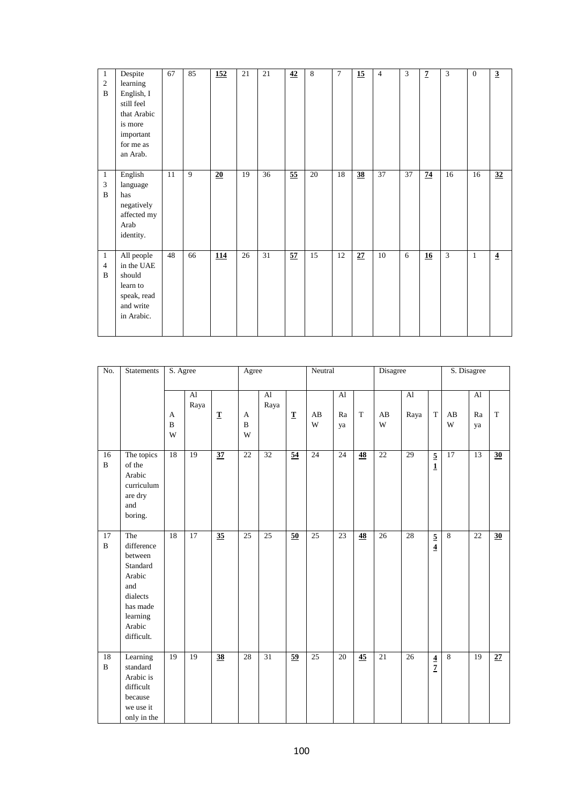| $\mathbf{1}$<br>$\mathfrak{2}$<br>$\mathbf B$ | Despite<br>learning<br>English, I<br>still feel<br>that Arabic<br>is more<br>important<br>for me as<br>an Arab. | 67 | 85 | 152             | 21 | 21 | 42              | 8  | $\tau$ | $\overline{15}$ | $\overline{4}$ | 3  | $\overline{z}$ | 3              | $\overline{0}$ | $\overline{3}$ |
|-----------------------------------------------|-----------------------------------------------------------------------------------------------------------------|----|----|-----------------|----|----|-----------------|----|--------|-----------------|----------------|----|----------------|----------------|----------------|----------------|
| $\mathbf{1}$<br>3<br>$\bf{B}$                 | English<br>language<br>has<br>negatively<br>affected my<br>Arab<br>identity.                                    | 11 | 9  | $\overline{20}$ | 19 | 36 | $\overline{55}$ | 20 | 18     | 38              | 37             | 37 | 74             | 16             | 16             | 32             |
| $\mathbf{1}$<br>$\overline{4}$<br>B           | All people<br>in the UAE<br>should<br>learn to<br>speak, read<br>and write<br>in Arabic.                        | 48 | 66 | <b>114</b>      | 26 | 31 | 57              | 15 | 12     | 27              | 10             | 6  | 16             | $\overline{3}$ | $\mathbf{1}$   | $\overline{4}$ |

| No.                | Statements                                                                                                            | S. Agree    |                        |                 | Agree                 |                                    |                 | Neutral         |                 |                 | Disagree        |                        |                                  |                | S. Disagree    |                 |
|--------------------|-----------------------------------------------------------------------------------------------------------------------|-------------|------------------------|-----------------|-----------------------|------------------------------------|-----------------|-----------------|-----------------|-----------------|-----------------|------------------------|----------------------------------|----------------|----------------|-----------------|
|                    |                                                                                                                       | A<br>B<br>W | $\mathbf{A}$ l<br>Raya | $\mathbf T$     | A<br>$\mathbf B$<br>W | $\mathop{\rm Al}\nolimits$<br>Raya | $\mathbf T$     | AB<br>W         | Al<br>Ra<br>ya  | $\mathbf T$     | AB<br>W         | $\mathbf{A}$ l<br>Raya | $\mathbf T$                      | AB<br>W        | Al<br>Ra<br>ya | $\mathbf T$     |
| 16<br>$\mathbf B$  | The topics<br>of the<br>Arabic<br>curriculum<br>are dry<br>and<br>boring.                                             | 18          | 19                     | $\overline{37}$ | $\overline{22}$       | $\overline{32}$                    | $\overline{54}$ | 24              | 24              | 48              | $\overline{22}$ | 29                     | $\overline{5}$<br>$\mathbf{1}$   | 17             | 13             | $\overline{30}$ |
| 17<br>$\, {\bf B}$ | The<br>difference<br>between<br>Standard<br>Arabic<br>and<br>dialects<br>has made<br>learning<br>Arabic<br>difficult. | 18          | $\overline{17}$        | $\overline{35}$ | 25                    | $\overline{25}$                    | 50              | $\overline{25}$ | $\overline{23}$ | $\overline{48}$ | $\overline{26}$ | $\overline{28}$        | $\frac{5}{4}$                    | $\overline{8}$ | 22             | $\overline{30}$ |
| 18<br>$\, {\bf B}$ | Learning<br>standard<br>Arabic is<br>difficult<br>because<br>we use it<br>only in the                                 | 19          | 19                     | $\overline{38}$ | 28                    | 31                                 | $\overline{59}$ | $\overline{25}$ | 20              | $\overline{45}$ | $\overline{21}$ | $\overline{26}$        | $\overline{4}$<br>$\overline{7}$ | $\overline{8}$ | 19             | $\overline{27}$ |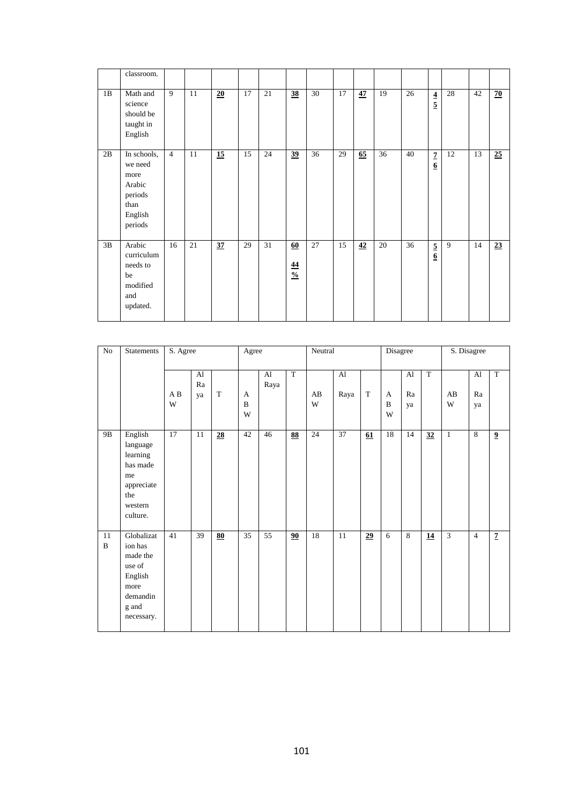|    | classroom.                                                                        |                |    |    |    |    |                                               |    |    |    |    |    |                                           |    |    |    |
|----|-----------------------------------------------------------------------------------|----------------|----|----|----|----|-----------------------------------------------|----|----|----|----|----|-------------------------------------------|----|----|----|
| 1B | Math and<br>science<br>should be<br>taught in<br>English                          | 9              | 11 | 20 | 17 | 21 | <u>38</u>                                     | 30 | 17 | 47 | 19 | 26 | $\overline{\mathbf{4}}$<br>$\overline{5}$ | 28 | 42 | 70 |
| 2B | In schools,<br>we need<br>more<br>Arabic<br>periods<br>than<br>English<br>periods | $\overline{4}$ | 11 | 15 | 15 | 24 | 39                                            | 36 | 29 | 65 | 36 | 40 | $\overline{1}$<br>$6 \overline{6}$        | 12 | 13 | 25 |
| 3B | Arabic<br>curriculum<br>needs to<br>be<br>modified<br>and<br>updated.             | 16             | 21 | 37 | 29 | 31 | <u>60</u><br>$\overline{44}$<br>$\frac{0}{0}$ | 27 | 15 | 42 | 20 | 36 | $\overline{5}$<br>$6 \overline{6}$        | 9  | 14 | 23 |

| No                | <b>Statements</b>                                                                                 | S. Agree |                |             | Agree       |                        |                          | Neutral           |                      |             | Disagree               |                |                 |                   | S. Disagree                |                         |
|-------------------|---------------------------------------------------------------------------------------------------|----------|----------------|-------------|-------------|------------------------|--------------------------|-------------------|----------------------|-------------|------------------------|----------------|-----------------|-------------------|----------------------------|-------------------------|
|                   |                                                                                                   | A B<br>W | Al<br>Ra<br>ya | $\mathbf T$ | A<br>B<br>W | $\mathbf{A}$ l<br>Raya | $\overline{T}$           | AB<br>$\mathbf W$ | $\mathbf{A}$<br>Raya | $\mathbf T$ | A<br>$\, {\bf B}$<br>W | AI<br>Ra<br>ya | $\overline{T}$  | AB<br>$\mathbf W$ | $\mathbf{A}$ l<br>Ra<br>ya | T                       |
| 9B                | English<br>language<br>learning<br>has made<br>me<br>appreciate<br>the<br>western<br>culture.     | 17       | $11\,$         | 28          | 42          | 46                     | $\overline{\textbf{88}}$ | 24                | 37                   | 61          | 18                     | 14             | $\overline{32}$ | $\mathbf{1}$      | 8                          | $\overline{\mathbf{9}}$ |
| 11<br>$\mathbf B$ | Globalizat<br>ion has<br>made the<br>use of<br>English<br>more<br>demandin<br>g and<br>necessary. | 41       | 39             | 80          | 35          | 55                     | 90                       | 18                | $11\,$               | 29          | 6                      | 8              | 14              | $\overline{3}$    | $\overline{4}$             | $\overline{7}$          |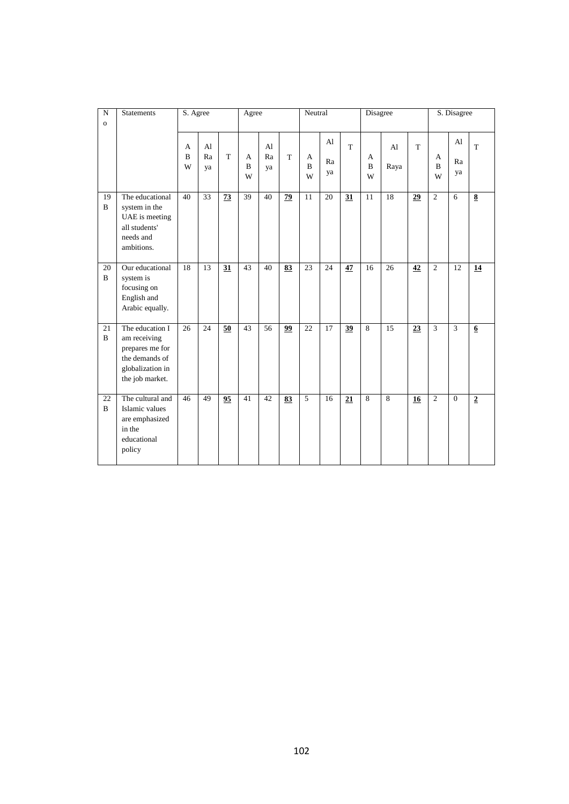| ${\bf N}$<br>$\mathbf{o}$ | <b>Statements</b>                                                                                           | S. Agree    |                            |    | Agree                 |                            |                 | Neutral               |                |                | Disagree              |                        |    |                        | S. Disagree    |                         |
|---------------------------|-------------------------------------------------------------------------------------------------------------|-------------|----------------------------|----|-----------------------|----------------------------|-----------------|-----------------------|----------------|----------------|-----------------------|------------------------|----|------------------------|----------------|-------------------------|
|                           |                                                                                                             | A<br>B<br>W | $\mathbf{A}$ l<br>Ra<br>ya | T  | A<br>$\mathbf B$<br>W | A <sub>1</sub><br>Ra<br>ya | T               | A<br>$\mathbf B$<br>W | A1<br>Ra<br>ya | T <sup>-</sup> | A<br>$\mathbf B$<br>W | A <sub>1</sub><br>Raya | T  | A<br>$\mathbf{B}$<br>W | Al<br>Ra<br>ya | $\mathbf T$             |
| 19<br>$\, {\bf B}$        | The educational<br>system in the<br>UAE is meeting<br>all students'<br>needs and<br>ambitions.              | 40          | $\overline{33}$            | 73 | 39                    | 40                         | 79              | 11                    | 20             | 31             | 11                    | 18                     | 29 | $\overline{2}$         | 6              | $\overline{\mathbf{8}}$ |
| 20<br>$\mathbf{B}$        | Our educational<br>system is<br>focusing on<br>English and<br>Arabic equally.                               | 18          | 13                         | 31 | $\overline{43}$       | 40                         | 83              | 23                    | 24             | 47             | 16                    | 26                     | 42 | $\overline{2}$         | 12             | $\overline{14}$         |
| 21<br>$\mathbf{B}$        | The education I<br>am receiving<br>prepares me for<br>the demands of<br>globalization in<br>the job market. | 26          | 24                         | 50 | 43                    | 56                         | $\overline{99}$ | 22                    | 17             | 39             | 8                     | 15                     | 23 | $\overline{3}$         | 3              | $6 \overline{6}$        |
| 22<br>$\mathbf{B}$        | The cultural and<br>Islamic values<br>are emphasized<br>in the<br>educational<br>policy                     | 46          | 49                         | 95 | 41                    | 42                         | 83              | 5                     | 16             | 21             | 8                     | $\overline{8}$         | 16 | $\overline{2}$         | $\overline{0}$ | $\overline{2}$          |